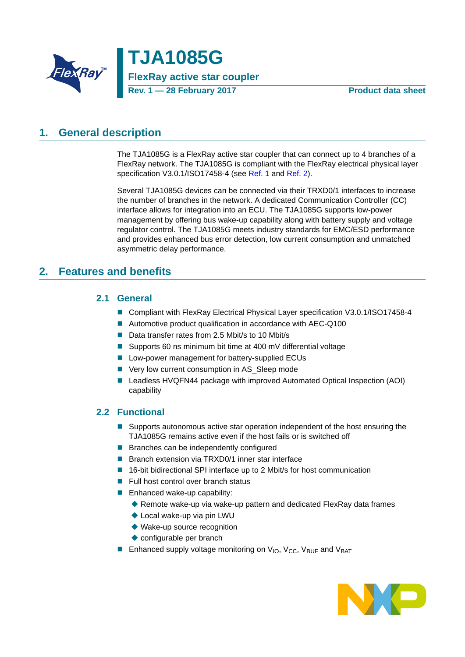

**TJA1085G FlexRay active star coupler Rev. 1 — 28 February 2017 Product data sheet**

## <span id="page-0-1"></span>**1. General description**

The TJA1085G is a FlexRay active star coupler that can connect up to 4 branches of a FlexRay network. The TJA1085G is compliant with the FlexRay electrical physical layer specification V3.0.1/ISO17458-4 (see [Ref. 1](#page-59-0) and [Ref. 2\)](#page-59-1).

Several TJA1085G devices can be connected via their TRXD0/1 interfaces to increase the number of branches in the network. A dedicated Communication Controller (CC) interface allows for integration into an ECU. The TJA1085G supports low-power management by offering bus wake-up capability along with battery supply and voltage regulator control. The TJA1085G meets industry standards for EMC/ESD performance and provides enhanced bus error detection, low current consumption and unmatched asymmetric delay performance.

### <span id="page-0-2"></span><span id="page-0-0"></span>**2. Features and benefits**

### **2.1 General**

- Compliant with FlexRay Electrical Physical Layer specification V3.0.1/ISO17458-4
- Automotive product qualification in accordance with AEC-Q100
- Data transfer rates from 2.5 Mbit/s to 10 Mbit/s
- Supports 60 ns minimum bit time at 400 mV differential voltage
- **Low-power management for battery-supplied ECUs**
- Very low current consumption in AS\_Sleep mode
- Leadless HVQFN44 package with improved Automated Optical Inspection (AOI) capability

### <span id="page-0-3"></span>**2.2 Functional**

- **Supports autonomous active star operation independent of the host ensuring the** TJA1085G remains active even if the host fails or is switched off
- **Branches can be independently configured**
- Branch extension via TRXD0/1 inner star interface
- 16-bit bidirectional SPI interface up to 2 Mbit/s for host communication
- $\blacksquare$  Full host control over branch status
- **Enhanced wake-up capability:** 
	- ◆ Remote wake-up via wake-up pattern and dedicated FlexRay data frames
	- ◆ Local wake-up via pin LWU
	- ◆ Wake-up source recognition
	- ◆ configurable per branch
- **Enhanced supply voltage monitoring on**  $V_{IO}$ **,**  $V_{CC}$ **,**  $V_{BUF}$  **and**  $V_{BAT}$

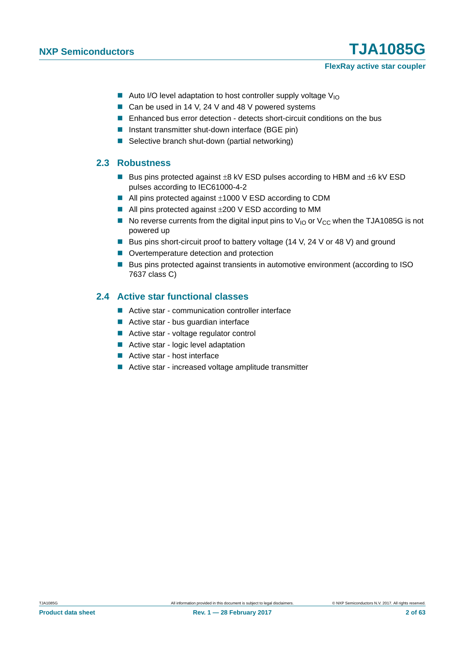#### **FlexRay active star coupler**

- Auto I/O level adaptation to host controller supply voltage  $V_{10}$
- Can be used in 14 V, 24 V and 48 V powered systems
- **E** Enhanced bus error detection detects short-circuit conditions on the bus
- Instant transmitter shut-down interface (BGE pin)
- Selective branch shut-down (partial networking)

#### <span id="page-1-1"></span>**2.3 Robustness**

- Bus pins protected against  $\pm 8$  kV ESD pulses according to HBM and  $\pm 6$  kV ESD pulses according to IEC61000-4-2
- $\blacksquare$  All pins protected against  $\pm 1000$  V ESD according to CDM
- $\blacksquare$  All pins protected against  $\pm 200 \,$ V ESD according to MM
- No reverse currents from the digital input pins to  $V_{\text{IO}}$  or  $V_{\text{CC}}$  when the TJA1085G is not powered up
- Bus pins short-circuit proof to battery voltage (14 V, 24 V or 48 V) and ground
- Overtemperature detection and protection
- Bus pins protected against transients in automotive environment (according to ISO 7637 class C)

### <span id="page-1-0"></span>**2.4 Active star functional classes**

- Active star communication controller interface
- Active star bus quardian interface
- Active star voltage regulator control
- Active star logic level adaptation
- Active star host interface
- Active star increased voltage amplitude transmitter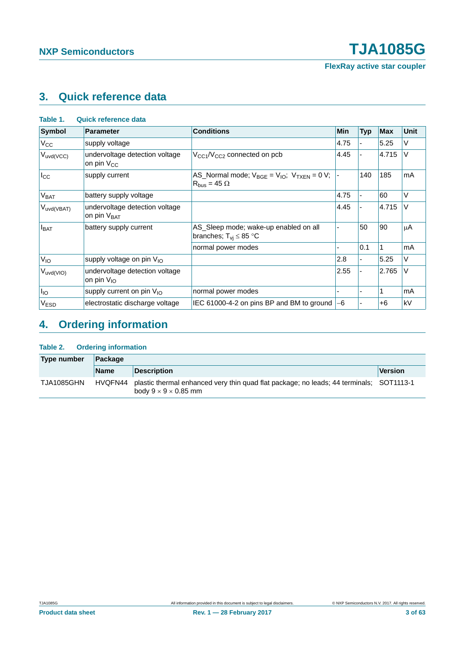**FlexRay active star coupler**

## <span id="page-2-0"></span>**3. Quick reference data**

| <b>Symbol</b>           | <b>Parameter</b>                                          | <b>Conditions</b>                                                                | Min  | <b>Typ</b> | <b>Max</b> | Unit |
|-------------------------|-----------------------------------------------------------|----------------------------------------------------------------------------------|------|------------|------------|------|
| $V_{\rm CC}$            | supply voltage                                            |                                                                                  | 4.75 |            | 5.25       | V    |
| $V_{uvd(VCC)}$          | undervoltage detection voltage<br>on pin V <sub>CC</sub>  | $V_{CG1}/V_{CG2}$ connected on pcb                                               | 4.45 |            | 4.715      | V    |
| $I_{\rm CC}$            | supply current                                            | AS_Normal mode; $V_{BGE} = V_{IO}$ ; $V_{TXEN} = 0 V$ ;<br>$R_{bus} = 45 \Omega$ |      | 140        | 185        | mA   |
| V <sub>BAT</sub>        | battery supply voltage                                    |                                                                                  | 4.75 |            | 60         | V    |
| V <sub>uvd</sub> (VBAT) | undervoltage detection voltage<br>on pin V <sub>BAT</sub> |                                                                                  | 4.45 |            | 4.715      | V    |
| $I_{BAT}$               | battery supply current                                    | AS_Sleep mode; wake-up enabled on all<br>branches; $T_{vi} \leq 85$ °C           |      | 50         | 90         | μA   |
|                         |                                                           | normal power modes                                                               |      | 0.1        |            | mA   |
| $V_{IO}$                | supply voltage on pin V <sub>IO</sub>                     |                                                                                  | 2.8  |            | 5.25       | V    |
| $V_{uvd(VIO)}$          | undervoltage detection voltage<br>on pin $V_{10}$         |                                                                                  | 2.55 |            | 2.765      | V    |
| $I_{IO}$                | supply current on pin $V_{1O}$                            | normal power modes                                                               |      |            |            | mA   |
| V <sub>ESD</sub>        | electrostatic discharge voltage                           | IEC 61000-4-2 on pins BP and BM to ground                                        | -6   |            | $+6$       | kV   |

## <span id="page-2-1"></span>**4. Ordering information**

#### **Table 2. Ordering information**

| Type number | ⊺Packaαe    |                                                                                                                                     |                |
|-------------|-------------|-------------------------------------------------------------------------------------------------------------------------------------|----------------|
|             | <b>Name</b> | <b>Description</b>                                                                                                                  | <b>Version</b> |
| TJA1085GHN  |             | HVQFN44 plastic thermal enhanced very thin quad flat package; no leads; 44 terminals; SOT1113-1<br>body $9 \times 9 \times 0.85$ mm |                |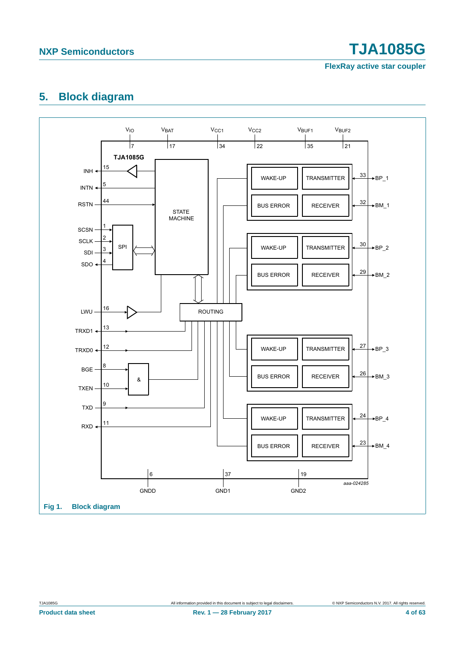**FlexRay active star coupler**

## <span id="page-3-0"></span>**5. Block diagram**

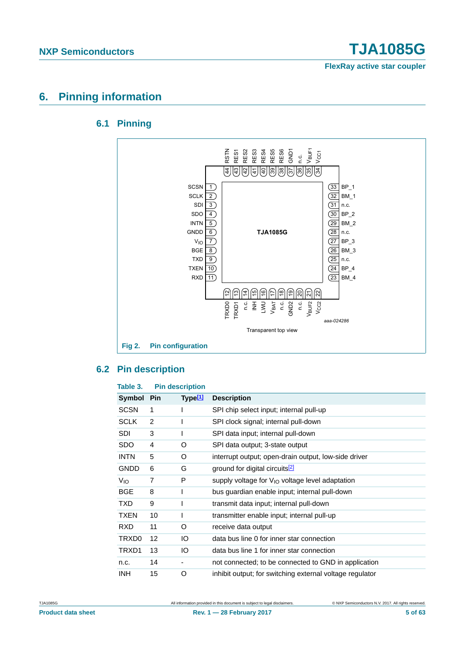**FlexRay active star coupler**

## <span id="page-4-1"></span><span id="page-4-0"></span>**6. Pinning information**

### **6.1 Pinning**



### <span id="page-4-2"></span>**6.2 Pin description**

#### **Table 3. Pin description**

| Symbol          | <b>Pin</b>     | Type <sup>[1]</sup> | <b>Description</b>                                       |
|-----------------|----------------|---------------------|----------------------------------------------------------|
| <b>SCSN</b>     | 1              |                     | SPI chip select input; internal pull-up                  |
| <b>SCLK</b>     | $\overline{2}$ |                     | SPI clock signal; internal pull-down                     |
| SDI             | 3              |                     | SPI data input; internal pull-down                       |
| SDO             | 4              | O                   | SPI data output; 3-state output                          |
| <b>INTN</b>     | 5              | O                   | interrupt output; open-drain output, low-side driver     |
| <b>GNDD</b>     | 6              | G                   | ground for digital circuits <sup>[2]</sup>               |
| V <sub>IO</sub> | 7              | P                   | supply voltage for $V_{10}$ voltage level adaptation     |
| <b>BGE</b>      | 8              |                     | bus guardian enable input; internal pull-down            |
| TXD.            | 9              |                     | transmit data input; internal pull-down                  |
| TXEN            | 10             | I                   | transmitter enable input; internal pull-up               |
| <b>RXD</b>      | 11             | O                   | receive data output                                      |
| TRXD0           | 12             | IО                  | data bus line 0 for inner star connection                |
| TRXD1           | 13             | IО                  | data bus line 1 for inner star connection                |
| n.c.            | 14             |                     | not connected; to be connected to GND in application     |
| INH.            | 15             | O                   | inhibit output; for switching external voltage regulator |

**Product data sheet** 5 of 63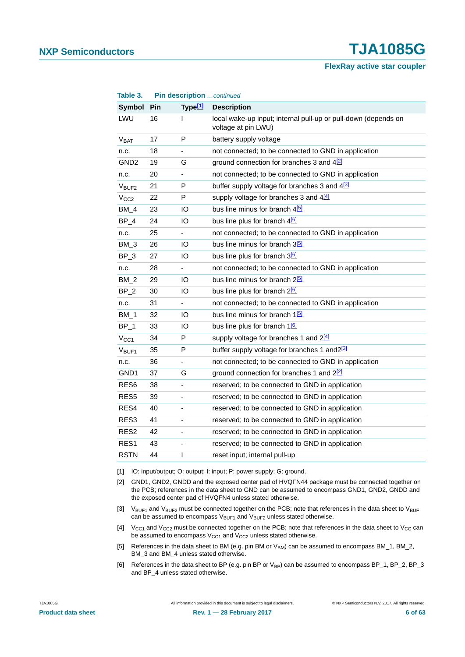**FlexRay active star coupler**

| Table 3.               |     |                              | Pin description continued                                                             |  |  |
|------------------------|-----|------------------------------|---------------------------------------------------------------------------------------|--|--|
| Symbol                 | Pin | Type $[1]$                   | <b>Description</b>                                                                    |  |  |
| LWU                    | 16  | L                            | local wake-up input; internal pull-up or pull-down (depends on<br>voltage at pin LWU) |  |  |
| <b>V<sub>BAT</sub></b> | 17  | P                            | battery supply voltage                                                                |  |  |
| n.c.                   | 18  | $\overline{\phantom{a}}$     | not connected; to be connected to GND in application                                  |  |  |
| GND <sub>2</sub>       | 19  | G                            | ground connection for branches 3 and $4\overline{2}$                                  |  |  |
| n.c.                   | 20  |                              | not connected; to be connected to GND in application                                  |  |  |
| V <sub>BUF2</sub>      | 21  | P                            | buffer supply voltage for branches 3 and 43                                           |  |  |
| V <sub>CC2</sub>       | 22  | P                            | supply voltage for branches 3 and 4[4]                                                |  |  |
| $BM_4$                 | 23  | IO                           | bus line minus for branch 4 <sup>[5]</sup>                                            |  |  |
| $BP_4$                 | 24  | IО                           | bus line plus for branch 4 <sup>[6]</sup>                                             |  |  |
| n.c.                   | 25  | ÷.                           | not connected; to be connected to GND in application                                  |  |  |
| $BM_3$                 | 26  | IО                           | bus line minus for branch 3 <sup>[5]</sup>                                            |  |  |
| $BP_3$                 | 27  | IО                           | bus line plus for branch 3 <sup>6</sup>                                               |  |  |
| n.c.                   | 28  |                              | not connected; to be connected to GND in application                                  |  |  |
| BM 2                   | 29  | IО                           | bus line minus for branch 2 <sup>[5]</sup>                                            |  |  |
| $BP_2$                 | 30  | IO                           | bus line plus for branch 2 <sup>[6]</sup>                                             |  |  |
| n.c.                   | 31  |                              | not connected; to be connected to GND in application                                  |  |  |
| $BM_1$                 | 32  | IО                           | bus line minus for branch 1 <b>b</b>                                                  |  |  |
| $BP_1$                 | 33  | IO                           | bus line plus for branch 1 <sup>6</sup>                                               |  |  |
| $V_{CC1}$              | 34  | P                            | supply voltage for branches 1 and 2[4]                                                |  |  |
| $V_{BUF1}$             | 35  | P                            | buffer supply voltage for branches 1 and 2 <sup>[3]</sup>                             |  |  |
| n.c.                   | 36  |                              | not connected; to be connected to GND in application                                  |  |  |
| GND1                   | 37  | G                            | ground connection for branches 1 and 22                                               |  |  |
| RES <sub>6</sub>       | 38  | $\overline{\phantom{a}}$     | reserved; to be connected to GND in application                                       |  |  |
| RES <sub>5</sub>       | 39  |                              | reserved; to be connected to GND in application                                       |  |  |
| RES4                   | 40  | $\qquad \qquad \blacksquare$ | reserved; to be connected to GND in application                                       |  |  |
| RES <sub>3</sub>       | 41  | ÷,                           | reserved; to be connected to GND in application                                       |  |  |
| RES <sub>2</sub>       | 42  | $\qquad \qquad \blacksquare$ | reserved; to be connected to GND in application                                       |  |  |
| RES <sub>1</sub>       | 43  | $\blacksquare$               | reserved; to be connected to GND in application                                       |  |  |
| <b>RSTN</b>            | 44  | T                            | reset input; internal pull-up                                                         |  |  |

<span id="page-5-0"></span>[1] IO: input/output; O: output; I: input; P: power supply; G: ground.

<span id="page-5-1"></span>[2] GND1, GND2, GNDD and the exposed center pad of HVQFN44 package must be connected together on the PCB; references in the data sheet to GND can be assumed to encompass GND1, GND2, GNDD and the exposed center pad of HVQFN4 unless stated otherwise.

- <span id="page-5-2"></span>[3]  $V_{BUF1}$  and  $V_{BUF2}$  must be connected together on the PCB; note that references in the data sheet to  $V_{BUF1}$ can be assumed to encompass  $V_{\text{BUF1}}$  and  $V_{\text{BUF2}}$  unless stated otherwise.
- <span id="page-5-3"></span>[4]  $V_{CG1}$  and  $V_{CG2}$  must be connected together on the PCB; note that references in the data sheet to  $V_{CG}$  can be assumed to encompass  $V_{CC1}$  and  $V_{CC2}$  unless stated otherwise.
- <span id="page-5-4"></span>[5] References in the data sheet to BM (e.g. pin BM or V<sub>BM</sub>) can be assumed to encompass BM\_1, BM\_2, BM 3 and BM 4 unless stated otherwise.
- <span id="page-5-5"></span>[6] References in the data sheet to BP (e.g. pin BP or  $V_{BP}$ ) can be assumed to encompass BP\_1, BP\_2, BP\_3 and BP\_4 unless stated otherwise.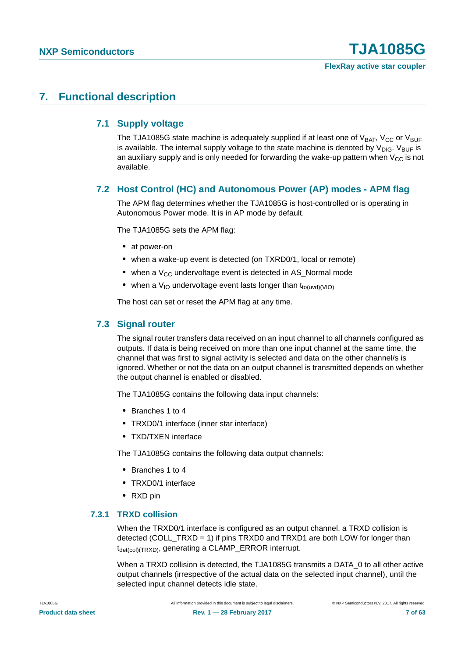**FlexRay active star coupler**

### <span id="page-6-1"></span><span id="page-6-0"></span>**7. Functional description**

#### **7.1 Supply voltage**

The TJA1085G state machine is adequately supplied if at least one of  $V_{BAT}$ ,  $V_{CC}$  or  $V_{BUF}$ is available. The internal supply voltage to the state machine is denoted by  $V_{\text{DIG}}$ .  $V_{\text{BUF}}$  is an auxiliary supply and is only needed for forwarding the wake-up pattern when  $V_{CC}$  is not available.

### <span id="page-6-2"></span>**7.2 Host Control (HC) and Autonomous Power (AP) modes - APM flag**

The APM flag determines whether the TJA1085G is host-controlled or is operating in Autonomous Power mode. It is in AP mode by default.

The TJA1085G sets the APM flag:

- **•** at power-on
- **•** when a wake-up event is detected (on TXRD0/1, local or remote)
- when a V<sub>CC</sub> undervoltage event is detected in AS\_Normal mode
- when a V<sub>IO</sub> undervoltage event lasts longer than t<sub>to(uvd)</sub>(VIO)

The host can set or reset the APM flag at any time.

#### <span id="page-6-3"></span>**7.3 Signal router**

The signal router transfers data received on an input channel to all channels configured as outputs. If data is being received on more than one input channel at the same time, the channel that was first to signal activity is selected and data on the other channel/s is ignored. Whether or not the data on an output channel is transmitted depends on whether the output channel is enabled or disabled.

The TJA1085G contains the following data input channels:

- **•** Branches 1 to 4
- **•** TRXD0/1 interface (inner star interface)
- **•** TXD/TXEN interface

The TJA1085G contains the following data output channels:

- **•** Branches 1 to 4
- **•** TRXD0/1 interface
- **•** RXD pin

#### <span id="page-6-4"></span>**7.3.1 TRXD collision**

When the TRXD0/1 interface is configured as an output channel, a TRXD collision is detected (COLL\_TRXD = 1) if pins TRXD0 and TRXD1 are both LOW for longer than  $t_{\text{det(col)}(TRXD)}$ , generating a CLAMP\_ERROR interrupt.

When a TRXD collision is detected, the TJA1085G transmits a DATA\_0 to all other active output channels (irrespective of the actual data on the selected input channel), until the selected input channel detects idle state.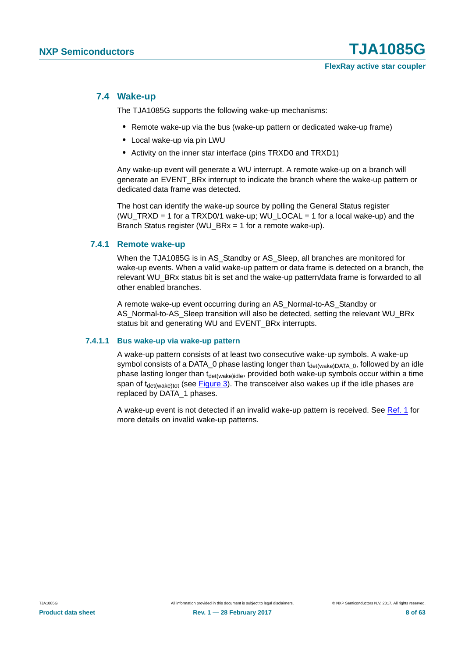#### <span id="page-7-1"></span>**7.4 Wake-up**

The TJA1085G supports the following wake-up mechanisms:

- **•** Remote wake-up via the bus (wake-up pattern or dedicated wake-up frame)
- **•** Local wake-up via pin LWU
- **•** Activity on the inner star interface (pins TRXD0 and TRXD1)

Any wake-up event will generate a WU interrupt. A remote wake-up on a branch will generate an EVENT\_BRx interrupt to indicate the branch where the wake-up pattern or dedicated data frame was detected.

The host can identify the wake-up source by polling the General Status register (WU\_TRXD = 1 for a TRXD0/1 wake-up; WU\_LOCAL = 1 for a local wake-up) and the Branch Status register (WU\_BRx = 1 for a remote wake-up).

#### <span id="page-7-2"></span>**7.4.1 Remote wake-up**

When the TJA1085G is in AS Standby or AS Sleep, all branches are monitored for wake-up events. When a valid wake-up pattern or data frame is detected on a branch, the relevant WU\_BRx status bit is set and the wake-up pattern/data frame is forwarded to all other enabled branches.

A remote wake-up event occurring during an AS\_Normal-to-AS\_Standby or AS\_Normal-to-AS\_Sleep transition will also be detected, setting the relevant WU\_BRx status bit and generating WU and EVENT\_BRx interrupts.

#### <span id="page-7-0"></span>**7.4.1.1 Bus wake-up via wake-up pattern**

A wake-up pattern consists of at least two consecutive wake-up symbols. A wake-up symbol consists of a DATA\_0 phase lasting longer than  $t_{\text{det(wake)DATA}}$  o, followed by an idle phase lasting longer than t<sub>det(wake)idle</sub>, provided both wake-up symbols occur within a time span of  $t_{\text{det(wake)}\text{tot}}$  (see [Figure 3](#page-8-0)). The transceiver also wakes up if the idle phases are replaced by DATA\_1 phases.

A wake-up event is not detected if an invalid wake-up pattern is received. See [Ref. 1](#page-59-0) for more details on invalid wake-up patterns.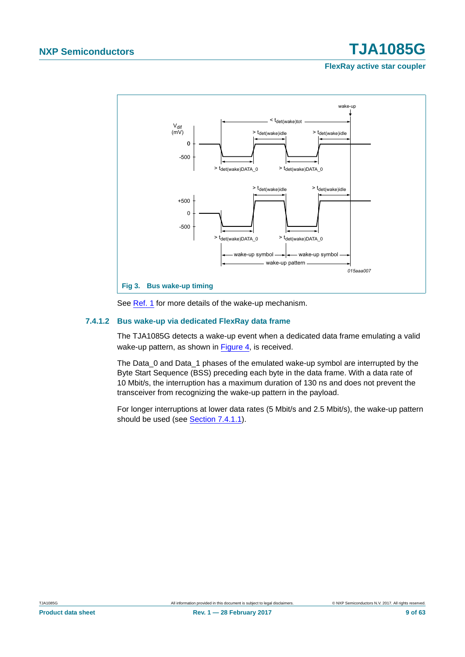**FlexRay active star coupler**



<span id="page-8-0"></span>See [Ref. 1](#page-59-0) for more details of the wake-up mechanism.

#### <span id="page-8-1"></span>**7.4.1.2 Bus wake-up via dedicated FlexRay data frame**

The TJA1085G detects a wake-up event when a dedicated data frame emulating a valid wake-up pattern, as shown in [Figure 4](#page-9-0), is received.

The Data 0 and Data 1 phases of the emulated wake-up symbol are interrupted by the Byte Start Sequence (BSS) preceding each byte in the data frame. With a data rate of 10 Mbit/s, the interruption has a maximum duration of 130 ns and does not prevent the transceiver from recognizing the wake-up pattern in the payload.

For longer interruptions at lower data rates (5 Mbit/s and 2.5 Mbit/s), the wake-up pattern should be used (see [Section 7.4.1.1\)](#page-7-0).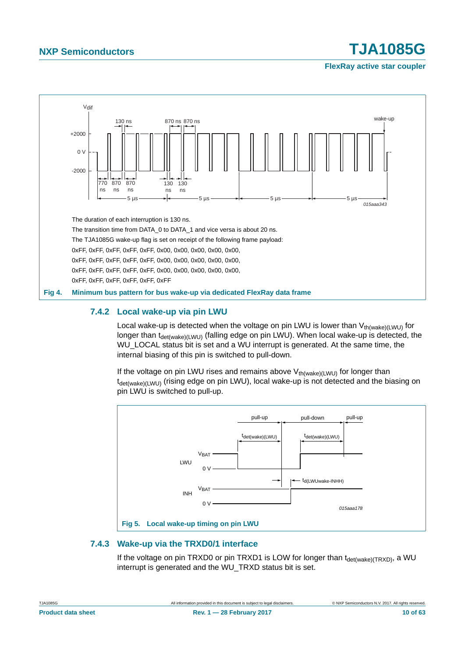

**FlexRay active star coupler**



#### <span id="page-9-1"></span><span id="page-9-0"></span>**7.4.2 Local wake-up via pin LWU**

Local wake-up is detected when the voltage on pin LWU is lower than  $V_{th(wake)(l)W1)}$  for longer than  $t_{\text{det(wake)(LWU)}}$  (falling edge on pin LWU). When local wake-up is detected, the WU\_LOCAL status bit is set and a WU interrupt is generated. At the same time, the internal biasing of this pin is switched to pull-down.

If the voltage on pin LWU rises and remains above  $V_{th(wake)(LWU)}$  for longer than t<sub>det(wake)(LWU)</sub> (rising edge on pin LWU), local wake-up is not detected and the biasing on pin LWU is switched to pull-up.



#### <span id="page-9-2"></span>**7.4.3 Wake-up via the TRXD0/1 interface**

If the voltage on pin TRXD0 or pin TRXD1 is LOW for longer than  $t_{\text{det(wake)}(TRXD)}$ , a WU interrupt is generated and the WU\_TRXD status bit is set.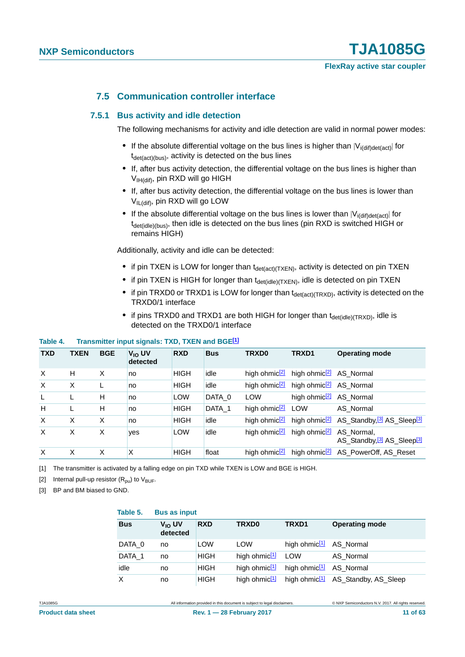#### **7.5 Communication controller interface**

#### <span id="page-10-4"></span><span id="page-10-3"></span>**7.5.1 Bus activity and idle detection**

The following mechanisms for activity and idle detection are valid in normal power modes:

- If the absolute differential voltage on the bus lines is higher than  $|V_{i(\text{diff})\text{det}(\text{act})}|$  for  $t_{\text{det}(\text{act})(bus)}$ , activity is detected on the bus lines
- **•** If, after bus activity detection, the differential voltage on the bus lines is higher than V<sub>IH(dif)</sub>, pin RXD will go HIGH
- **•** If, after bus activity detection, the differential voltage on the bus lines is lower than VIL(dif), pin RXD will go LOW
- If the absolute differential voltage on the bus lines is lower than  $|V_{\text{ifdifidet}(\text{act})}|$  for  $t_{\text{det}(idle)(bus)}$ , then idle is detected on the bus lines (pin RXD is switched HIGH or remains HIGH)

Additionally, activity and idle can be detected:

- if pin TXEN is LOW for longer than t<sub>det(act)(TXEN)</sub>, activity is detected on pin TXEN
- if pin TXEN is HIGH for longer than t<sub>det(idle)(TXEN)</sub>, idle is detected on pin TXEN
- if pin TRXD0 or TRXD1 is LOW for longer than t<sub>det(act)</sub>(TRXD), activity is detected on the TRXD0/1 interface
- if pins TRXD0 and TRXD1 are both HIGH for longer than t<sub>det(idle)</sub>(TRXD), idle is detected on the TRXD0/1 interface

#### **Table 4. Transmitter input signals: TXD, TXEN and BGE[\[1\]](#page-10-0)**

| <b>TXD</b> | <b>TXEN</b> | <b>BGE</b> | $V_{10}$ UV<br>detected | <b>RXD</b>  | <b>Bus</b> | TRXD0                     | TRXD1                                | <b>Operating mode</b>                                                        |
|------------|-------------|------------|-------------------------|-------------|------------|---------------------------|--------------------------------------|------------------------------------------------------------------------------|
| $\times$   | H           | X          | no                      | <b>HIGH</b> | idle       | high ohmic <sup>[2]</sup> | high ohmic <sup>[2]</sup> AS_Normal  |                                                                              |
| $\times$   | X           |            | no                      | <b>HIGH</b> | idle       | high ohmic <sup>[2]</sup> | high ohmic <sup>[2]</sup> AS Normal  |                                                                              |
| L          | L           | н          | no                      | <b>LOW</b>  | DATA 0     | <b>LOW</b>                | high ohmic <sup>[2]</sup> AS_Normal  |                                                                              |
| H          | L           | H          | no                      | <b>HIGH</b> | DATA 1     | high ohmic $\sqrt{2}$ LOW |                                      | AS Normal                                                                    |
| $\times$   | X           | X          | no                      | <b>HIGH</b> | idle       | high ohmic <sup>[2]</sup> |                                      | high ohmic <sup>[2]</sup> AS_Standby, <sup>[3]</sup> AS_Sleep <sup>[3]</sup> |
| $\times$   | X           | X          | <b>ves</b>              | <b>LOW</b>  | idle       | high ohmic <sup>[2]</sup> | high ohmic <sup>[2]</sup> AS_Normal, | AS_Standby, <sup>[3]</sup> AS_Sleep <sup>[3]</sup>                           |
| $\times$   | X           | X          | X                       | <b>HIGH</b> | float      | high ohmic <sup>2</sup>   |                                      | high ohmic <sup>[2]</sup> AS_PowerOff, AS_Reset                              |

<span id="page-10-0"></span>[1] The transmitter is activated by a falling edge on pin TXD while TXEN is LOW and BGE is HIGH.

<span id="page-10-1"></span>[2] Internal pull-up resistor  $(R_{\text{nu}})$  to  $V_{\text{BUE}}$ .

<span id="page-10-2"></span>[3] BP and BM biased to GND.

| Table 5.   | <b>Bus as input</b>            |             |                           |                                     |                                                |
|------------|--------------------------------|-------------|---------------------------|-------------------------------------|------------------------------------------------|
| <b>Bus</b> | V <sub>IO</sub> UV<br>detected | <b>RXD</b>  | TRXD0                     | TRXD1                               | <b>Operating mode</b>                          |
| DATA 0     | no                             | <b>LOW</b>  | LOW                       | high ohmic <sup>[1]</sup> AS_Normal |                                                |
| DATA 1     | no                             | <b>HIGH</b> | high ohmic <sup>[1]</sup> | LOW                                 | AS Normal                                      |
| idle       | no                             | <b>HIGH</b> | high ohmic <sup>[1]</sup> | high ohmic <sup>[1]</sup> AS_Normal |                                                |
| $\times$   | no                             | <b>HIGH</b> | high ohmic <sup>[1]</sup> |                                     | high ohmic <sup>[1]</sup> AS_Standby, AS_Sleep |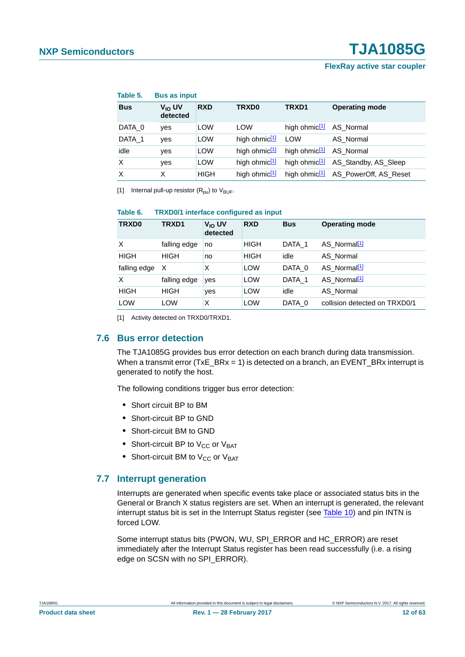#### **FlexRay active star coupler**

| Table 5.   | <b>Bus as input</b>            |             |                           |                                     |                                                 |
|------------|--------------------------------|-------------|---------------------------|-------------------------------------|-------------------------------------------------|
| <b>Bus</b> | V <sub>IO</sub> UV<br>detected | <b>RXD</b>  | TRXD0                     | TRXD1                               | <b>Operating mode</b>                           |
| DATA 0     | <b>ves</b>                     | LOW         | <b>LOW</b>                | high ohmic <sup>[1]</sup> AS_Normal |                                                 |
| DATA 1     | ves                            | LOW         | high ohmic $1/2$ LOW      |                                     | AS Normal                                       |
| idle       | yes                            | LOW         | high ohmic <sup>[1]</sup> | high ohmic <sup>[1]</sup> AS Normal |                                                 |
| X          | yes                            | LOW         | high ohmic <sup>[1]</sup> |                                     | high ohmic <sup>[1]</sup> AS_Standby, AS_Sleep  |
| X          | X                              | <b>HIGH</b> | high ohmic <sup>[1]</sup> |                                     | high ohmic <sup>[1]</sup> AS_PowerOff, AS_Reset |

<span id="page-11-0"></span>[1] Internal pull-up resistor  $(R_{\text{pu}})$  to  $V_{\text{BUF}}$ .

#### **Table 6. TRXD0/1 interface configured as input**

| <b>TRXD0</b> | TRXD1        | V <sub>IO</sub> UV<br>detected | <b>RXD</b>  | <b>Bus</b> | <b>Operating mode</b>         |
|--------------|--------------|--------------------------------|-------------|------------|-------------------------------|
| X            | falling edge | no                             | <b>HIGH</b> | DATA 1     | AS Normal <sup>[1]</sup>      |
| <b>HIGH</b>  | <b>HIGH</b>  | no                             | <b>HIGH</b> | idle       | AS Normal                     |
| falling edge | X            | X                              | LOW         | DATA 0     | AS Normal <sup>[1]</sup>      |
| X            | falling edge | yes                            | LOW         | DATA 1     | AS Normal <sup>[1]</sup>      |
| <b>HIGH</b>  | <b>HIGH</b>  | yes                            | <b>LOW</b>  | idle       | AS Normal                     |
| <b>LOW</b>   | LOW          | X                              | LOW         | DATA 0     | collision detected on TRXD0/1 |

<span id="page-11-1"></span>[1] Activity detected on TRXD0/TRXD1.

#### <span id="page-11-3"></span>**7.6 Bus error detection**

The TJA1085G provides bus error detection on each branch during data transmission. When a transmit error (TxE\_BRx = 1) is detected on a branch, an EVENT\_BRx interrupt is generated to notify the host.

The following conditions trigger bus error detection:

- **•** Short circuit BP to BM
- **•** Short-circuit BP to GND
- **•** Short-circuit BM to GND
- Short-circuit BP to V<sub>CC</sub> or V<sub>BAT</sub>
- Short-circuit BM to V<sub>CC</sub> or V<sub>BAT</sub>

#### <span id="page-11-2"></span>**7.7 Interrupt generation**

Interrupts are generated when specific events take place or associated status bits in the General or Branch X status registers are set. When an interrupt is generated, the relevant interrupt status bit is set in the Interrupt Status register (see [Table 10](#page-25-0)) and pin INTN is forced LOW.

Some interrupt status bits (PWON, WU, SPI\_ERROR and HC\_ERROR) are reset immediately after the Interrupt Status register has been read successfully (i.e. a rising edge on SCSN with no SPI\_ERROR).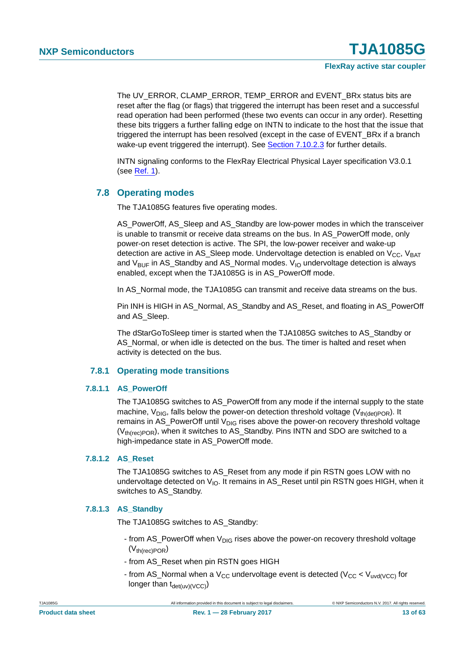The UV\_ERROR, CLAMP\_ERROR, TEMP\_ERROR and EVENT\_BRx status bits are reset after the flag (or flags) that triggered the interrupt has been reset and a successful read operation had been performed (these two events can occur in any order). Resetting these bits triggers a further falling edge on INTN to indicate to the host that the issue that triggered the interrupt has been resolved (except in the case of EVENT\_BRx if a branch wake-up event triggered the interrupt). See [Section 7.10.2.3](#page-25-1) for further details.

INTN signaling conforms to the FlexRay Electrical Physical Layer specification V3.0.1 (see [Ref. 1\)](#page-59-0).

#### <span id="page-12-1"></span>**7.8 Operating modes**

The TJA1085G features five operating modes.

AS\_PowerOff, AS\_Sleep and AS\_Standby are low-power modes in which the transceiver is unable to transmit or receive data streams on the bus. In AS\_PowerOff mode, only power-on reset detection is active. The SPI, the low-power receiver and wake-up detection are active in AS Sleep mode. Undervoltage detection is enabled on  $V_{CC}$ , V<sub>BAT</sub> and  $V_{\text{BUF}}$  in AS\_Standby and AS\_Normal modes.  $V_{10}$  undervoltage detection is always enabled, except when the TJA1085G is in AS\_PowerOff mode.

In AS Normal mode, the TJA1085G can transmit and receive data streams on the bus.

Pin INH is HIGH in AS\_Normal, AS\_Standby and AS\_Reset, and floating in AS\_PowerOff and AS\_Sleep.

The dStarGoToSleep timer is started when the TJA1085G switches to AS\_Standby or AS Normal, or when idle is detected on the bus. The timer is halted and reset when activity is detected on the bus.

#### **7.8.1 Operating mode transitions**

#### <span id="page-12-2"></span><span id="page-12-0"></span>**7.8.1.1 AS\_PowerOff**

The TJA1085G switches to AS\_PowerOff from any mode if the internal supply to the state machine,  $V_{DIG}$ , falls below the power-on detection threshold voltage ( $V_{th(det)POR}$ ). It remains in AS\_PowerOff until  $V_{DIG}$  rises above the power-on recovery threshold voltage  $(V<sub>th(rec)POR</sub>)$ , when it switches to AS\_Standby. Pins INTN and SDO are switched to a high-impedance state in AS\_PowerOff mode.

#### <span id="page-12-3"></span>**7.8.1.2 AS\_Reset**

The TJA1085G switches to AS\_Reset from any mode if pin RSTN goes LOW with no undervoltage detected on  $V_{10}$ . It remains in AS Reset until pin RSTN goes HIGH, when it switches to AS\_Standby.

#### <span id="page-12-4"></span>**7.8.1.3 AS\_Standby**

The TJA1085G switches to AS\_Standby:

- from AS\_PowerOff when  $V_{\text{DIG}}$  rises above the power-on recovery threshold voltage  $(V_{th(rec)POR})$
- from AS\_Reset when pin RSTN goes HIGH
- from AS\_Normal when a  $V_{CC}$  undervoltage event is detected ( $V_{CC}$  <  $V_{uvd/VCC}$ ) for longer than  $t_{\text{det}(uv)(\text{VCC})}$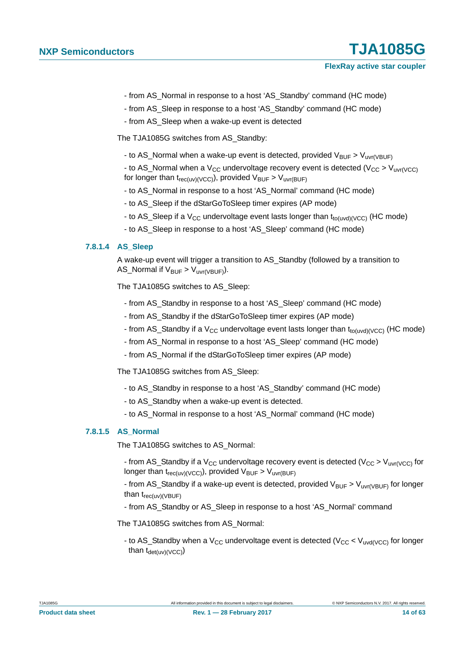- from AS\_Normal in response to a host 'AS\_Standby' command (HC mode)
- from AS Sleep in response to a host 'AS Standby' command (HC mode)
- from AS\_Sleep when a wake-up event is detected

The TJA1085G switches from AS\_Standby:

- to AS\_Normal when a wake-up event is detected, provided  $V_{\text{BUF}} > V_{\text{uvr(VBUF)}}$ 

- to AS Normal when a V<sub>CC</sub> undervoltage recovery event is detected (V<sub>CC</sub> > V<sub>uvr(VCC</sub>) for longer than  $t_{rec(uv)(VCC)}$ , provided  $V_{BUF} > V_{uvr(BUF)}$ 

- to AS\_Normal in response to a host 'AS\_Normal' command (HC mode)
- to AS\_Sleep if the dStarGoToSleep timer expires (AP mode)
- to AS\_Sleep if a  $V_{CC}$  undervoltage event lasts longer than  $t_{to(uvd)(VCC)}$  (HC mode)
- to AS\_Sleep in response to a host 'AS\_Sleep' command (HC mode)

#### <span id="page-13-0"></span>**7.8.1.4 AS\_Sleep**

A wake-up event will trigger a transition to AS\_Standby (followed by a transition to AS\_Normal if  $V_{\text{BUF}} > V_{\text{uvr(VBUF)}}$ ).

The TJA1085G switches to AS\_Sleep:

- from AS\_Standby in response to a host 'AS\_Sleep' command (HC mode)
- from AS\_Standby if the dStarGoToSleep timer expires (AP mode)
- from AS\_Standby if a  $V_{CC}$  undervoltage event lasts longer than  $t_{to(uvd)(VCC)}$  (HC mode)
- from AS\_Normal in response to a host 'AS\_Sleep' command (HC mode)
- from AS\_Normal if the dStarGoToSleep timer expires (AP mode)

The TJA1085G switches from AS\_Sleep:

- to AS\_Standby in response to a host 'AS\_Standby' command (HC mode)
- to AS\_Standby when a wake-up event is detected.
- to AS\_Normal in response to a host 'AS\_Normal' command (HC mode)

#### <span id="page-13-1"></span>**7.8.1.5 AS\_Normal**

The TJA1085G switches to AS\_Normal:

- from AS\_Standby if a  $V_{CC}$  undervoltage recovery event is detected ( $V_{CC} > V_{UVr(VCC)}$  for longer than  $t_{rec(uv)(VCC)}$ , provided  $V_{BUF} > V_{uvr(BUF)}$
- from AS\_Standby if a wake-up event is detected, provided  $V_{BUF} > V_{UVI(VBUF)}$  for longer than  $t_{rec(uv)(VBUF)}$
- from AS\_Standby or AS\_Sleep in response to a host 'AS\_Normal' command

The TJA1085G switches from AS\_Normal:

- to AS\_Standby when a  $V_{CC}$  undervoltage event is detected ( $V_{CC}$  <  $V_{uvd(VCC)}$  for longer than  $t_{\text{det}(uv)(VCC)}$ )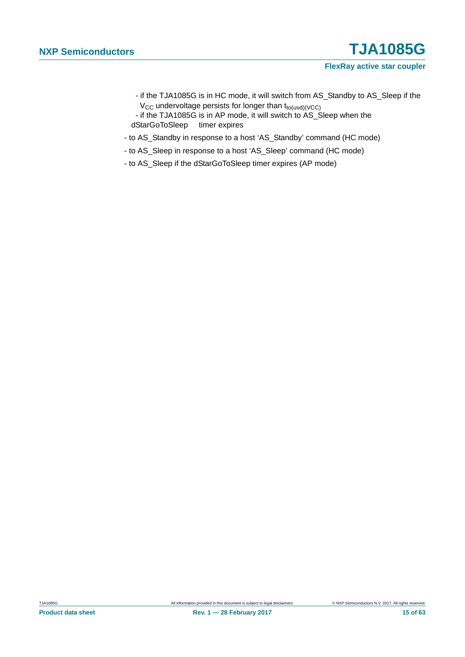- if the TJA1085G is in HC mode, it will switch from AS\_Standby to AS\_Sleep if the  $V_{CC}$  undervoltage persists for longer than  $t_{to(uvd)(VCC)}$
- if the TJA1085G is in AP mode, it will switch to AS\_Sleep when the dStarGoToSleep timer expires
- to AS\_Standby in response to a host 'AS\_Standby' command (HC mode)
- to AS\_Sleep in response to a host 'AS\_Sleep' command (HC mode)
- to AS\_Sleep if the dStarGoToSleep timer expires (AP mode)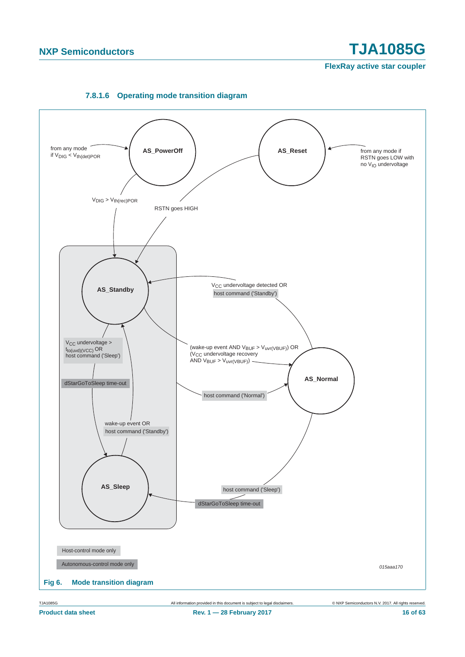<span id="page-15-0"></span>

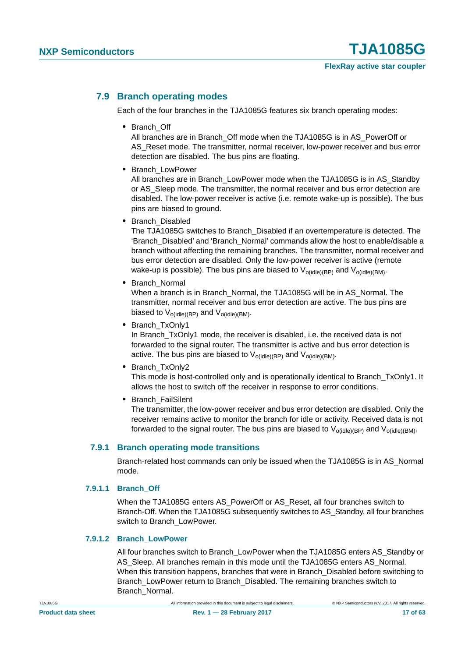#### <span id="page-16-1"></span>**7.9 Branch operating modes**

Each of the four branches in the TJA1085G features six branch operating modes:

**•** Branch\_Off

All branches are in Branch\_Off mode when the TJA1085G is in AS\_PowerOff or AS Reset mode. The transmitter, normal receiver, low-power receiver and bus error detection are disabled. The bus pins are floating.

**•** Branch\_LowPower

All branches are in Branch\_LowPower mode when the TJA1085G is in AS\_Standby or AS\_Sleep mode. The transmitter, the normal receiver and bus error detection are disabled. The low-power receiver is active (i.e. remote wake-up is possible). The bus pins are biased to ground.

**•** Branch\_Disabled

The TJA1085G switches to Branch\_Disabled if an overtemperature is detected. The 'Branch\_Disabled' and 'Branch\_Normal' commands allow the host to enable/disable a branch without affecting the remaining branches. The transmitter, normal receiver and bus error detection are disabled. Only the low-power receiver is active (remote wake-up is possible). The bus pins are biased to  $V_{\text{o}(idle)(BP)}$  and  $V_{\text{o}(idle)(BM)}$ .

**•** Branch\_Normal

When a branch is in Branch\_Normal, the TJA1085G will be in AS\_Normal. The transmitter, normal receiver and bus error detection are active. The bus pins are biased to  $V_{ofidle)(BP)}$  and  $V_{ofidle)(BM)}$ .

**•** Branch\_TxOnly1

In Branch TxOnly1 mode, the receiver is disabled, i.e. the received data is not forwarded to the signal router. The transmitter is active and bus error detection is active. The bus pins are biased to  $V_{o(idle)(BP)}$  and  $V_{o(idle)(BM)}$ .

**•** Branch\_TxOnly2

This mode is host-controlled only and is operationally identical to Branch\_TxOnly1. It allows the host to switch off the receiver in response to error conditions.

**•** Branch\_FailSilent

The transmitter, the low-power receiver and bus error detection are disabled. Only the receiver remains active to monitor the branch for idle or activity. Received data is not forwarded to the signal router. The bus pins are biased to  $V_{\text{o}(idle)(BP)}$  and  $V_{\text{o}(idle)(BM)}$ .

#### <span id="page-16-0"></span>**7.9.1 Branch operating mode transitions**

Branch-related host commands can only be issued when the TJA1085G is in AS\_Normal mode.

#### <span id="page-16-2"></span>**7.9.1.1 Branch\_Off**

When the TJA1085G enters AS\_PowerOff or AS\_Reset, all four branches switch to Branch-Off. When the TJA1085G subsequently switches to AS\_Standby, all four branches switch to Branch\_LowPower.

#### <span id="page-16-3"></span>**7.9.1.2 Branch\_LowPower**

All four branches switch to Branch\_LowPower when the TJA1085G enters AS\_Standby or AS\_Sleep. All branches remain in this mode until the TJA1085G enters AS\_Normal. When this transition happens, branches that were in Branch Disabled before switching to Branch\_LowPower return to Branch\_Disabled. The remaining branches switch to Branch\_Normal.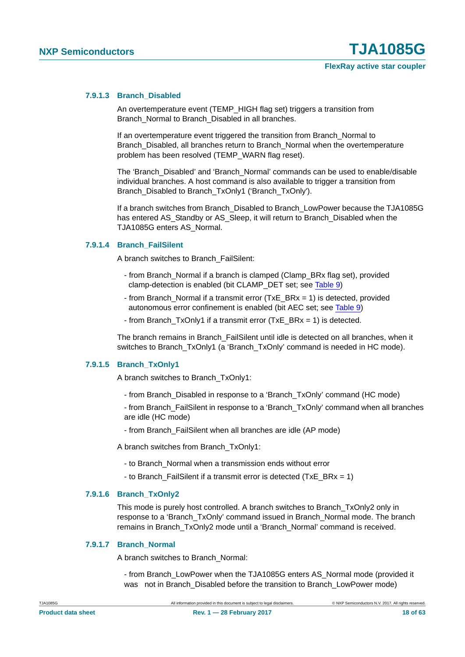#### <span id="page-17-0"></span>**7.9.1.3 Branch\_Disabled**

An overtemperature event (TEMP\_HIGH flag set) triggers a transition from Branch\_Normal to Branch\_Disabled in all branches.

If an overtemperature event triggered the transition from Branch\_Normal to Branch\_Disabled, all branches return to Branch\_Normal when the overtemperature problem has been resolved (TEMP\_WARN flag reset).

The 'Branch\_Disabled' and 'Branch\_Normal' commands can be used to enable/disable individual branches. A host command is also available to trigger a transition from Branch\_Disabled to Branch\_TxOnly1 ('Branch\_TxOnly').

If a branch switches from Branch\_Disabled to Branch\_LowPower because the TJA1085G has entered AS\_Standby or AS\_Sleep, it will return to Branch\_Disabled when the TJA1085G enters AS\_Normal.

#### <span id="page-17-1"></span>**7.9.1.4 Branch\_FailSilent**

A branch switches to Branch\_FailSilent:

- from Branch\_Normal if a branch is clamped (Clamp\_BRx flag set), provided clamp-detection is enabled (bit CLAMP\_DET set; see [Table 9\)](#page-23-0)
- from Branch\_Normal if a transmit error (TxE\_BRx = 1) is detected, provided autonomous error confinement is enabled (bit AEC set; see [Table 9\)](#page-23-0)
- from Branch TxOnly1 if a transmit error (TxE\_BRx = 1) is detected.

The branch remains in Branch\_FailSilent until idle is detected on all branches, when it switches to Branch\_TxOnly1 (a 'Branch\_TxOnly' command is needed in HC mode).

#### <span id="page-17-2"></span>**7.9.1.5 Branch\_TxOnly1**

A branch switches to Branch\_TxOnly1:

- from Branch\_Disabled in response to a 'Branch\_TxOnly' command (HC mode)

- from Branch\_FailSilent in response to a 'Branch\_TxOnly' command when all branches are idle (HC mode)

- from Branch\_FailSilent when all branches are idle (AP mode)

A branch switches from Branch\_TxOnly1:

- to Branch\_Normal when a transmission ends without error
- to Branch FailSilent if a transmit error is detected (TxE BRx = 1)

#### <span id="page-17-3"></span>**7.9.1.6 Branch\_TxOnly2**

This mode is purely host controlled. A branch switches to Branch\_TxOnly2 only in response to a 'Branch\_TxOnly' command issued in Branch\_Normal mode. The branch remains in Branch\_TxOnly2 mode until a 'Branch\_Normal' command is received.

#### <span id="page-17-4"></span>**7.9.1.7 Branch\_Normal**

A branch switches to Branch\_Normal:

- from Branch\_LowPower when the TJA1085G enters AS\_Normal mode (provided it was not in Branch\_Disabled before the transition to Branch\_LowPower mode)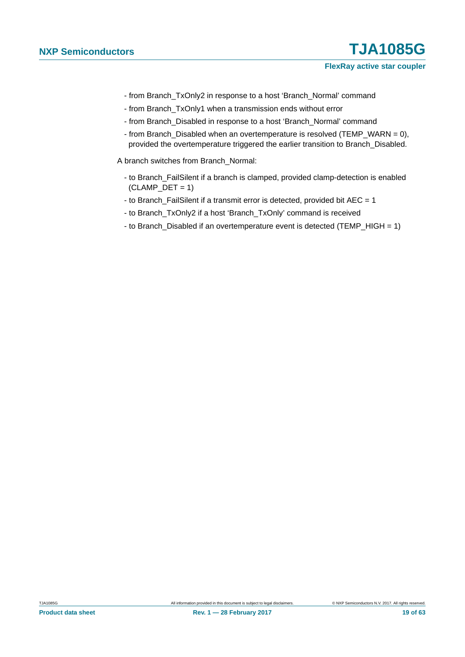- from Branch\_TxOnly2 in response to a host 'Branch\_Normal' command
- from Branch\_TxOnly1 when a transmission ends without error
- from Branch\_Disabled in response to a host 'Branch\_Normal' command
- from Branch\_Disabled when an overtemperature is resolved (TEMP\_WARN = 0), provided the overtemperature triggered the earlier transition to Branch\_Disabled.

A branch switches from Branch\_Normal:

- to Branch\_FailSilent if a branch is clamped, provided clamp-detection is enabled  $(CLAMP_DET = 1)$
- to Branch\_FailSilent if a transmit error is detected, provided bit AEC = 1
- to Branch\_TxOnly2 if a host 'Branch\_TxOnly' command is received
- to Branch\_Disabled if an overtemperature event is detected (TEMP\_HIGH = 1)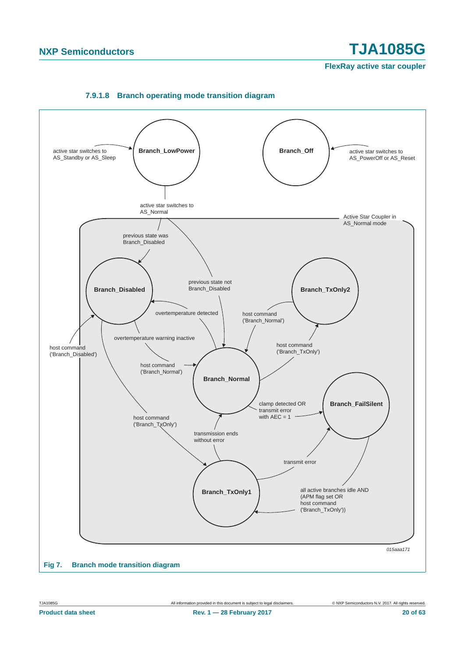**FlexRay active star coupler**

<span id="page-19-0"></span>

#### **7.9.1.8 Branch operating mode transition diagram**

**Product data sheet Rev. 1 — 28 February 2017 20 of 63**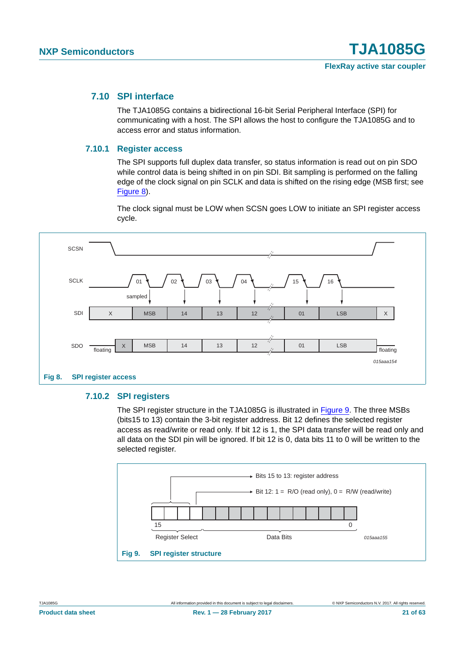#### <span id="page-20-2"></span>**7.10 SPI interface**

The TJA1085G contains a bidirectional 16-bit Serial Peripheral Interface (SPI) for communicating with a host. The SPI allows the host to configure the TJA1085G and to access error and status information.

#### <span id="page-20-3"></span>**7.10.1 Register access**

The SPI supports full duplex data transfer, so status information is read out on pin SDO while control data is being shifted in on pin SDI. Bit sampling is performed on the falling edge of the clock signal on pin SCLK and data is shifted on the rising edge (MSB first; see [Figure 8\)](#page-20-0).

The clock signal must be LOW when SCSN goes LOW to initiate an SPI register access cycle.



#### <span id="page-20-4"></span><span id="page-20-0"></span>**7.10.2 SPI registers**

The SPI register structure in the TJA1085G is illustrated in [Figure 9](#page-20-1). The three MSBs (bits15 to 13) contain the 3-bit register address. Bit 12 defines the selected register access as read/write or read only. If bit 12 is 1, the SPI data transfer will be read only and all data on the SDI pin will be ignored. If bit 12 is 0, data bits 11 to 0 will be written to the selected register.

<span id="page-20-1"></span>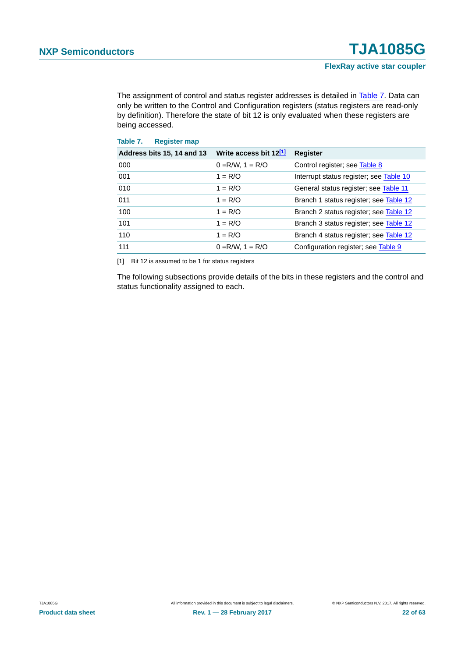The assignment of control and status register addresses is detailed in [Table 7.](#page-21-0) Data can only be written to the Control and Configuration registers (status registers are read-only by definition). Therefore the state of bit 12 is only evaluated when these registers are being accessed.

<span id="page-21-0"></span>

| Address bits 15, 14 and 13 | Write access bit 12 <sup>[1]</sup> | <b>Register</b>                         |
|----------------------------|------------------------------------|-----------------------------------------|
| 000                        | $0 = R/W$ , $1 = R/O$              | Control register; see Table 8           |
| 001                        | $1 = R/O$                          | Interrupt status register; see Table 10 |
| 010                        | $1 = R/O$                          | General status register; see Table 11   |
| 011                        | $1 = R/O$                          | Branch 1 status register; see Table 12  |
| 100                        | $1 = R/O$                          | Branch 2 status register; see Table 12  |
| 101                        | $1 = R/O$                          | Branch 3 status register; see Table 12  |
| 110                        | $1 = R/O$                          | Branch 4 status register; see Table 12  |
| 111                        | $0 = R/W$ , $1 = R/O$              | Configuration register; see Table 9     |

<span id="page-21-1"></span>[1] Bit 12 is assumed to be 1 for status registers

The following subsections provide details of the bits in these registers and the control and status functionality assigned to each.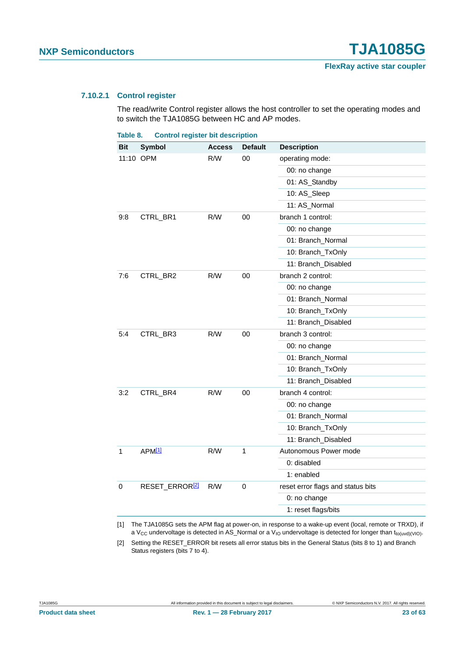#### <span id="page-22-3"></span>**7.10.2.1 Control register**

The read/write Control register allows the host controller to set the operating modes and to switch the TJA1085G between HC and AP modes.

<span id="page-22-0"></span>

| Table 8.  |                    | <b>Control register bit description</b> |               |                   |                                   |
|-----------|--------------------|-----------------------------------------|---------------|-------------------|-----------------------------------|
| Bit       | <b>Symbol</b>      |                                         | <b>Access</b> | <b>Default</b>    | <b>Description</b>                |
| 11:10 OPM |                    |                                         | R/W           | 00                | operating mode:                   |
|           |                    |                                         |               |                   | 00: no change                     |
|           |                    |                                         |               |                   | 01: AS_Standby                    |
|           |                    |                                         |               |                   | 10: AS_Sleep                      |
|           |                    |                                         |               |                   | 11: AS_Normal                     |
| 9:8       | CTRL_BR1           |                                         | R/W           | 00                | branch 1 control:                 |
|           |                    |                                         |               |                   | 00: no change                     |
|           |                    |                                         |               |                   | 01: Branch_Normal                 |
|           |                    |                                         |               |                   | 10: Branch_TxOnly                 |
|           |                    |                                         |               |                   | 11: Branch_Disabled               |
| 7:6       | CTRL_BR2           |                                         | R/W           | 00                | branch 2 control:                 |
|           |                    |                                         |               |                   | 00: no change                     |
|           |                    |                                         |               |                   | 01: Branch_Normal                 |
|           |                    |                                         |               | 10: Branch_TxOnly |                                   |
|           |                    |                                         |               |                   | 11: Branch_Disabled               |
| 5:4       |                    | CTRL_BR3                                | R/W           | 00                | branch 3 control:                 |
|           |                    |                                         |               |                   | 00: no change                     |
|           |                    |                                         |               |                   | 01: Branch_Normal                 |
|           |                    |                                         |               |                   | 10: Branch_TxOnly                 |
|           |                    |                                         |               |                   | 11: Branch_Disabled               |
| 3:2       |                    | CTRL_BR4                                | R/W           | 00                | branch 4 control:                 |
|           |                    |                                         |               |                   | 00: no change                     |
|           |                    |                                         |               |                   | 01: Branch_Normal                 |
|           |                    |                                         |               |                   | 10: Branch_TxOnly                 |
|           |                    |                                         |               |                   | 11: Branch_Disabled               |
| 1         | APM <sup>[1]</sup> |                                         | R/W           | 1                 | Autonomous Power mode             |
|           |                    |                                         |               |                   | 0: disabled                       |
|           |                    |                                         |               |                   | 1: enabled                        |
| 0         |                    | RESET_ERROR <sup>[2]</sup>              | R/W           | 0                 | reset error flags and status bits |
|           |                    |                                         |               |                   | 0: no change                      |
|           |                    |                                         |               |                   | 1: reset flags/bits               |

<span id="page-22-1"></span>[1] The TJA1085G sets the APM flag at power-on, in response to a wake-up event (local, remote or TRXD), if a V<sub>CC</sub> undervoltage is detected in AS\_Normal or a V<sub>IO</sub> undervoltage is detected for longer than t<sub>to(uvd)(VIO)</sub>.

<span id="page-22-2"></span>[2] Setting the RESET\_ERROR bit resets all error status bits in the General Status (bits 8 to 1) and Branch Status registers (bits 7 to 4).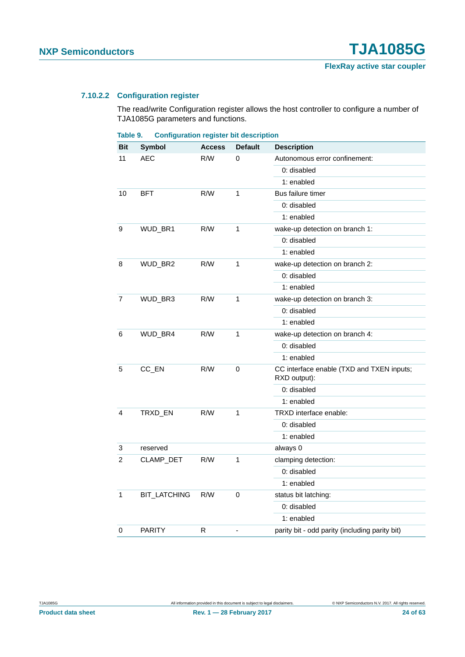#### <span id="page-23-1"></span>**7.10.2.2 Configuration register**

The read/write Configuration register allows the host controller to configure a number of TJA1085G parameters and functions.

<span id="page-23-0"></span>

| Table 9. | <b>Configuration register bit description</b> |  |  |
|----------|-----------------------------------------------|--|--|
|----------|-----------------------------------------------|--|--|

| Bit            | Symbol              | <b>Access</b> | <b>Default</b> | <b>Description</b>                                        |
|----------------|---------------------|---------------|----------------|-----------------------------------------------------------|
| 11             | <b>AEC</b>          | R/W           | 0              | Autonomous error confinement:                             |
|                |                     |               |                | 0: disabled                                               |
|                |                     |               |                | 1: enabled                                                |
| 10             | <b>BFT</b>          | R/W           | 1              | Bus failure timer                                         |
|                |                     |               |                | 0: disabled                                               |
|                |                     |               |                | 1: enabled                                                |
| 9              | WUD_BR1             | R/W           | 1              | wake-up detection on branch 1:                            |
|                |                     |               |                | 0: disabled                                               |
|                |                     |               |                | 1: enabled                                                |
| 8              | WUD_BR2             | R/W           | $\mathbf 1$    | wake-up detection on branch 2:                            |
|                |                     |               |                | 0: disabled                                               |
|                |                     |               |                | 1: enabled                                                |
| $\overline{7}$ | WUD_BR3             | R/W           | 1              | wake-up detection on branch 3:                            |
|                |                     |               |                | 0: disabled                                               |
|                |                     |               |                | 1: enabled                                                |
| 6              | WUD_BR4             | R/W           | 1              | wake-up detection on branch 4:                            |
|                |                     |               |                | 0: disabled                                               |
|                |                     |               |                | 1: enabled                                                |
| 5              | CC_EN               | R/W           | 0              | CC interface enable (TXD and TXEN inputs;<br>RXD output): |
|                |                     |               |                | 0: disabled                                               |
|                |                     |               |                | 1: enabled                                                |
| 4              | TRXD_EN             | R/W           | 1              | TRXD interface enable:                                    |
|                |                     |               |                | 0: disabled                                               |
|                |                     |               |                | 1: enabled                                                |
| 3              | reserved            |               |                | always 0                                                  |
| 2              | CLAMP_DET           | R/W           | 1              | clamping detection:                                       |
|                |                     |               |                | 0: disabled                                               |
|                |                     |               |                | 1: enabled                                                |
| 1              | <b>BIT_LATCHING</b> | R/W           | $\Omega$       | status bit latching:                                      |
|                |                     |               |                | 0: disabled                                               |
|                |                     |               |                | 1: enabled                                                |
| 0              | <b>PARITY</b>       | R             |                | parity bit - odd parity (including parity bit)            |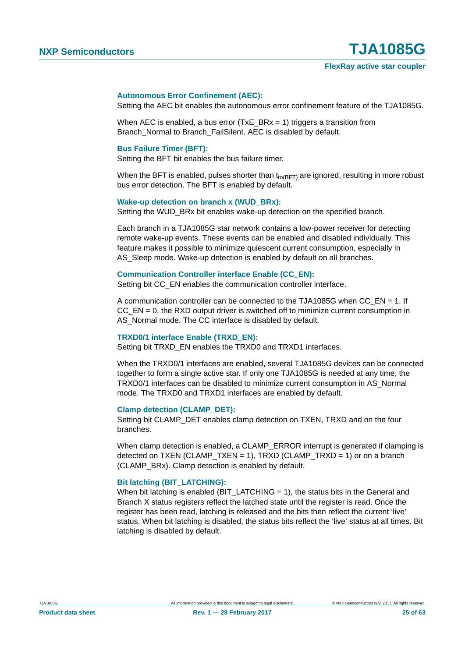#### **Autonomous Error Confinement (AEC):**

Setting the AEC bit enables the autonomous error confinement feature of the TJA1085G.

When AEC is enabled, a bus error (TxE  $BRx = 1$ ) triggers a transition from Branch Normal to Branch\_FailSilent. AEC is disabled by default.

#### **Bus Failure Timer (BFT):**

Setting the BFT bit enables the bus failure timer.

When the BFT is enabled, pulses shorter than  $t_{to(BFT)}$  are ignored, resulting in more robust bus error detection. The BFT is enabled by default.

#### Wake-up detection on branch x (WUD\_BRx):

Setting the WUD\_BRx bit enables wake-up detection on the specified branch.

Each branch in a TJA1085G star network contains a low-power receiver for detecting remote wake-up events. These events can be enabled and disabled individually. This feature makes it possible to minimize quiescent current consumption, especially in AS Sleep mode. Wake-up detection is enabled by default on all branches.

#### **Communication Controller interface Enable (CC\_EN):**

Setting bit CC\_EN enables the communication controller interface.

A communication controller can be connected to the TJA1085G when CC\_EN = 1. If  $CC$   $EN = 0$ , the RXD output driver is switched off to minimize current consumption in AS Normal mode. The CC interface is disabled by default.

#### **TRXD0/1 interface Enable (TRXD\_EN):**

Setting bit TRXD\_EN enables the TRXD0 and TRXD1 interfaces.

When the TRXD0/1 interfaces are enabled, several TJA1085G devices can be connected together to form a single active star. If only one TJA1085G is needed at any time, the TRXD0/1 interfaces can be disabled to minimize current consumption in AS\_Normal mode. The TRXD0 and TRXD1 interfaces are enabled by default.

#### **Clamp detection (CLAMP\_DET):**

Setting bit CLAMP\_DET enables clamp detection on TXEN, TRXD and on the four branches.

When clamp detection is enabled, a CLAMP\_ERROR interrupt is generated if clamping is detected on TXEN (CLAMP\_TXEN = 1), TRXD (CLAMP\_TRXD = 1) or on a branch (CLAMP\_BRx). Clamp detection is enabled by default.

#### **Bit latching (BIT\_LATCHING):**

When bit latching is enabled (BIT\_LATCHING = 1), the status bits in the General and Branch X status registers reflect the latched state until the register is read. Once the register has been read, latching is released and the bits then reflect the current 'live' status. When bit latching is disabled, the status bits reflect the 'live' status at all times. Bit latching is disabled by default.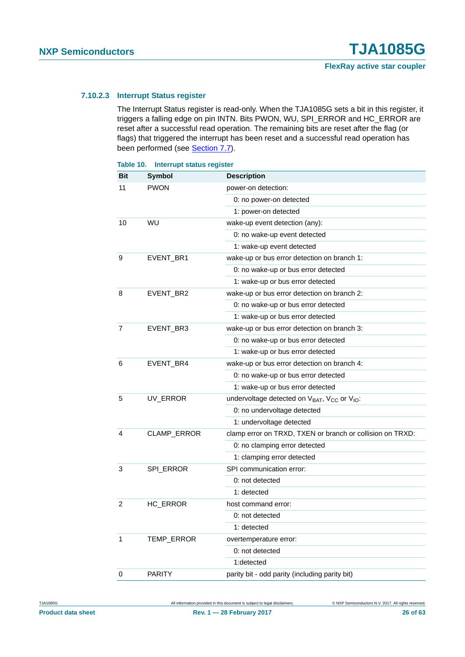#### <span id="page-25-1"></span>**7.10.2.3 Interrupt Status register**

The Interrupt Status register is read-only. When the TJA1085G sets a bit in this register, it triggers a falling edge on pin INTN. Bits PWON, WU, SPI\_ERROR and HC\_ERROR are reset after a successful read operation. The remaining bits are reset after the flag (or flags) that triggered the interrupt has been reset and a successful read operation has been performed (see [Section 7.7\)](#page-11-2).

<span id="page-25-0"></span>

| Table 10.      | <b>Interrupt status register</b> |                                                                                  |
|----------------|----------------------------------|----------------------------------------------------------------------------------|
| Bit            | <b>Symbol</b>                    | <b>Description</b>                                                               |
| 11             | <b>PWON</b>                      | power-on detection:                                                              |
|                |                                  | 0: no power-on detected                                                          |
|                |                                  | 1: power-on detected                                                             |
| 10             | WU                               | wake-up event detection (any):                                                   |
|                |                                  | 0: no wake-up event detected                                                     |
|                |                                  | 1: wake-up event detected                                                        |
| 9              | EVENT_BR1                        | wake-up or bus error detection on branch 1:                                      |
|                |                                  | 0: no wake-up or bus error detected                                              |
|                |                                  | 1: wake-up or bus error detected                                                 |
| 8              | EVENT_BR2                        | wake-up or bus error detection on branch 2:                                      |
|                |                                  | 0: no wake-up or bus error detected                                              |
|                |                                  | 1: wake-up or bus error detected                                                 |
| 7              | EVENT_BR3                        | wake-up or bus error detection on branch 3:                                      |
|                |                                  | 0: no wake-up or bus error detected                                              |
|                |                                  | 1: wake-up or bus error detected                                                 |
| 6              | EVENT_BR4                        | wake-up or bus error detection on branch 4:                                      |
|                |                                  | 0: no wake-up or bus error detected                                              |
|                |                                  | 1: wake-up or bus error detected                                                 |
| 5              | UV_ERROR                         | undervoltage detected on V <sub>BAT</sub> , V <sub>CC</sub> or V <sub>IO</sub> : |
|                |                                  | 0: no undervoltage detected                                                      |
|                |                                  | 1: undervoltage detected                                                         |
| 4              | CLAMP_ERROR                      | clamp error on TRXD, TXEN or branch or collision on TRXD:                        |
|                |                                  | 0: no clamping error detected                                                    |
|                |                                  | 1: clamping error detected                                                       |
| 3              | SPI_ERROR                        | SPI communication error:                                                         |
|                |                                  | 0: not detected                                                                  |
|                |                                  | 1: detected                                                                      |
| $\overline{2}$ | HC_ERROR                         | host command error:                                                              |
|                |                                  | 0: not detected                                                                  |
|                |                                  | 1: detected                                                                      |
| $\mathbf{1}$   | TEMP_ERROR                       | overtemperature error:                                                           |
|                |                                  | 0: not detected                                                                  |
|                |                                  | 1:detected                                                                       |
| 0              | <b>PARITY</b>                    | parity bit - odd parity (including parity bit)                                   |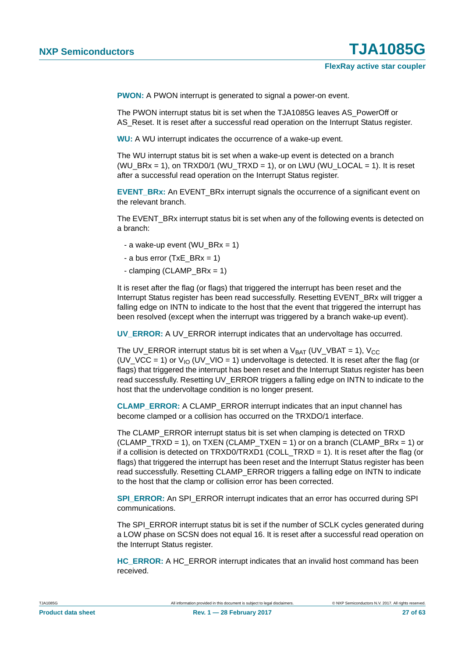**PWON:** A PWON interrupt is generated to signal a power-on event.

The PWON interrupt status bit is set when the TJA1085G leaves AS\_PowerOff or AS Reset. It is reset after a successful read operation on the Interrupt Status register.

**WU:** A WU interrupt indicates the occurrence of a wake-up event.

The WU interrupt status bit is set when a wake-up event is detected on a branch  $(WU_BRx = 1)$ , on TRXD0/1  $(WU_TRXD = 1)$ , or on LWU  $(WU_LOCAL = 1)$ . It is reset after a successful read operation on the Interrupt Status register.

**EVENT\_BRx:** An EVENT\_BRx interrupt signals the occurrence of a significant event on the relevant branch.

The EVENT BRx interrupt status bit is set when any of the following events is detected on a branch:

- a wake-up event (WU  $BRx = 1$ )
- a bus error (TxE BRx = 1)
- clamping (CLAMP\_BR $x = 1$ )

It is reset after the flag (or flags) that triggered the interrupt has been reset and the Interrupt Status register has been read successfully. Resetting EVENT\_BRx will trigger a falling edge on INTN to indicate to the host that the event that triggered the interrupt has been resolved (except when the interrupt was triggered by a branch wake-up event).

**UV\_ERROR:** A UV\_ERROR interrupt indicates that an undervoltage has occurred.

The UV\_ERROR interrupt status bit is set when a  $V_{BAT}$  (UV\_VBAT = 1),  $V_{CC}$ (UV\_VCC = 1) or  $V_{10}$  (UV\_VIO = 1) undervoltage is detected. It is reset after the flag (or flags) that triggered the interrupt has been reset and the Interrupt Status register has been read successfully. Resetting UV\_ERROR triggers a falling edge on INTN to indicate to the host that the undervoltage condition is no longer present.

**CLAMP\_ERROR:** A CLAMP\_ERROR interrupt indicates that an input channel has become clamped or a collision has occurred on the TRXDO/1 interface.

The CLAMP\_ERROR interrupt status bit is set when clamping is detected on TRXD  $(CLAMP_TRXD = 1)$ , on TXEN  $(CLAMP_TXEN = 1)$  or on a branch  $(CLAMP_BRx = 1)$  or if a collision is detected on TRXD0/TRXD1 (COLL\_TRXD = 1). It is reset after the flag (or flags) that triggered the interrupt has been reset and the Interrupt Status register has been read successfully. Resetting CLAMP\_ERROR triggers a falling edge on INTN to indicate to the host that the clamp or collision error has been corrected.

**SPI\_ERROR:** An SPI\_ERROR interrupt indicates that an error has occurred during SPI communications.

The SPI\_ERROR interrupt status bit is set if the number of SCLK cycles generated during a LOW phase on SCSN does not equal 16. It is reset after a successful read operation on the Interrupt Status register.

**HC\_ERROR:** A HC\_ERROR interrupt indicates that an invalid host command has been received.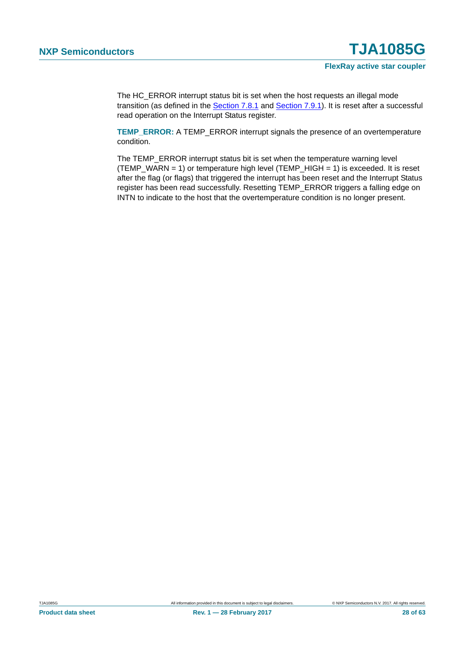The HC\_ERROR interrupt status bit is set when the host requests an illegal mode transition (as defined in the [Section 7.8.1](#page-12-0) and [Section 7.9.1\)](#page-16-0). It is reset after a successful read operation on the Interrupt Status register.

**TEMP\_ERROR:** A TEMP\_ERROR interrupt signals the presence of an overtemperature condition.

The TEMP\_ERROR interrupt status bit is set when the temperature warning level (TEMP\_WARN = 1) or temperature high level (TEMP\_HIGH = 1) is exceeded. It is reset after the flag (or flags) that triggered the interrupt has been reset and the Interrupt Status register has been read successfully. Resetting TEMP\_ERROR triggers a falling edge on INTN to indicate to the host that the overtemperature condition is no longer present.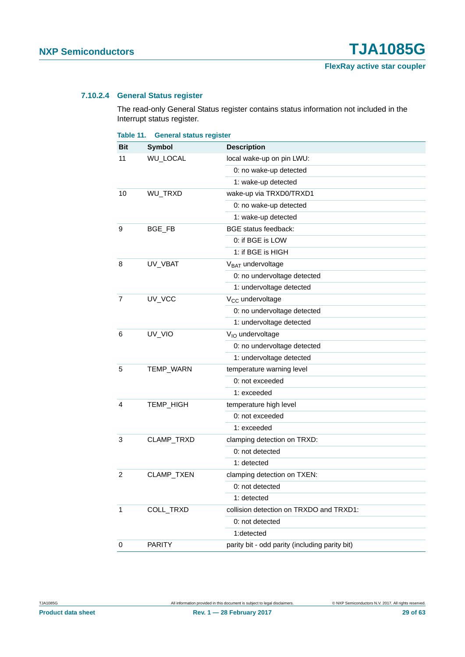#### <span id="page-28-1"></span>**7.10.2.4 General Status register**

The read-only General Status register contains status information not included in the Interrupt status register.

<span id="page-28-0"></span>

| Table 11.      | <b>General status register</b> |                                                |
|----------------|--------------------------------|------------------------------------------------|
| Bit            | <b>Symbol</b>                  | <b>Description</b>                             |
| 11             | WU_LOCAL                       | local wake-up on pin LWU:                      |
|                |                                | 0: no wake-up detected                         |
|                |                                | 1: wake-up detected                            |
| 10             | WU_TRXD                        | wake-up via TRXD0/TRXD1                        |
|                |                                | 0: no wake-up detected                         |
|                |                                | 1: wake-up detected                            |
| 9              | BGE_FB                         | <b>BGE</b> status feedback:                    |
|                |                                | 0: if BGE is LOW                               |
|                |                                | 1: if BGE is HIGH                              |
| 8              | UV_VBAT                        | V <sub>BAT</sub> undervoltage                  |
|                |                                | 0: no undervoltage detected                    |
|                |                                | 1: undervoltage detected                       |
| 7              | UV_VCC                         | V <sub>CC</sub> undervoltage                   |
|                |                                | 0: no undervoltage detected                    |
|                |                                | 1: undervoltage detected                       |
| 6              | UV_VIO                         | V <sub>IO</sub> undervoltage                   |
|                |                                | 0: no undervoltage detected                    |
|                |                                | 1: undervoltage detected                       |
| 5              | TEMP_WARN                      | temperature warning level                      |
|                |                                | 0: not exceeded                                |
|                |                                | 1: exceeded                                    |
| 4              | TEMP_HIGH                      | temperature high level                         |
|                |                                | 0: not exceeded                                |
|                |                                | 1: exceeded                                    |
| 3              | CLAMP_TRXD                     | clamping detection on TRXD:                    |
|                |                                | 0: not detected                                |
|                |                                | 1: detected                                    |
| $\overline{2}$ | CLAMP_TXEN                     | clamping detection on TXEN:                    |
|                |                                | 0: not detected                                |
|                |                                | 1: detected                                    |
| 1              | COLL_TRXD                      | collision detection on TRXDO and TRXD1:        |
|                |                                | 0: not detected                                |
|                |                                | 1:detected                                     |
| 0              | <b>PARITY</b>                  | parity bit - odd parity (including parity bit) |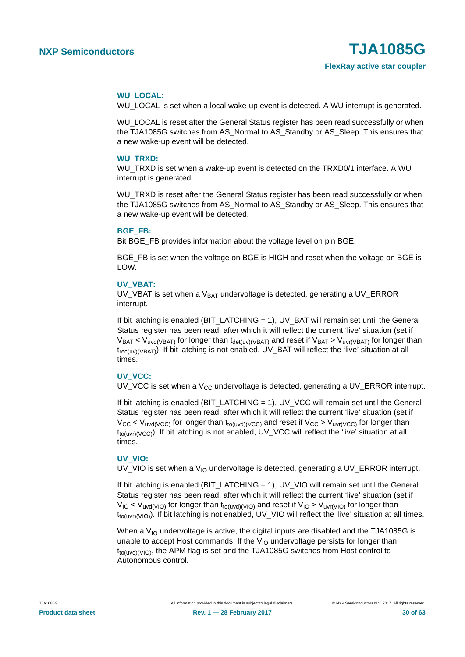#### **WU\_LOCAL:**

WU\_LOCAL is set when a local wake-up event is detected. A WU interrupt is generated.

WU\_LOCAL is reset after the General Status register has been read successfully or when the TJA1085G switches from AS\_Normal to AS\_Standby or AS\_Sleep. This ensures that a new wake-up event will be detected.

#### **WU\_TRXD:**

WU TRXD is set when a wake-up event is detected on the TRXD0/1 interface. A WU interrupt is generated.

WU TRXD is reset after the General Status register has been read successfully or when the TJA1085G switches from AS\_Normal to AS\_Standby or AS\_Sleep. This ensures that a new wake-up event will be detected.

#### **BGE\_FB:**

Bit BGE\_FB provides information about the voltage level on pin BGE.

BGE\_FB is set when the voltage on BGE is HIGH and reset when the voltage on BGE is LOW.

#### **UV\_VBAT:**

UV\_VBAT is set when a  $V<sub>BAT</sub>$  undervoltage is detected, generating a UV\_ERROR interrupt.

If bit latching is enabled (BIT\_LATCHING = 1), UV\_BAT will remain set until the General Status register has been read, after which it will reflect the current 'live' situation (set if  $V_{BAT} < V_{uvd(VBAT)}$  for longer than  $t_{det(uv)(VBAT)}$  and reset if  $V_{BAT} > V_{uvr(VBAT)}$  for longer than trec(uv)(VBAT)). If bit latching is not enabled, UV\_BAT will reflect the 'live' situation at all times.

#### **UV\_VCC:**

UV VCC is set when a  $V_{CC}$  undervoltage is detected, generating a UV ERROR interrupt.

If bit latching is enabled (BIT\_LATCHING = 1), UV\_VCC will remain set until the General Status register has been read, after which it will reflect the current 'live' situation (set if  $V_{CC}$  <  $V_{uvd(VCC)}$  for longer than t<sub>to(uvd)</sub>( $V_{CC}$ ) and reset if  $V_{CC}$  >  $V_{uvd(VCC)}$  for longer than  $t_{tot(uv)(VCC)}$ ). If bit latching is not enabled, UV\_VCC will reflect the 'live' situation at all times.

#### **UV\_VIO:**

UV\_VIO is set when a  $V_{10}$  undervoltage is detected, generating a UV\_ERROR interrupt.

If bit latching is enabled (BIT\_LATCHING = 1), UV\_VIO will remain set until the General Status register has been read, after which it will reflect the current 'live' situation (set if  $V_{IO}$  <  $V_{uvd(VIO)}$  for longer than t<sub>to(uvd)</sub>( $V_{IO}$ ) and reset if  $V_{IO}$  >  $V_{uvt(VIO)}$  for longer than t<sub>to(uvr)</sub>(v<sub>IO</sub>). If bit latching is not enabled, UV\_VIO will reflect the 'live' situation at all times.

When a  $V_{10}$  undervoltage is active, the digital inputs are disabled and the TJA1085G is unable to accept Host commands. If the  $V_{1O}$  undervoltage persists for longer than  $t_{tot(uvd)(VIO)}$ , the APM flag is set and the TJA1085G switches from Host control to Autonomous control.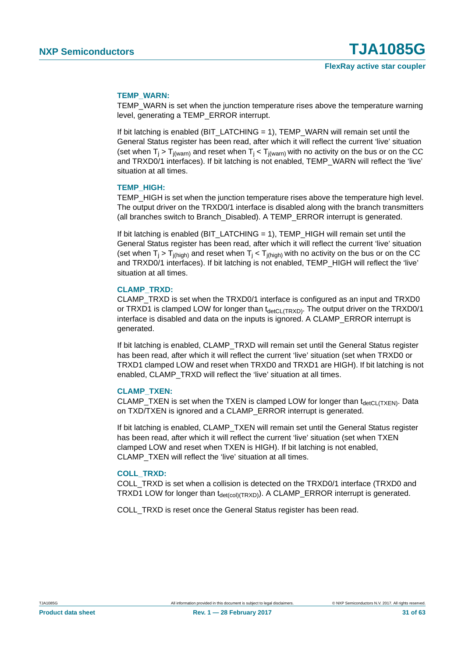#### **TEMP\_WARN:**

TEMP\_WARN is set when the junction temperature rises above the temperature warning level, generating a TEMP\_ERROR interrupt.

If bit latching is enabled (BIT\_LATCHING = 1), TEMP\_WARN will remain set until the General Status register has been read, after which it will reflect the current 'live' situation (set when  $T_i > T_{i(warn)}$  and reset when  $T_i < T_{i(warn)}$  with no activity on the bus or on the CC and TRXD0/1 interfaces). If bit latching is not enabled, TEMP\_WARN will reflect the 'live' situation at all times.

#### **TEMP\_HIGH:**

TEMP\_HIGH is set when the junction temperature rises above the temperature high level. The output driver on the TRXD0/1 interface is disabled along with the branch transmitters (all branches switch to Branch\_Disabled). A TEMP\_ERROR interrupt is generated.

If bit latching is enabled (BIT\_LATCHING = 1), TEMP\_HIGH will remain set until the General Status register has been read, after which it will reflect the current 'live' situation (set when  $T_i > T_{i(hich)}$  and reset when  $T_i < T_{i(hich)}$  with no activity on the bus or on the CC and TRXD0/1 interfaces). If bit latching is not enabled, TEMP\_HIGH will reflect the 'live' situation at all times.

#### **CLAMP\_TRXD:**

CLAMP\_TRXD is set when the TRXD0/1 interface is configured as an input and TRXD0 or TRXD1 is clamped LOW for longer than  $t_{\text{detCL(TRXD)}}$ . The output driver on the TRXD0/1 interface is disabled and data on the inputs is ignored. A CLAMP\_ERROR interrupt is generated.

If bit latching is enabled, CLAMP\_TRXD will remain set until the General Status register has been read, after which it will reflect the current 'live' situation (set when TRXD0 or TRXD1 clamped LOW and reset when TRXD0 and TRXD1 are HIGH). If bit latching is not enabled, CLAMP\_TRXD will reflect the 'live' situation at all times.

#### **CLAMP\_TXEN:**

CLAMP TXEN is set when the TXEN is clamped LOW for longer than  $t_{\text{detCL(TXEN)}}$ . Data on TXD/TXEN is ignored and a CLAMP\_ERROR interrupt is generated.

If bit latching is enabled, CLAMP\_TXEN will remain set until the General Status register has been read, after which it will reflect the current 'live' situation (set when TXEN clamped LOW and reset when TXEN is HIGH). If bit latching is not enabled, CLAMP\_TXEN will reflect the 'live' situation at all times.

#### **COLL\_TRXD:**

COLL\_TRXD is set when a collision is detected on the TRXD0/1 interface (TRXD0 and TRXD1 LOW for longer than  $t_{\text{det(col(TRXD))}}$ . A CLAMP\_ERROR interrupt is generated.

COLL\_TRXD is reset once the General Status register has been read.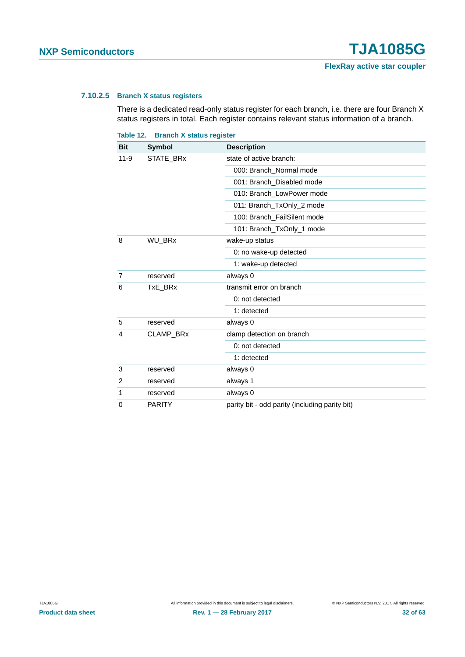#### <span id="page-31-1"></span>**7.10.2.5 Branch X status registers**

There is a dedicated read-only status register for each branch, i.e. there are four Branch X status registers in total. Each register contains relevant status information of a branch.

<span id="page-31-0"></span>

| Table 12.  | <b>Branch X status register</b> |                                                |
|------------|---------------------------------|------------------------------------------------|
| <b>Bit</b> | <b>Symbol</b>                   | <b>Description</b>                             |
| $11 - 9$   | STATE_BRx                       | state of active branch:                        |
|            |                                 | 000: Branch_Normal mode                        |
|            |                                 | 001: Branch_Disabled mode                      |
|            |                                 | 010: Branch_LowPower mode                      |
|            |                                 | 011: Branch_TxOnly_2 mode                      |
|            |                                 | 100: Branch_FailSilent mode                    |
|            |                                 | 101: Branch_TxOnly_1 mode                      |
| 8          | <b>WU BRx</b>                   | wake-up status                                 |
|            |                                 | 0: no wake-up detected                         |
|            |                                 | 1: wake-up detected                            |
| 7          | reserved                        | always 0                                       |
| 6          | TxE_BRx                         | transmit error on branch                       |
|            |                                 | 0: not detected                                |
|            |                                 | 1: detected                                    |
| 5          | reserved                        | always 0                                       |
| 4          | CLAMP_BRx                       | clamp detection on branch                      |
|            |                                 | 0: not detected                                |
|            |                                 | 1: detected                                    |
| 3          | reserved                        | always 0                                       |
| 2          | reserved                        | always 1                                       |
| 1          | reserved                        | always 0                                       |
| 0          | <b>PARITY</b>                   | parity bit - odd parity (including parity bit) |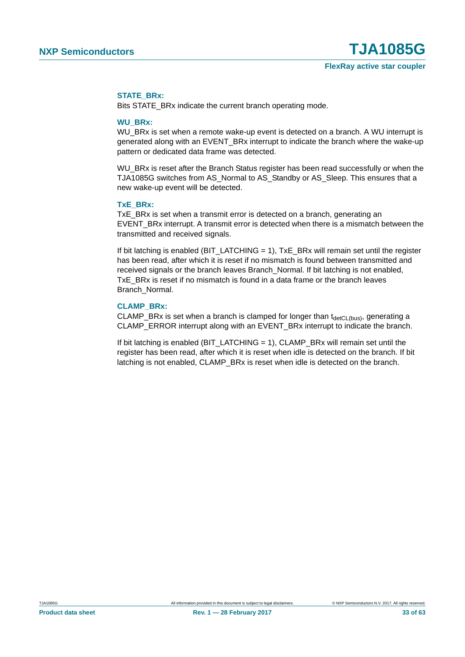#### **STATE\_BRx:**

Bits STATE\_BRx indicate the current branch operating mode.

#### **WU\_BRx:**

WU\_BRx is set when a remote wake-up event is detected on a branch. A WU interrupt is generated along with an EVENT\_BRx interrupt to indicate the branch where the wake-up pattern or dedicated data frame was detected.

WU\_BRx is reset after the Branch Status register has been read successfully or when the TJA1085G switches from AS\_Normal to AS\_Standby or AS\_Sleep. This ensures that a new wake-up event will be detected.

#### **TxE\_BRx:**

TxE BRx is set when a transmit error is detected on a branch, generating an EVENT\_BRx interrupt. A transmit error is detected when there is a mismatch between the transmitted and received signals.

If bit latching is enabled ( $BIT$ <sub>LATCHING</sub> = 1),  $TxE$ <sub>\_BRx</sub> will remain set until the register has been read, after which it is reset if no mismatch is found between transmitted and received signals or the branch leaves Branch\_Normal. If bit latching is not enabled, TxE BRx is reset if no mismatch is found in a data frame or the branch leaves Branch\_Normal.

#### **CLAMP\_BRx:**

CLAMP\_BRx is set when a branch is clamped for longer than  $t_{\text{detCL(bus)}}$ , generating a CLAMP\_ERROR interrupt along with an EVENT\_BRx interrupt to indicate the branch.

If bit latching is enabled (BIT\_LATCHING  $= 1$ ), CLAMP\_BRx will remain set until the register has been read, after which it is reset when idle is detected on the branch. If bit latching is not enabled, CLAMP\_BRx is reset when idle is detected on the branch.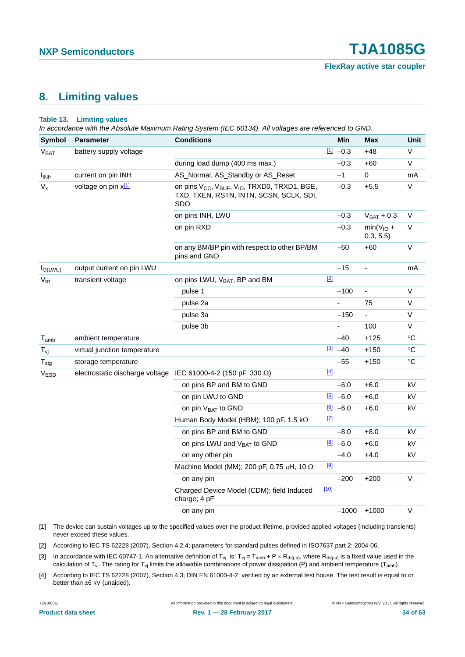**FlexRay active star coupler**

### <span id="page-33-4"></span>**8. Limiting values**

#### **Table 13. Limiting values**

*In accordance with the Absolute Maximum Rating System (IEC 60134). All voltages are referenced to GND.*

| <b>Symbol</b>          | <b>Parameter</b>             | <b>Conditions</b>                                                                                                                   |             | Min                  | <b>Max</b>               | Unit              |
|------------------------|------------------------------|-------------------------------------------------------------------------------------------------------------------------------------|-------------|----------------------|--------------------------|-------------------|
| V <sub>BAT</sub>       | battery supply voltage       |                                                                                                                                     |             | $11 - 0.3$           | $+48$                    | V                 |
|                        |                              | during load dump (400 ms max.)                                                                                                      |             | $-0.3$               | $+60$                    | V                 |
| <b>I<sub>INH</sub></b> | current on pin INH           | AS_Normal, AS_Standby or AS_Reset                                                                                                   |             | $-1$                 | 0                        | mA                |
| $V_{x}$                | voltage on pin $x_1^{[1]}$   | on pins V <sub>CC</sub> , V <sub>BUF</sub> , V <sub>IO</sub> , TRXD0, TRXD1, BGE,<br>TXD, TXEN, RSTN, INTN, SCSN, SCLK, SDI,<br>SDO |             | $-0.3$               | $+5.5$                   | V                 |
|                        |                              | on pins INH, LWU                                                                                                                    |             | $-0.3$               | $V_{BAT} + 0.3$          | V                 |
|                        |                              | on pin RXD                                                                                                                          |             | $-0.3$               | $min(VIO +$<br>0.3, 5.5) | V                 |
|                        |                              | on any BM/BP pin with respect to other BP/BM<br>pins and GND                                                                        |             | -60                  | $+60$                    | V                 |
| $I_{O(LWU)}$           | output current on pin LWU    |                                                                                                                                     |             | $-15$                | ÷,                       | mA                |
| $V_{\text{trt}}$       | transient voltage            | on pins LWU, V <sub>BAT</sub> , BP and BM                                                                                           | $[2]$       |                      |                          |                   |
|                        |                              | pulse 1                                                                                                                             |             | $-100$               |                          | V                 |
|                        |                              | pulse 2a                                                                                                                            |             |                      | 75                       | V                 |
|                        |                              | pulse 3a                                                                                                                            |             | $-150$               | ÷.                       | V                 |
|                        |                              | pulse 3b                                                                                                                            |             |                      | 100                      | V                 |
| $T_{\mathsf{amb}}$     | ambient temperature          |                                                                                                                                     |             | $-40$                | $+125$                   | $\circ$ C         |
| $T_{\nu j}$            | virtual junction temperature |                                                                                                                                     |             | $\frac{3}{2}$ -40    | $+150$                   | $^\circ \text{C}$ |
| ${\sf T}_{\sf stg}$    | storage temperature          |                                                                                                                                     |             | $-55$                | $+150$                   | $^\circ \text{C}$ |
| V <sub>ESD</sub>       |                              | electrostatic discharge voltage IEC 61000-4-2 (150 pF, 330 $\Omega$ )                                                               | $\boxed{4}$ |                      |                          |                   |
|                        |                              | on pins BP and BM to GND                                                                                                            |             | $-6.0$               | $+6.0$                   | kV                |
|                        |                              | on pin LWU to GND                                                                                                                   |             | $\frac{[5]}{2}$ -6.0 | $+6.0$                   | kV                |
|                        |                              | on pin V <sub>BAT</sub> to GND                                                                                                      |             | $\boxed{6}$ -6.0     | $+6.0$                   | kV                |
|                        |                              | Human Body Model (HBM); 100 pF, 1.5 kΩ                                                                                              | $\boxed{7}$ |                      |                          |                   |
|                        |                              | on pins BP and BM to GND                                                                                                            |             | $-8.0$               | $+8.0$                   | kV                |
|                        |                              | on pins LWU and V <sub>BAT</sub> to GND                                                                                             |             | $[8] -6.0$           | $+6.0$                   | kV                |
|                        |                              | on any other pin                                                                                                                    |             | $-4.0$               | $+4.0$                   | kV                |
|                        |                              | Machine Model (MM); 200 pF, 0.75 $\mu$ H, 10 $\Omega$                                                                               | [9]         |                      |                          |                   |
|                        |                              | on any pin                                                                                                                          |             | $-200$               | $+200$                   | $\vee$            |
|                        |                              | Charged Device Model (CDM); field Induced<br>charge; 4 pF                                                                           | $[10]$      |                      |                          |                   |
|                        |                              | on any pin                                                                                                                          |             | $-1000$              | $+1000$                  | V                 |

<span id="page-33-1"></span>[1] The device can sustain voltages up to the specified values over the product lifetime, provided applied voltages (including transients) never exceed these values.

<span id="page-33-0"></span>[2] According to IEC TS 62228 (2007), Section 4.2.4; parameters for standard pulses defined in ISO7637 part 2: 2004-06.

<span id="page-33-2"></span>[3] In accordance with IEC 60747-1. An alternative definition of T<sub>vj</sub> is: T<sub>vj</sub> = T<sub>amb</sub> + P × R<sub>th(j-a)</sub>, where R<sub>th(j-a)</sub> is a fixed value used in the calculation of T<sub>vj</sub>. The rating for T<sub>vj</sub> limits the allowable combinations of power dissipation (P) and ambient temperature (T<sub>amb</sub>).

<span id="page-33-3"></span>[4] According to IEC TS 62228 (2007), Section 4.3; DIN EN 61000-4-2; verified by an external test house. The test result is equal to or better than  $\pm 6$  kV (unaided).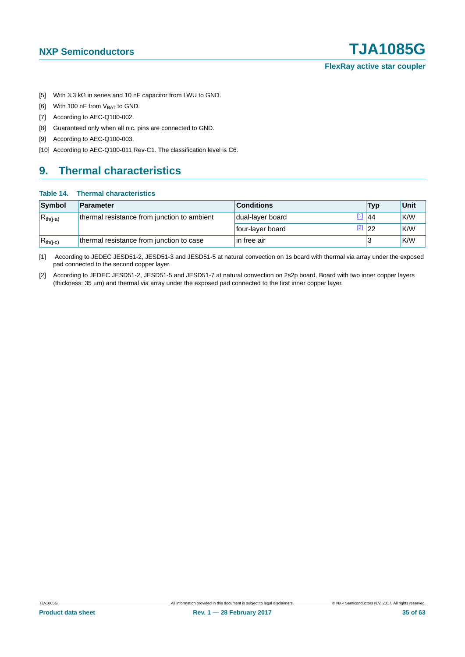- <span id="page-34-0"></span>[5] With 3.3 k $\Omega$  in series and 10 nF capacitor from LWU to GND.
- <span id="page-34-1"></span>[6] With 100 nF from  $V_{BAT}$  to GND.
- <span id="page-34-2"></span>[7] According to AEC-Q100-002.
- <span id="page-34-3"></span>[8] Guaranteed only when all n.c. pins are connected to GND.
- <span id="page-34-4"></span>[9] According to AEC-Q100-003.
- <span id="page-34-5"></span>[10] According to AEC-Q100-011 Rev-C1. The classification level is C6.

## <span id="page-34-8"></span>**9. Thermal characteristics**

#### **Table 14. Thermal characteristics**

| Symbol        | Parameter                                   | <b>Conditions</b>      | <b>Typ</b> | <b>Unit</b> |
|---------------|---------------------------------------------|------------------------|------------|-------------|
| $R_{th(i-a)}$ | thermal resistance from junction to ambient | dual-layer board       | 44         | K/W         |
|               |                                             | 22<br>four-layer board |            | K/W         |
| $R_{th(i-c)}$ | thermal resistance from junction to case    | in free air            |            | <b>K/W</b>  |

<span id="page-34-6"></span>[1] According to JEDEC JESD51-2, JESD51-3 and JESD51-5 at natural convection on 1s board with thermal via array under the exposed pad connected to the second copper layer.

<span id="page-34-7"></span>[2] According to JEDEC JESD51-2, JESD51-5 and JESD51-7 at natural convection on 2s2p board. Board with two inner copper layers (thickness:  $35 \mu m$ ) and thermal via array under the exposed pad connected to the first inner copper layer.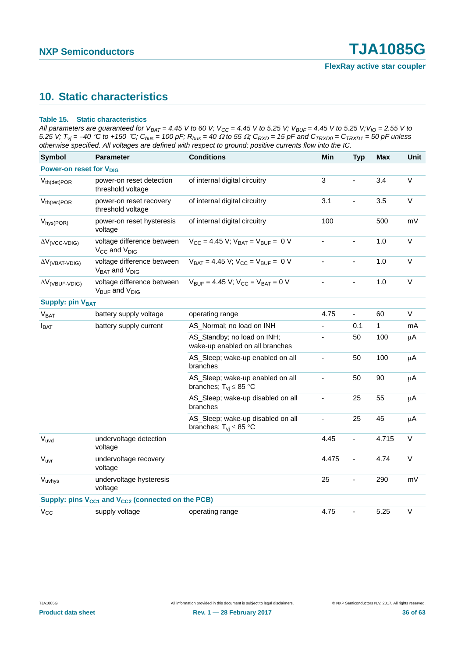## <span id="page-35-1"></span>**10. Static characteristics**

#### <span id="page-35-0"></span>**Table 15. Static characteristics**

*All parameters are guaranteed for V<sub>BAT</sub> = 4.45 V to 60 V; V<sub>CC</sub> = 4.45 V to 5.25 V; V<sub>BUF</sub> = 4.45 V to 5.25 V; V<sub>IO</sub> = 2.55 V to* 5.25 V;  $T_{vj} = -40 \degree \text{C}$  to +150  $\degree \text{C}$ ;  $C_{bus} = 100 \degree \text{P}$ ;  $R_{bus} = 40 \degree \Omega$  to 55  $\Omega$ ;  $C_{RXD} = 15 \degree \text{P}$  and  $C_{TRXD0} = C_{TRXD1} = 50 \degree \text{P}$  unless *otherwise specified. All voltages are defined with respect to ground; positive currents flow into the IC.*

| <b>Symbol</b>                       | <b>Parameter</b>                                                          | <b>Conditions</b>                                                  | Min                      | <b>Typ</b>               | <b>Max</b>   | <b>Unit</b> |
|-------------------------------------|---------------------------------------------------------------------------|--------------------------------------------------------------------|--------------------------|--------------------------|--------------|-------------|
| Power-on reset for V <sub>DIG</sub> |                                                                           |                                                                    |                          |                          |              |             |
| $V_{th(det) POR}$                   | power-on reset detection<br>threshold voltage                             | of internal digital circuitry                                      | 3                        |                          | 3.4          | $\vee$      |
| $V_{th(rec) POR}$                   | power-on reset recovery<br>threshold voltage                              | of internal digital circuitry                                      | 3.1                      |                          | 3.5          | $\vee$      |
| $V_{hys(POR)}$                      | power-on reset hysteresis<br>voltage                                      | of internal digital circuitry                                      | 100                      |                          | 500          | mV          |
| $\Delta V$ <sub>(VCC-VDIG)</sub>    | voltage difference between<br>V <sub>CC</sub> and V <sub>DIG</sub>        | $V_{CC} = 4.45$ V; $V_{BAT} = V_{BUF} = 0$ V                       | ä,                       | $\blacksquare$           | 1.0          | $\vee$      |
| $\Delta V$ <sub>(VBAT-VDIG)</sub>   | voltage difference between<br>$V_{BAT}$ and $V_{DIG}$                     | $V_{BAT} = 4.45 V$ ; $V_{CC} = V_{BUF} = 0 V$                      | ÷,                       | L,                       | 1.0          | $\vee$      |
| $\Delta V$ <sub>(VBUF-VDIG)</sub>   | voltage difference between<br>V <sub>BUF</sub> and V <sub>DIG</sub>       | $V_{BUF} = 4.45 V$ ; $V_{CC} = V_{BAT} = 0 V$                      |                          |                          | 1.0          | $\vee$      |
| <b>Supply: pin VBAT</b>             |                                                                           |                                                                    |                          |                          |              |             |
| V <sub>BAT</sub>                    | battery supply voltage                                                    | operating range                                                    | 4.75                     | ÷.                       | 60           | $\vee$      |
| $I_{BAT}$                           | battery supply current                                                    | AS_Normal; no load on INH                                          |                          | 0.1                      | $\mathbf{1}$ | mA          |
|                                     |                                                                           | AS_Standby; no load on INH;<br>wake-up enabled on all branches     | $\blacksquare$           | 50                       | 100          | $\mu$ A     |
|                                     |                                                                           | AS_Sleep; wake-up enabled on all<br>branches                       | $\overline{\phantom{0}}$ | 50                       | 100          | μA          |
|                                     |                                                                           | AS_Sleep; wake-up enabled on all<br>branches; $T_{vi} \leq 85$ °C  | $\overline{\phantom{a}}$ | 50                       | 90           | μA          |
|                                     |                                                                           | AS_Sleep; wake-up disabled on all<br>branches                      | $\overline{\phantom{a}}$ | 25                       | 55           | $\mu$ A     |
|                                     |                                                                           | AS_Sleep; wake-up disabled on all<br>branches; $T_{vi} \leq 85$ °C | ÷.                       | 25                       | 45           | μA          |
| $V_{uvd}$                           | undervoltage detection<br>voltage                                         |                                                                    | 4.45                     |                          | 4.715        | $\vee$      |
| V <sub>uvr</sub>                    | undervoltage recovery<br>voltage                                          |                                                                    | 4.475                    |                          | 4.74         | $\mathsf V$ |
| Vuvhys                              | undervoltage hysteresis<br>voltage                                        |                                                                    | 25                       | ÷,                       | 290          | mV          |
|                                     | Supply: pins V <sub>CC1</sub> and V <sub>CC2</sub> (connected on the PCB) |                                                                    |                          |                          |              |             |
| $V_{CC}$                            | supply voltage                                                            | operating range                                                    | 4.75                     | $\overline{\phantom{0}}$ | 5.25         | $\vee$      |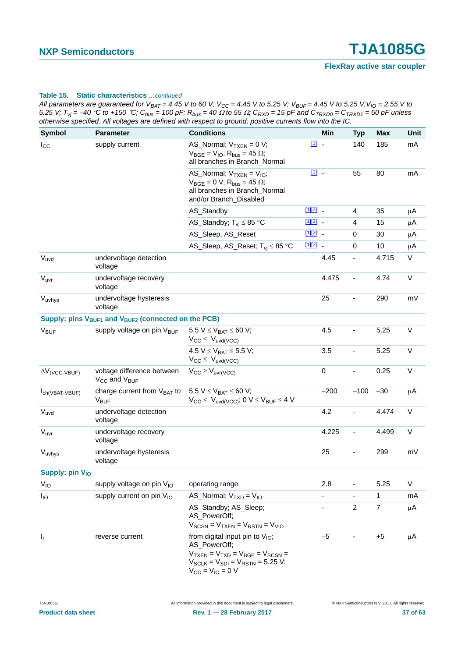| All parameters are guaranteed for $V_{BAT} = 4.45$ V to 60 V; V <sub>CC</sub> = 4.45 V to 5.25 V; V <sub>BUF</sub> = 4.45 V to 5.25 V; V <sub>IO</sub> = 2.55 V to |  |
|--------------------------------------------------------------------------------------------------------------------------------------------------------------------|--|
| 5.25 V; $T_{vi}$ = -40 °C to +150 °C; $C_{bus}$ = 100 pF; $R_{bus}$ = 40 $\Omega$ to 55 $\Omega$ ; $C_{RXD}$ = 15 pF and $C_{TRXD0}$ = $C_{TRXD1}$ = 50 pF unless  |  |
| otherwise specified. All voltages are defined with respect to ground; positive currents flow into the IC.                                                          |  |

| Symbol                           | <b>Parameter</b>                                                            | <b>Conditions</b>                                                                                                                                                            |            | Min                      | <b>Typ</b>               | Max            | Unit    |
|----------------------------------|-----------------------------------------------------------------------------|------------------------------------------------------------------------------------------------------------------------------------------------------------------------------|------------|--------------------------|--------------------------|----------------|---------|
| $I_{\rm CC}$                     | supply current                                                              | AS_Normal; $V_{TXEN} = 0 V$ ;<br>$V_{BGE} = V_{IO}$ ; R <sub>bus</sub> = 45 $\Omega$ ;<br>all branches in Branch_Normal                                                      | $11 -$     |                          | 140                      | 185            | mA      |
|                                  |                                                                             | AS_Normal; $V_{TXEN} = V_{IO}$ ;<br>$V_{\text{BGE}} = 0$ V; $R_{\text{bus}} = 45 \Omega$ ;<br>all branches in Branch_Normal<br>and/or Branch_Disabled                        | $11$ .     |                          | 55                       | 80             | mA      |
|                                  |                                                                             | AS_Standby                                                                                                                                                                   | $[1][2]$ - |                          | 4                        | 35             | μA      |
|                                  |                                                                             | AS_Standby; $T_{vi} \leq 85$ °C                                                                                                                                              | $[1][2]$ _ |                          | 4                        | 15             | μA      |
|                                  |                                                                             | AS_Sleep, AS_Reset                                                                                                                                                           | $[1][2]$ _ |                          | 0                        | 30             | μA      |
|                                  |                                                                             | AS_Sleep, AS_Reset; T <sub>vi</sub> ≤ 85 °C                                                                                                                                  | $[1][2]$ _ |                          | $\mathbf 0$              | 10             | $\mu$ A |
| $V_{uvd}$                        | undervoltage detection<br>voltage                                           |                                                                                                                                                                              |            | 4.45                     | $\overline{\phantom{a}}$ | 4.715          | V       |
| $\rm V_{\rm uvr}$                | undervoltage recovery<br>voltage                                            |                                                                                                                                                                              |            | 4.475                    | $\overline{\phantom{a}}$ | 4.74           | V       |
| Vuvhys                           | undervoltage hysteresis<br>voltage                                          |                                                                                                                                                                              |            | 25                       |                          | 290            | mV      |
|                                  | Supply: pins $V_{\text{BUF1}}$ and $V_{\text{BUF2}}$ (connected on the PCB) |                                                                                                                                                                              |            |                          |                          |                |         |
| <b>V<sub>BUF</sub></b>           | supply voltage on pin V <sub>BUF</sub>                                      | 5.5 $V \le V_{BAT} \le 60 V$ ;<br>$V_{CC} \leq V_{uvd(VCC)}$                                                                                                                 |            | 4.5                      |                          | 5.25           | V       |
|                                  |                                                                             | 4.5 $V \leq V_{BAT} \leq 5.5 V$ ;<br>$V_{CC} \leq V_{uvd(VCC)}$                                                                                                              |            | 3.5                      |                          | 5.25           | $\vee$  |
| $\Delta V$ <sub>(VCC-VBUF)</sub> | voltage difference between<br>V <sub>CC</sub> and V <sub>BUF</sub>          | $V_{CC} \geq V_{uvr(VCC)}$                                                                                                                                                   |            | $\pmb{0}$                | $\overline{\phantom{a}}$ | 0.25           | V       |
| Ich(VBAT-VBUF)                   | charge current from $V_{BAT}$ to<br><b>V<sub>BUF</sub></b>                  | 5.5 $V \le V_{BAT} \le 60 V$ ;<br>$V_{CC} \leq V_{uvd(VCC)}$ ; 0 $V \leq V_{BUF} \leq 4$ V                                                                                   |            | $-200$                   | $-100$                   | $-30$          | $\mu$ A |
| $V_{uvd}$                        | undervoltage detection<br>voltage                                           |                                                                                                                                                                              |            | 4.2                      |                          | 4.474          | $\vee$  |
| $\rm V_{\rm uvr}$                | undervoltage recovery<br>voltage                                            |                                                                                                                                                                              |            | 4.225                    | $\overline{\phantom{a}}$ | 4.499          | V       |
| Vuvhys                           | undervoltage hysteresis<br>voltage                                          |                                                                                                                                                                              |            | 25                       | $\overline{\phantom{a}}$ | 299            | mV      |
| Supply: pin V <sub>IO</sub>      |                                                                             |                                                                                                                                                                              |            |                          |                          |                |         |
| $V_{IO}$                         | supply voltage on pin $V_{10}$                                              | operating range                                                                                                                                                              |            | 2.8                      |                          | 5.25           | V       |
| $I_{IO}$                         | supply current on pin V <sub>IO</sub>                                       | AS_Normal; $V_{TXD} = V_{IO}$                                                                                                                                                |            |                          |                          | 1              | mA      |
|                                  |                                                                             | AS_Standby; AS_Sleep;<br>AS_PowerOff;<br>$V_{SCSN} = V_{TXEN} = V_{RSTN} = V_{VIO}$                                                                                          |            | $\overline{\phantom{a}}$ | $\overline{c}$           | $\overline{7}$ | μA      |
| $\mathsf{I}_\mathsf{r}$          | reverse current                                                             | from digital input pin to $V_{IO}$ ;<br>AS_PowerOff;<br>$V_{TXEN} = V_{TXD} = V_{BGE} = V_{SCSN} =$<br>$V_{SCLK} = V_{SDI} = V_{RSTN} = 5.25 V$ ;<br>$V_{CC} = V_{IO} = 0 V$ |            | $-5$                     |                          | $+5$           | μA      |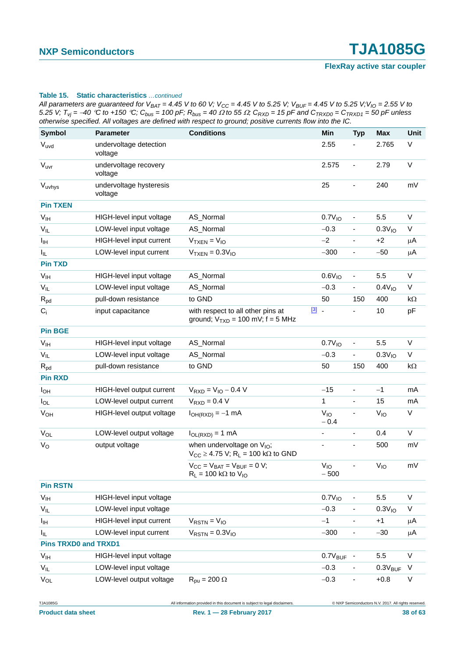*All parameters are guaranteed for V<sub>BAT</sub> = 4.45 V to 60 V; V<sub>CC</sub> = 4.45 V to 5.25 V; V<sub>BUF</sub> = 4.45 V to 5.25 V; V<sub>IO</sub> = 2.55 V to* 5.25 V;  $T_{vi} = -40$  °C to +150 °C;  $C_{bus} = 100$  pF;  $R_{bus} = 40 \Omega$  to 55  $\Omega$ ;  $C_{RXD} = 15$  pF and  $C_{TRXD0} = C_{TRXD1} = 50$  pF unless *otherwise specified. All voltages are defined with respect to ground; positive currents flow into the IC.*

| Symbol                      | <b>Parameter</b>                   | <b>Conditions</b>                                                                              | Min                   | <b>Typ</b>               | <b>Max</b>          | Unit      |
|-----------------------------|------------------------------------|------------------------------------------------------------------------------------------------|-----------------------|--------------------------|---------------------|-----------|
| $V_{uvd}$                   | undervoltage detection<br>voltage  |                                                                                                | 2.55                  |                          | 2.765               | V         |
| V <sub>uvr</sub>            | undervoltage recovery<br>voltage   |                                                                                                | 2.575                 | $\overline{\phantom{a}}$ | 2.79                | V         |
| $V_{uvhys}$                 | undervoltage hysteresis<br>voltage |                                                                                                | 25                    |                          | 240                 | mV        |
| <b>Pin TXEN</b>             |                                    |                                                                                                |                       |                          |                     |           |
| V <sub>IH</sub>             | HIGH-level input voltage           | AS_Normal                                                                                      | 0.7V <sub>10</sub>    |                          | 5.5                 | V         |
| $V_{IL}$                    | LOW-level input voltage            | AS_Normal                                                                                      | $-0.3$                | $\overline{\phantom{a}}$ | 0.3V <sub>10</sub>  | V         |
| Iщ                          | HIGH-level input current           | $VTXEN = VIO$                                                                                  | $-2$                  |                          | $+2$                | μA        |
| I <sub>IL</sub>             | LOW-level input current            | $V_{TXEN} = 0.3 V_{IO}$                                                                        | $-300$                | $\overline{\phantom{a}}$ | $-50$               | $\mu$ A   |
| <b>Pin TXD</b>              |                                    |                                                                                                |                       |                          |                     |           |
| V <sub>IH</sub>             | HIGH-level input voltage           | AS_Normal                                                                                      | 0.6V <sub>10</sub>    | $\overline{\phantom{a}}$ | 5.5                 | V         |
| $V_{IL}$                    | LOW-level input voltage            | AS_Normal                                                                                      | $-0.3$                |                          | 0.4V <sub>10</sub>  | V         |
| $R_{pd}$                    | pull-down resistance               | to GND                                                                                         | 50                    | 150                      | 400                 | $k\Omega$ |
| $C_i$                       | input capacitance                  | with respect to all other pins at<br>ground; $V_{TXD} = 100$ mV; f = 5 MHz                     | $\boxed{3}$ .         |                          | 10                  | pF        |
| <b>Pin BGE</b>              |                                    |                                                                                                |                       |                          |                     |           |
| V <sub>IH</sub>             | HIGH-level input voltage           | AS_Normal                                                                                      | 0.7V <sub>10</sub>    | $\overline{\phantom{0}}$ | 5.5                 | $\vee$    |
| $V_{IL}$                    | LOW-level input voltage            | AS_Normal                                                                                      | $-0.3$                | ۰                        | 0.3V <sub>10</sub>  | V         |
| $R_{pd}$                    | pull-down resistance               | to GND                                                                                         | 50                    | 150                      | 400                 | $k\Omega$ |
| <b>Pin RXD</b>              |                                    |                                                                                                |                       |                          |                     |           |
| $I_{OH}$                    | HIGH-level output current          | $V_{RXD} = V_{IO} - 0.4 V$                                                                     | $-15$                 | ÷,                       | $-1$                | mA        |
| $I_{OL}$                    | LOW-level output current           | $V_{RXD} = 0.4 V$                                                                              | $\mathbf{1}$          | $\overline{\phantom{a}}$ | 15                  | mA        |
| $V_{OH}$                    | HIGH-level output voltage          | $I_{OH(RXD)} = -1$ mA                                                                          | $V_{10}$<br>$-0.4$    |                          | $V_{IO}$            | V         |
| $V_{OL}$                    | LOW-level output voltage           | $I_{OL(RXD)} = 1$ mA                                                                           | $\blacksquare$        | $\blacksquare$           | 0.4                 | V         |
| $V_{\rm O}$                 | output voltage                     | when undervoltage on V <sub>IO</sub> ;<br>$V_{CC} \geq 4.75$ V; R <sub>L</sub> = 100 kΩ to GND |                       | $\overline{\phantom{a}}$ | 500                 | mV        |
|                             |                                    | $V_{CC} = V_{BAT} = V_{BUF} = 0 V;$<br>$R_L$ = 100 kΩ to V <sub>IO</sub>                       | $V_{IO}$<br>$-500$    |                          | $V_{IO}$            | mV        |
| <b>Pin RSTN</b>             |                                    |                                                                                                |                       |                          |                     |           |
| V <sub>IH</sub>             | HIGH-level input voltage           |                                                                                                | 0.7V <sub>10</sub>    | $\overline{\phantom{a}}$ | 5.5                 | $\sf V$   |
| $V_{IL}$                    | LOW-level input voltage            |                                                                                                | $-0.3$                |                          | 0.3V <sub>10</sub>  | V         |
| $I_{\text{IH}}$             | HIGH-level input current           | $V_{RSTN} = V_{IO}$                                                                            | $-1$                  |                          | $+1$                | μA        |
| $I_{IL}$                    | LOW-level input current            | $V_{RSTN} = 0.3 V_{10}$                                                                        | $-300$                | $\blacksquare$           | $-30$               | $\mu$ A   |
| <b>Pins TRXD0 and TRXD1</b> |                                    |                                                                                                |                       |                          |                     |           |
| $\mathsf{V}_{\mathsf{IH}}$  | HIGH-level input voltage           |                                                                                                | $0.7V_{\text{BUF}}$ - |                          | $5.5\,$             | V         |
| $V_{IL}$                    | LOW-level input voltage            |                                                                                                | $-0.3$                |                          | $0.3V_{\text{BUF}}$ | $\vee$    |
| $V_{OL}$                    | LOW-level output voltage           | $R_{\text{pu}} = 200 \Omega$                                                                   | $-0.3$                | $\overline{\phantom{a}}$ | $+0.8$              | V         |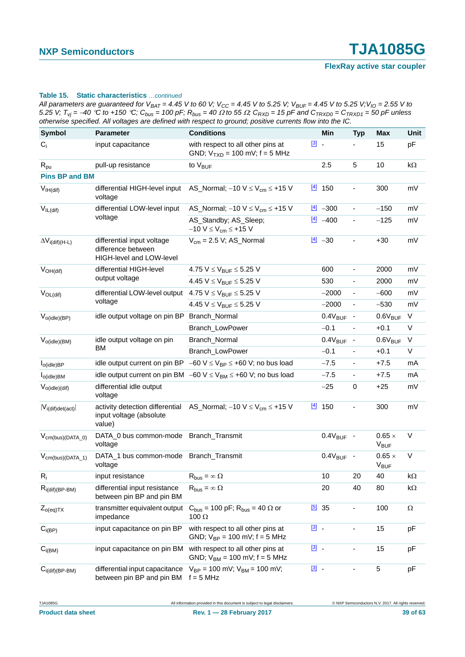*All parameters are guaranteed for V<sub>BAT</sub> = 4.45 V to 60 V; V<sub>CC</sub> = 4.45 V to 5.25 V; V<sub>BUF</sub> = 4.45 V to 5.25 V; V<sub>IO</sub> = 2.55 V to* 5.25 V;  $T_{vi} = -40$  °C to +150 °C;  $C_{bus} = 100$  pF;  $R_{bus} = 40 \Omega$  to 55  $\Omega$ ;  $C_{RXD} = 15$  pF and  $C_{TRXD0} = C_{TRXD1} = 50$  pF unless *otherwise specified. All voltages are defined with respect to ground; positive currents flow into the IC.*

| <b>Symbol</b>                   | <b>Parameter</b>                                                                       | <b>Conditions</b>                                                                          |                         | Min                   | <b>Typ</b>                   | <b>Max</b>                              | <b>Unit</b> |
|---------------------------------|----------------------------------------------------------------------------------------|--------------------------------------------------------------------------------------------|-------------------------|-----------------------|------------------------------|-----------------------------------------|-------------|
| $C_i$                           | input capacitance                                                                      | with respect to all other pins at<br>GND; $V_{TXD} = 100$ mV; $f = 5$ MHz                  | $\boxed{3}$ $\boxed{3}$ |                       |                              | 15                                      | pF          |
| $R_{\text{pu}}$                 | pull-up resistance                                                                     | to $V_{\text{BUF}}$                                                                        |                         | 2.5                   | 5                            | 10                                      | $k\Omega$   |
| <b>Pins BP and BM</b>           |                                                                                        |                                                                                            |                         |                       |                              |                                         |             |
| $V_{IH(dif)}$                   | differential HIGH-level input<br>voltage                                               | AS_Normal; $-10 V \leq V_{cm} \leq +15 V$                                                  |                         | $\frac{[4]}{[4]}$ 150 | $\blacksquare$               | 300                                     | mV          |
| $V_{IL(dif)}$                   | differential LOW-level input                                                           | AS_Normal; $-10 V \leq V_{cm} \leq +15 V$                                                  |                         | $\frac{[4]}{2}$ -300  | $\blacksquare$               | $-150$                                  | mV          |
|                                 | voltage                                                                                | AS_Standby; AS_Sleep;<br>$-10 V \le V_{cm} \le +15 V$                                      | $\boxed{4}$             | $-400$                | $\overline{\phantom{a}}$     | $-125$                                  | mV          |
| $\Delta V_{i\text{(dif)(H-L)}}$ | differential input voltage<br>difference between<br>HIGH-level and LOW-level           | $V_{\text{cm}}$ = 2.5 V; AS_Normal                                                         |                         | $\frac{[4]}{2}$ -30   |                              | $+30$                                   | mV          |
| $V_{OH(dif)}$                   | differential HIGH-level                                                                | 4.75 $V \leq V_{BUF} \leq 5.25$ V                                                          |                         | 600                   | ÷,                           | 2000                                    | mV          |
|                                 | output voltage                                                                         | 4.45 $V \leq V_{BUF} \leq 5.25 V$                                                          |                         | 530                   | $\overline{\phantom{0}}$     | 2000                                    | mV          |
| $V_{OL(dif)}$                   | differential LOW-level output $4.75 \text{ V} \leq V_{\text{BUF}} \leq 5.25 \text{ V}$ |                                                                                            |                         | $-2000$               | $\qquad \qquad \blacksquare$ | $-600$                                  | mV          |
|                                 | voltage                                                                                | 4.45 $V \leq V_{BUF} \leq 5.25$ V                                                          |                         | $-2000$               | $\blacksquare$               | $-530$                                  | mV          |
| $V_{o(idle)(BP)}$               | idle output voltage on pin BP Branch_Normal                                            |                                                                                            |                         | $0.4V_{\text{BUF}}$ - |                              | $0.6V_{BUF}$                            | $\vee$      |
|                                 |                                                                                        | Branch_LowPower                                                                            |                         | $-0.1$                | $\overline{\phantom{a}}$     | $+0.1$                                  | V           |
| $V_{o(idle)(BM)}$               | idle output voltage on pin                                                             | Branch_Normal                                                                              |                         | $0.4V_{\text{BUF}}$ - |                              | $0.6V_{BUF}$                            | $\vee$      |
|                                 | BM                                                                                     | Branch_LowPower                                                                            |                         | $-0.1$                | $\overline{\phantom{a}}$     | $+0.1$                                  | V           |
| $I_{O(idle)BP}$                 |                                                                                        | idle output current on pin BP $-60 \text{ V} \leq V_{BP} \leq +60 \text{ V}$ ; no bus load |                         | $-7.5$                | $\blacksquare$               | $+7.5$                                  | mA          |
| $I_{o(idle)BM}$                 |                                                                                        | idle output current on pin BM $-60 \text{ V} \leq V_{BM} \leq +60 \text{ V}$ ; no bus load |                         | $-7.5$                | $\blacksquare$               | $+7.5$                                  | mA          |
| $V_{o(idle)(dif)}$              | differential idle output<br>voltage                                                    |                                                                                            |                         | $-25$                 | $\mathbf 0$                  | $+25$                                   | mV          |
| $ V_{i(dif)det(act)} $          | input voltage (absolute<br>value)                                                      | activity detection differential AS_Normal; -10 $V \leq V_{cm} \leq +15$ V                  |                         | $\frac{[4]}{[4]}$ 150 |                              | 300                                     | mV          |
| $V_{cm(bus)(DATA_0)}$           | DATA_0 bus common-mode Branch_Transmit<br>voltage                                      |                                                                                            |                         | $0.4V_{\text{BUF}}$ - |                              | $0.65 \times$<br><b>V<sub>BUF</sub></b> | V           |
| $V_{cm(bus)(DATA_1)}$           | DATA_1 bus common-mode Branch_Transmit<br>voltage                                      |                                                                                            |                         | $0.4V_{\text{BUF}}$ - |                              | $0.65 \times$<br>$V_{\text{BUF}}$       | $\vee$      |
| $R_i$                           | input resistance                                                                       | $\mathsf{R}_{\mathsf{bus}} = \infty \; \Omega$                                             |                         | 10 <sup>°</sup>       | 20                           | 40                                      | $k\Omega$   |
| $R_{i(dif)(BP-BM)}$             | differential input resistance<br>between pin BP and pin BM                             | $R_{bus} = \infty \Omega$                                                                  |                         | 20                    | 40                           | 80                                      | kΩ          |
| $Z_{o(eq)TX}$                   | transmitter equivalent output<br>impedance                                             | $C_{bus}$ = 100 pF; $R_{bus}$ = 40 $\Omega$ or<br>100 $\Omega$                             | [5]                     | 35                    |                              | 100                                     | Ω           |
| $C_{i(BP)}$                     | input capacitance on pin BP                                                            | with respect to all other pins at<br>GND; $V_{BP} = 100$ mV; $f = 5$ MHz                   | $\boxed{3}$ -           |                       |                              | 15                                      | рF          |
| $C_{i(BM)}$                     | input capacitance on pin BM                                                            | with respect to all other pins at<br>GND; $V_{BM} = 100$ mV; $f = 5$ MHz                   | $\boxed{3}$ .           |                       | $\overline{\phantom{a}}$     | 15                                      | pF          |
| $C_{i(dif)(BP-BM)}$             | differential input capacitance<br>between pin BP and pin BM                            | $V_{BP} = 100$ mV; $V_{BM} = 100$ mV;<br>$f = 5 MHz$                                       | $\boxed{3}$ .           |                       |                              | 5                                       | pF          |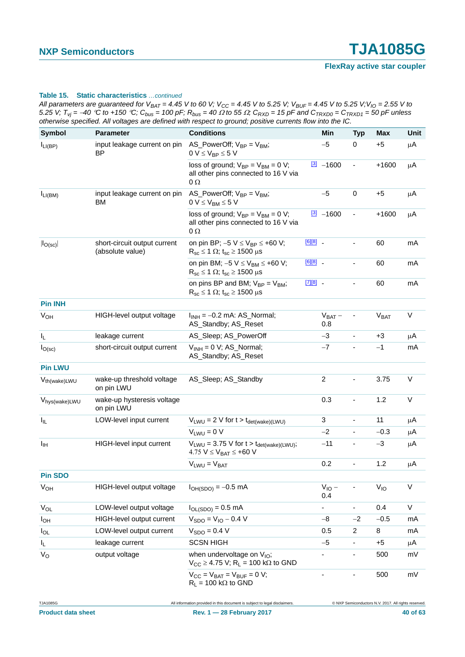| All parameters are guaranteed for V <sub>BAT</sub> = 4.45 V to 60 V; V <sub>CC</sub> = 4.45 V to 5.25 V; V <sub>BUF</sub> = 4.45 V to 5.25 V;V <sub>IO</sub> = 2.55 V to |
|--------------------------------------------------------------------------------------------------------------------------------------------------------------------------|
| 5.25 V; $T_{vi}$ = –40 °C to +150 °C; $C_{bus}$ = 100 pF; $R_{bus}$ = 40 $\Omega$ to 55 $\Omega$ ; $C_{RXD}$ = 15 pF and $C_{TRXD0}$ = $C_{TRXD1}$ = 50 pF unless        |
| otherwise specified. All voltages are defined with respect to ground; positive currents flow into the IC.                                                                |

| <b>Symbol</b>              | <b>Parameter</b>                                 | <b>Conditions</b>                                                                                                  |              | Min                 | <b>Typ</b>               | <b>Max</b>             | <b>Unit</b> |
|----------------------------|--------------------------------------------------|--------------------------------------------------------------------------------------------------------------------|--------------|---------------------|--------------------------|------------------------|-------------|
| $I_{LI(BP)}$               | input leakage current on pin<br><b>BP</b>        | AS_PowerOff; $V_{BP} = V_{BM}$ ;<br>$0 V \leq V_{BP} \leq 5 V$                                                     |              | $-5$                | 0                        | $+5$                   | μA          |
|                            |                                                  | loss of ground; $V_{BP} = V_{BM} = 0 V$ ;<br>all other pins connected to 16 V via<br>$\Omega$                      |              | $\frac{3}{2}$ -1600 | $\blacksquare$           | $+1600$                | $\mu$ A     |
| $I_{LI(BM)}$               | input leakage current on pin<br>BM               | AS_PowerOff; $V_{BP} = V_{BM}$ ;<br>$0 V \leq V_{BM} \leq 5 V$                                                     |              | $-5$                | $\pmb{0}$                | $+5$                   | μA          |
|                            |                                                  | loss of ground; $V_{BP} = V_{BM} = 0 V$ ;<br>all other pins connected to 16 V via<br>$0\,\Omega$                   |              | $\frac{3}{2}$ -1600 |                          | $+1600$                | μA          |
| $ I_{O(sc)} $              | short-circuit output current<br>(absolute value) | on pin BP; $-5 V \le V_{BP} \le +60 V$ ;<br>$R_{sc} \le 1 \Omega$ ; t <sub>sc</sub> $\ge 1500 \mu s$               | $[6][8]$ $-$ |                     |                          | 60                     | mA          |
|                            |                                                  | on pin BM; $-5$ V $\leq$ V <sub>BM</sub> $\leq$ +60 V;<br>$R_{sc} \le 1 \Omega$ ; t <sub>sc</sub> $\ge 1500 \mu s$ | $[6][8]$ $-$ |                     |                          | 60                     | mA          |
|                            |                                                  | on pins BP and BM; $V_{BP} = V_{BM}$ ;<br>$R_{sc} \le 1 \Omega$ ; t <sub>sc</sub> $\ge 1500 \mu s$                 | $[7][8]$     |                     |                          | 60                     | mA          |
| <b>Pin INH</b>             |                                                  |                                                                                                                    |              |                     |                          |                        |             |
| V <sub>OH</sub>            | HIGH-level output voltage                        | $I_{INH} = -0.2$ mA: AS_Normal;<br>AS_Standby; AS_Reset                                                            |              | $V_{BAT}$ –<br>0.8  |                          | <b>V<sub>BAT</sub></b> | $\sf V$     |
| I <sub>L</sub>             | leakage current                                  | AS_Sleep; AS_PowerOff                                                                                              |              | $-3$                |                          | +3                     | μA          |
| $I_{O(sc)}$                | short-circuit output current                     | $V_{INH} = 0 V$ ; AS_Normal;<br>AS_Standby; AS_Reset                                                               |              | $-7$                |                          | $-1$                   | mA          |
| <b>Pin LWU</b>             |                                                  |                                                                                                                    |              |                     |                          |                        |             |
| V <sub>th(wake)LWU</sub>   | wake-up threshold voltage<br>on pin LWU          | AS_Sleep; AS_Standby                                                                                               |              | $\overline{2}$      |                          | 3.75                   | V           |
| V <sub>hys</sub> (wake)LWU | wake-up hysteresis voltage<br>on pin LWU         |                                                                                                                    |              | 0.3                 |                          | 1.2                    | V           |
| $I_{\parallel L}$          | LOW-level input current                          | $V_{LWU} = 2 V$ for $t > t_{det(wake)(LWU)}$                                                                       |              | 3                   | ÷,                       | 11                     | μA          |
|                            |                                                  | $V_{LWU} = 0 V$                                                                                                    |              | $-2$                | ÷.                       | $-0.3$                 | $\mu$ A     |
| $I_{\text{IH}}$            | HIGH-level input current                         | $V_{LWU} = 3.75$ V for t > $t_{det(wake)(LWU)}$ ;<br>4.75 $V \leq V_{BAT} \leq +60$ V                              |              | $-11$               |                          | $-3$                   | μA          |
|                            |                                                  | $V_{LWU} = V_{BAT}$                                                                                                |              | 0.2                 | $\overline{\phantom{a}}$ | 1.2                    | μA          |
| <b>Pin SDO</b>             |                                                  |                                                                                                                    |              |                     |                          |                        |             |
| <b>V<sub>OH</sub></b>      | HIGH-level output voltage                        | $I_{OH(SDO)} = -0.5$ mA                                                                                            |              | $V_{IO}$ –<br>0.4   |                          | $V_{10}$               | V           |
| $V_{OL}$                   | LOW-level output voltage                         | $I_{OL(SDO)} = 0.5$ mA                                                                                             |              |                     | ۰                        | 0.4                    | V           |
| $I_{OH}$                   | HIGH-level output current                        | $V_{SDO} = V_{IO} - 0.4 V$                                                                                         |              | $-8$                | $-2$                     | $-0.5$                 | mA          |
| $I_{OL}$                   | LOW-level output current                         | $V_{SDO} = 0.4 V$                                                                                                  |              | 0.5                 | $\overline{c}$           | 8                      | mA          |
| $I_L$                      | leakage current                                  | <b>SCSN HIGH</b>                                                                                                   |              | $-5$                | -                        | $+5$                   | μA          |
| $V_{\rm O}$                | output voltage                                   | when undervoltage on $V_{IO}$ ;<br>$V_{CC} \geq 4.75$ V; R <sub>L</sub> = 100 kΩ to GND                            |              |                     | -                        | 500                    | mV          |
|                            |                                                  | $V_{CC} = V_{BAT} = V_{BUF} = 0 V;$<br>$R_L$ = 100 k $\Omega$ to GND                                               |              | -                   |                          | 500                    | mV          |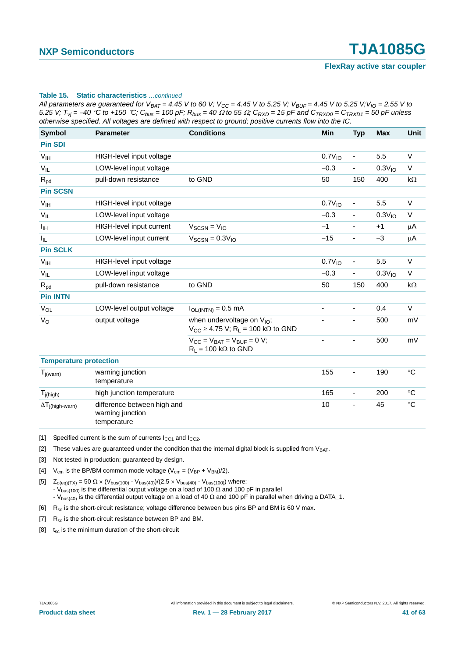*All parameters are guaranteed for V<sub>BAT</sub> = 4.45 V to 60 V; V<sub>CC</sub> = 4.45 V to 5.25 V; V<sub>BUF</sub> = 4.45 V to 5.25 V; V<sub>IO</sub> = 2.55 V to 5.25 V;*  $T_{yi}$  = −40 °C to +150 °C; C<sub>bus</sub> = 100 pF; R<sub>bus</sub> = 40 Ω to 55 Ω; C<sub>RXD</sub> = 15 pF and C<sub>TRXD0</sub> = C<sub>TRXD1</sub> = 50 pF unless *otherwise specified. All voltages are defined with respect to ground; positive currents flow into the IC.*

| <b>Symbol</b>                 | <b>Parameter</b>                                               | <b>Conditions</b>                                                                                      | <b>Min</b>               | <b>Typ</b>               | <b>Max</b>         | <b>Unit</b>       |
|-------------------------------|----------------------------------------------------------------|--------------------------------------------------------------------------------------------------------|--------------------------|--------------------------|--------------------|-------------------|
| <b>Pin SDI</b>                |                                                                |                                                                                                        |                          |                          |                    |                   |
| V <sub>IH</sub>               | HIGH-level input voltage                                       |                                                                                                        | 0.7V <sub>10</sub>       | $\overline{\phantom{a}}$ | 5.5                | $\vee$            |
| $V_{IL}$                      | LOW-level input voltage                                        |                                                                                                        | $-0.3$                   | $\overline{\phantom{a}}$ | 0.3V <sub>10</sub> | $\vee$            |
| $R_{pd}$                      | pull-down resistance                                           | to GND                                                                                                 | 50                       | 150                      | 400                | kΩ                |
| <b>Pin SCSN</b>               |                                                                |                                                                                                        |                          |                          |                    |                   |
| V <sub>IH</sub>               | HIGH-level input voltage                                       |                                                                                                        | 0.7V <sub>10</sub>       | $\overline{\phantom{a}}$ | 5.5                | $\vee$            |
| $V_{IL}$                      | LOW-level input voltage                                        |                                                                                                        | $-0.3$                   | $\blacksquare$           | 0.3V <sub>10</sub> | V                 |
| Iн                            | HIGH-level input current                                       | $V_{SCSN} = V_{IO}$                                                                                    | $-1$                     | $\overline{\phantom{a}}$ | $+1$               | μA                |
| $I_{IL}$                      | LOW-level input current                                        | $V_{SCSN} = 0.3 V_{10}$                                                                                | $-15$                    | $\overline{\phantom{a}}$ | $-3$               | μA                |
| <b>Pin SCLK</b>               |                                                                |                                                                                                        |                          |                          |                    |                   |
| V <sub>IH</sub>               | HIGH-level input voltage                                       |                                                                                                        | 0.7V <sub>10</sub>       |                          | 5.5                | $\vee$            |
| $V_{IL}$                      | LOW-level input voltage                                        |                                                                                                        | $-0.3$                   | $\overline{\phantom{a}}$ | 0.3V <sub>10</sub> | V                 |
| $R_{pd}$                      | pull-down resistance                                           | to GND                                                                                                 | 50                       | 150                      | 400                | $k\Omega$         |
| <b>Pin INTN</b>               |                                                                |                                                                                                        |                          |                          |                    |                   |
| VOL                           | LOW-level output voltage                                       | $I_{OL(INTN)} = 0.5$ mA                                                                                | $\overline{\phantom{0}}$ | $\blacksquare$           | 0.4                | $\vee$            |
| $V_{\rm O}$                   | output voltage                                                 | when undervoltage on V <sub>IO</sub> ;<br>$V_{CC} \geq 4.75$ V; R <sub>L</sub> = 100 k $\Omega$ to GND |                          | $\blacksquare$           | 500                | mV                |
|                               |                                                                | $V_{\text{CC}} = V_{\text{BAT}} = V_{\text{BUF}} = 0$ V;<br>$R_L = 100 k\Omega$ to GND                 |                          | $\overline{\phantom{a}}$ | 500                | mV                |
| <b>Temperature protection</b> |                                                                |                                                                                                        |                          |                          |                    |                   |
| $T_{j(warn)}$                 | warning junction<br>temperature                                |                                                                                                        | 155                      | $\overline{\phantom{a}}$ | 190                | $\circ$ C         |
| $T_{j(high)}$                 | high junction temperature                                      |                                                                                                        | 165                      | $\overline{\phantom{a}}$ | 200                | $^{\circ}C$       |
| $\Delta T_{j(high-warn)}$     | difference between high and<br>warning junction<br>temperature |                                                                                                        | 10                       | $\overline{\phantom{a}}$ | 45                 | $^\circ \text{C}$ |

<span id="page-40-0"></span>[1] Specified current is the sum of currents  $I_{CC1}$  and  $I_{CC2}$ .

<span id="page-40-1"></span>[2] These values are guaranteed under the condition that the internal digital block is supplied from  $V_{BAT}$ .

<span id="page-40-2"></span>[3] Not tested in production; guaranteed by design.

<span id="page-40-3"></span>[4]  $V_{cm}$  is the BP/BM common mode voltage ( $V_{cm} = (V_{BP} + V_{BM})/2$ ).

<span id="page-40-4"></span>[5]  $Z_{o(eq)(TX)} = 50 \Omega \times (V_{bus(100)} - V_{bus(40)})/(2.5 \times V_{bus(40)} - V_{bus(100)})$  where: - V<sub>bus(100)</sub> is the differential output voltage on a load of 100  $\Omega$  and 100 pF in parallel - V<sub>bus(40</sub>) is the differential output voltage on a load of 40  $\Omega$  and 100 pF in parallel when driving a DATA\_1.

<span id="page-40-5"></span>[6]  $R_{\text{sc}}$  is the short-circuit resistance; voltage difference between bus pins BP and BM is 60 V max.

<span id="page-40-7"></span>[7]  $R_{\rm sc}$  is the short-circuit resistance between BP and BM.

<span id="page-40-6"></span>[8]  $t_{sc}$  is the minimum duration of the short-circuit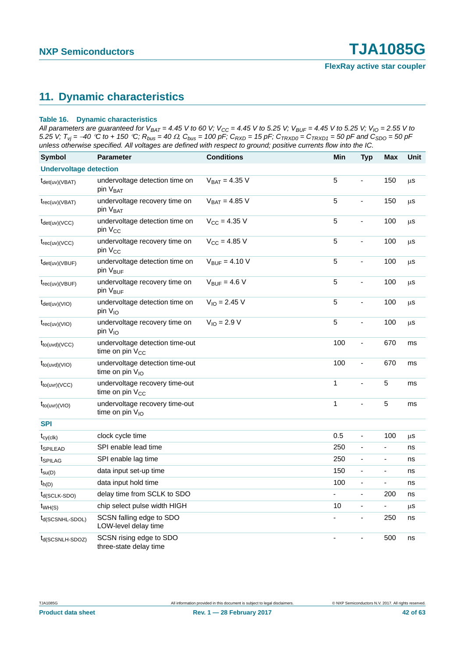## <span id="page-41-0"></span>**11. Dynamic characteristics**

#### **Table 16. Dynamic characteristics**

*All parameters are guaranteed for V<sub>BAT</sub> = 4.45 V to 60 V; V<sub>CC</sub> = 4.45 V to 5.25 V; V<sub>BUF</sub> = 4.45 V to 5.25 V; V<sub>IO</sub> = 2.55 V to 5.25 V;*  $T_{vj}$  =  $-40$  °C to + 150 °C;  $R_{bus}$  = 40  $\Omega$ ,  $C_{bus}$  = 100 pF;  $C_{RXD}$  = 15 pF;  $C_{TRXD0}$  =  $C_{TRXD1}$  = 50 pF and  $C_{SDO}$  = 50 pF *unless otherwise specified. All voltages are defined with respect to ground; positive currents flow into the IC.*

| <b>Symbol</b>                     | <b>Parameter</b>                                               | <b>Conditions</b>         | Min          | <b>Typ</b>               | <b>Max</b>               | Unit    |
|-----------------------------------|----------------------------------------------------------------|---------------------------|--------------|--------------------------|--------------------------|---------|
| <b>Undervoltage detection</b>     |                                                                |                           |              |                          |                          |         |
| $t_{\text{det(uv)}(VBAT)}$        | undervoltage detection time on<br>pin V <sub>BAT</sub>         | $V_{BAT} = 4.35 V$        | 5            | $\overline{a}$           | 150                      | $\mu$ s |
| $t_{rec(uv)(VBAT)}$               | undervoltage recovery time on<br>pin V <sub>BAT</sub>          | $V_{BAT} = 4.85 V$        | 5            | $\overline{\phantom{a}}$ | 150                      | μS      |
| $t_{\text{det(uv)}(VCC)}$         | undervoltage detection time on<br>pin V <sub>CC</sub>          | $V_{CC} = 4.35 V$         | 5            | $\frac{1}{2}$            | 100                      | μS      |
| $t_{rec(uv)(VCC)}$                | undervoltage recovery time on<br>pin V <sub>CC</sub>           | $V_{CC} = 4.85 V$         | 5            | $\overline{\phantom{0}}$ | 100                      | $\mu$ s |
| $t_{\text{det(uv)}(\text{VBUF})}$ | undervoltage detection time on<br>pin V <sub>BUF</sub>         | $V_{\text{BUF}} = 4.10 V$ | 5            | ÷,                       | 100                      | μS      |
| $t_{rec(uv)(VBUF)}$               | undervoltage recovery time on<br>pin V <sub>BUF</sub>          | $V_{\text{RUF}} = 4.6 V$  | 5            | $\overline{\phantom{a}}$ | 100                      | $\mu$ s |
| $t_{\text{det}(uv)(VIO)}$         | undervoltage detection time on<br>pin V <sub>IO</sub>          | $V_{IO} = 2.45 V$         | 5            | $\frac{1}{2}$            | 100                      | $\mu$ S |
| $t_{rec(uv)(VIO)}$                | undervoltage recovery time on<br>pin V <sub>IO</sub>           | $V_{IO} = 2.9 V$          | 5            | $\blacksquare$           | 100                      | μS      |
| $t_{to(uvd)(VCC)}$                | undervoltage detection time-out<br>time on pin $V_{CC}$        |                           | 100          | $\overline{\phantom{a}}$ | 670                      | ms      |
| $t_{to(uvd)(VIO)}$                | undervoltage detection time-out<br>time on pin V <sub>IO</sub> |                           | 100          | $\overline{a}$           | 670                      | ms      |
| $t_{to(uvr)(VCC)}$                | undervoltage recovery time-out<br>time on pin $V_{CC}$         |                           | $\mathbf{1}$ | ä,                       | 5                        | ms      |
| $t_{to(uvr)(VIO)}$                | undervoltage recovery time-out<br>time on pin V <sub>IO</sub>  |                           | $\mathbf{1}$ | $\overline{a}$           | 5                        | ms      |
| <b>SPI</b>                        |                                                                |                           |              |                          |                          |         |
| $t_{cy(cik)}$                     | clock cycle time                                               |                           | 0.5          | $\blacksquare$           | 100                      | $\mu$ S |
| t <sub>SPILEAD</sub>              | SPI enable lead time                                           |                           | 250          | $\overline{\phantom{a}}$ | ÷,                       | ns      |
| t <sub>SPILAG</sub>               | SPI enable lag time                                            |                           | 250          | $\overline{\phantom{0}}$ | ÷,                       | ns      |
| $t_{\text{su}(D)}$                | data input set-up time                                         |                           | 150          | $\frac{1}{2}$            | $\frac{1}{2}$            | ns      |
| $t_{h(D)}$                        | data input hold time                                           |                           | 100          | $\overline{\phantom{a}}$ | $\blacksquare$           | ns      |
| $t_{d(SCLK-SDO)}$                 | delay time from SCLK to SDO                                    |                           | ÷,           | $\overline{\phantom{a}}$ | 200                      | ns      |
| $t_{WH(S)}$                       | chip select pulse width HIGH                                   |                           | 10           | $\frac{1}{2}$            | $\overline{\phantom{0}}$ | $\mu$ S |
| $t_{d(SCSNHL-SDOL)}$              | SCSN falling edge to SDO<br>LOW-level delay time               |                           |              | ä,                       | 250                      | ns      |
| t <sub>d</sub> (SCSNLH-SDOZ)      | SCSN rising edge to SDO<br>three-state delay time              |                           | ä,           | ÷,                       | 500                      | ns      |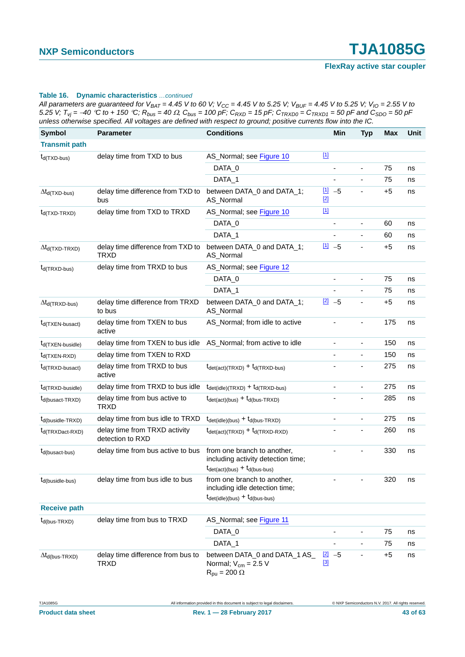All parameters are guaranteed for  $V_{BAT} = 4.45$  V to 60 V;  $V_{CC} = 4.45$  V to 5.25 V;  $V_{BUF} = 4.45$  V to 5.25 V;  $V_{IO} = 2.55$  V to 5.25 V;  $T_{vi} = -40$  °C to + 150 °C;  $R_{bus} = 40 \Omega$ ,  $C_{bus} = 100$  pF;  $C_{RXD} = 15$  pF;  $C_{TRXD0} = C_{TRXD1} = 50$  pF and  $C_{SDO} = 50$  pF *unless otherwise specified. All voltages are defined with respect to ground; positive currents flow into the IC.*

| <b>Symbol</b>                   | <b>Parameter</b>                                  | <b>Conditions</b>                                                                                                                            | Min                    | <b>Typ</b>                   | <b>Max</b> | Unit |
|---------------------------------|---------------------------------------------------|----------------------------------------------------------------------------------------------------------------------------------------------|------------------------|------------------------------|------------|------|
| <b>Transmit path</b>            |                                                   |                                                                                                                                              |                        |                              |            |      |
| $t_{d(TXD-bus)}$                | delay time from TXD to bus                        | AS_Normal; see Figure 10                                                                                                                     | $\underline{[1]}$      |                              |            |      |
|                                 |                                                   | DATA_0                                                                                                                                       | ä,                     | ä,                           | 75         | ns   |
|                                 |                                                   | DATA_1                                                                                                                                       | ä,                     | ÷,                           | 75         | ns   |
| $\Delta t_{d(TXD-bus)}$         | delay time difference from TXD to<br>bus          | between DATA_0 and DATA_1;<br>AS_Normal                                                                                                      | $11 - 5$<br>$[2]$      |                              | $+5$       | ns   |
| $t_{d(TXD-TRXD)}$               | delay time from TXD to TRXD                       | AS_Normal; see Figure 10                                                                                                                     | $\underline{[1]}$      |                              |            |      |
|                                 |                                                   | DATA_0                                                                                                                                       |                        |                              | 60         | ns   |
|                                 |                                                   | DATA_1                                                                                                                                       | $\blacksquare$         | $\blacksquare$               | 60         | ns   |
| $\Delta t_{d(TXD-TRXD)}$        | delay time difference from TXD to<br><b>TRXD</b>  | between DATA_0 and DATA_1;<br>AS_Normal                                                                                                      | $11 - 5$               | $\overline{\phantom{a}}$     | $+5$       | ns   |
| $t_{d(TRXD-bus)}$               | delay time from TRXD to bus                       | AS_Normal; see Figure 12                                                                                                                     |                        |                              |            |      |
|                                 |                                                   | DATA_0                                                                                                                                       | ٠                      | ÷,                           | 75         | ns   |
|                                 |                                                   | DATA_1                                                                                                                                       |                        | $\blacksquare$               | 75         | ns   |
| $\Delta t_{d(TRXD-bus)}$        | delay time difference from TRXD<br>to bus         | between DATA_0 and DATA_1;<br>AS_Normal                                                                                                      | $[2]$<br>$-5$          |                              | $+5$       | ns   |
| $t_{d(TXEN-busact)}$            | delay time from TXEN to bus<br>active             | AS_Normal; from idle to active                                                                                                               |                        |                              | 175        | ns   |
| t <sub>d</sub> (TXEN-busidle)   | delay time from TXEN to bus idle                  | AS_Normal; from active to idle                                                                                                               | $\blacksquare$         | $\blacksquare$               | 150        | ns   |
| $t_{d(TXEN-RXD)}$               | delay time from TXEN to RXD                       |                                                                                                                                              | ä,                     |                              | 150        | ns   |
| $t_{d(TRXD-busact)}$            | delay time from TRXD to bus<br>active             | $t_{\text{det}(\text{act})(\text{TRXD})} + t_{\text{d}(\text{TRXD-bus})}$                                                                    | ä,                     | $\overline{\phantom{a}}$     | 275        | ns   |
| $t_{d(TRXD-busidle)}$           | delay time from TRXD to bus idle                  | $t_{\text{det(idle)}(TRXD)} + t_{\text{d}(TRXD-bus)}$                                                                                        | ÷,                     | $\blacksquare$               | 275        | ns   |
| $t_{d(busact-TRXD)}$            | delay time from bus active to<br><b>TRXD</b>      | $t_{\text{det}(\text{act})(\text{bus})} + t_{\text{d}(\text{bus-TRXD})}$                                                                     |                        | $\qquad \qquad \blacksquare$ | 285        | ns   |
| $t_{d(busidle-TRXD)}$           | delay time from bus idle to TRXD                  | $t_{\text{det(idle)}(bus)} + t_{\text{d(bus-TRXD)}}$                                                                                         | $\blacksquare$         | $\blacksquare$               | 275        | ns   |
| $t_{d(TRXDact-RXD)}$            | delay time from TRXD activity<br>detection to RXD | $t_{\text{det}(\text{act})(\text{TRXD})} + t_{\text{d}(\text{TRXD-RXD})}$                                                                    |                        |                              | 260        | ns   |
| $t_{d(busact-bus)}$             | delay time from bus active to bus                 | from one branch to another,<br>including activity detection time;<br>$t_{\text{det}(\text{act})(\text{bus})} + t_{\text{d}(\text{bus-bus})}$ |                        |                              | 330        | ns   |
| $t_{d(busidle-bus)}$            | delay time from bus idle to bus                   | from one branch to another,<br>including idle detection time;<br>$t_{\text{det(idle)}(bus)} + t_{\text{d(bus-bus)}}$                         |                        |                              | 320        | ns   |
| <b>Receive path</b>             |                                                   |                                                                                                                                              |                        |                              |            |      |
| $t_{d(bus-TRXD)}$               | delay time from bus to TRXD                       | AS_Normal; see Figure 11                                                                                                                     |                        |                              |            |      |
|                                 |                                                   | DATA_0                                                                                                                                       |                        |                              | 75         | ns   |
|                                 |                                                   | DATA_1                                                                                                                                       | $\blacksquare$         | $\blacksquare$               | 75         | ns   |
| $\Delta t_{\text{d(bus-TRXD)}}$ | delay time difference from bus to<br><b>TRXD</b>  | between DATA_0 and DATA_1 AS_<br>Normal; $V_{cm} = 2.5 V$<br>$R_{pu} = 200 \Omega$                                                           | $[2]$<br>$-5$<br>$[3]$ |                              | $+5$       | ns   |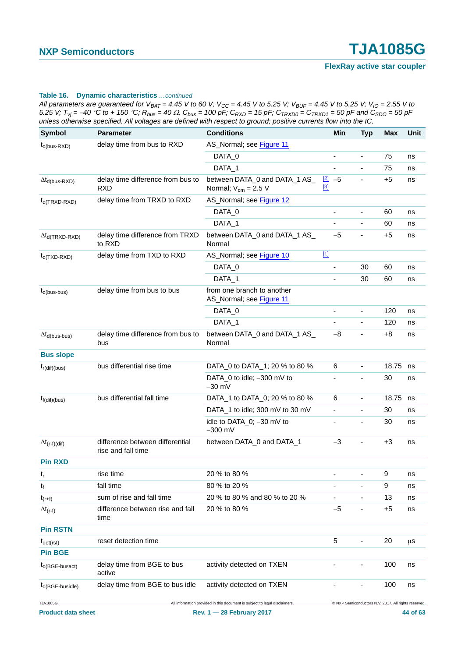*All parameters are guaranteed for V<sub>BAT</sub> = 4.45 V to 60 V; V<sub>CC</sub> = 4.45 V to 5.25 V; V<sub>BUF</sub> = 4.45 V to 5.25 V; V<sub>IO</sub> = 2.55 V to 5.25 V;*  $T_{vj}$  =  $-40$  °C to + 150 °C;  $R_{bus}$  = 40  $\Omega$ ,  $C_{bus}$  = 100 pF;  $C_{RXD}$  = 15 pF;  $C_{TRXD0}$  =  $C_{TRXD1}$  = 50 pF and  $C_{SDO}$  = 50 pF *unless otherwise specified. All voltages are defined with respect to ground; positive currents flow into the IC.*

| <b>Symbol</b>                           | <b>Parameter</b>                                      | - 1<br><b>Conditions</b>                                                   | <b>Min</b>                | <b>Typ</b>                   | <b>Max</b>                                           | <b>Unit</b> |  |
|-----------------------------------------|-------------------------------------------------------|----------------------------------------------------------------------------|---------------------------|------------------------------|------------------------------------------------------|-------------|--|
| $t_{d(bus-RXD)}$                        | delay time from bus to RXD                            | AS_Normal; see Figure 11                                                   |                           |                              |                                                      |             |  |
|                                         |                                                       | DATA_0                                                                     |                           | $\overline{\phantom{a}}$     | 75                                                   | ns          |  |
|                                         |                                                       | DATA_1                                                                     | ÷,                        | $\qquad \qquad \blacksquare$ | 75                                                   | ns          |  |
| $\Delta t_{d(bus-RXD)}$                 | delay time difference from bus to<br><b>RXD</b>       | between DATA_0 and DATA_1 AS_<br>Normal; $V_{cm} = 2.5 V$                  | $[2]$<br>$-5$<br>$^{[3]}$ |                              | $+5$                                                 | ns          |  |
| $t_{d(TRXD-RXD)}$                       | delay time from TRXD to RXD                           | AS_Normal; see Figure 12                                                   |                           |                              |                                                      |             |  |
|                                         |                                                       | DATA_0                                                                     | ÷,                        | $\overline{\phantom{a}}$     | 60                                                   | ns          |  |
|                                         |                                                       | DATA_1                                                                     | ä,                        | $\overline{\phantom{a}}$     | 60                                                   | ns          |  |
| $\Delta t_{\text{d}(\text{TRXD-RXD})}$  | delay time difference from TRXD<br>to RXD             | between DATA_0 and DATA_1 AS_<br>Normal                                    | $-5$                      | $\overline{\phantom{a}}$     | $+5$                                                 | ns          |  |
| $t_{d(TXD-RXD)}$                        | delay time from TXD to RXD                            | AS_Normal; see Figure 10                                                   | $[1]$                     |                              |                                                      |             |  |
|                                         |                                                       | DATA_0                                                                     | ٠                         | 30                           | 60                                                   | ns          |  |
|                                         |                                                       | DATA_1                                                                     |                           | 30                           | 60                                                   | ns          |  |
| $t_{d(bus-bus)}$                        | delay time from bus to bus                            | from one branch to another<br>AS_Normal; see Figure 11                     |                           |                              |                                                      |             |  |
|                                         |                                                       | DATA_0                                                                     |                           | $\frac{1}{2}$                | 120                                                  | ns          |  |
|                                         |                                                       | DATA_1                                                                     | $\overline{\phantom{0}}$  | $\qquad \qquad \blacksquare$ | 120                                                  | ns          |  |
| $\Delta t_{d(bus-bus)}$                 | delay time difference from bus to<br>bus              | between DATA_0 and DATA_1 AS_<br>Normal                                    | $-8$                      |                              | $+8$                                                 | ns          |  |
| <b>Bus slope</b>                        |                                                       |                                                                            |                           |                              |                                                      |             |  |
| $t_{r(\text{dif})(bus)}$                | bus differential rise time                            | DATA_0 to DATA_1; 20 % to 80 %                                             | 6                         | $\frac{1}{2}$                | 18.75                                                | ns          |  |
|                                         |                                                       | DATA_0 to idle; -300 mV to<br>$-30$ mV                                     | ä,                        | $\overline{\phantom{0}}$     | 30                                                   | ns          |  |
| $t_{f(di)(bus)}$                        | bus differential fall time                            | DATA_1 to DATA_0; 20 % to 80 %                                             | 6                         | $\overline{\phantom{a}}$     | 18.75                                                | ns          |  |
|                                         |                                                       | DATA_1 to idle; 300 mV to 30 mV                                            | -                         |                              | 30                                                   | ns          |  |
|                                         |                                                       | idle to DATA_0; -30 mV to<br>$-300$ mV                                     | $\overline{\phantom{0}}$  | $\qquad \qquad \blacksquare$ | 30                                                   | ns          |  |
| $\Delta t_{(r-f)(dif)}$                 | difference between differential<br>rise and fall time | between DATA_0 and DATA_1                                                  | $-3$                      |                              | $+3$                                                 | ns          |  |
| <b>Pin RXD</b>                          |                                                       |                                                                            |                           |                              |                                                      |             |  |
| $t_{\rm r}$                             | rise time                                             | 20 % to 80 %                                                               |                           |                              | 9                                                    | ns          |  |
| t <sub>f</sub>                          | fall time                                             | 80 % to 20 %                                                               | ä,                        |                              | 9                                                    | ns          |  |
| $t_{(r+f)}$                             | sum of rise and fall time                             | 20 % to 80 % and 80 % to 20 %                                              |                           |                              | 13                                                   | ns          |  |
| $\Delta t_{(r-f)}$                      | difference between rise and fall<br>time              | 20 % to 80 %                                                               | $-5$                      |                              | $+5$                                                 | ns          |  |
| <b>Pin RSTN</b>                         |                                                       |                                                                            |                           |                              |                                                      |             |  |
| $t_{\text{det(rst)}}$<br><b>Pin BGE</b> | reset detection time                                  |                                                                            | 5                         |                              | 20                                                   | μS          |  |
| $t_{d(BGE-busact)}$                     | delay time from BGE to bus<br>active                  | activity detected on TXEN                                                  |                           |                              | 100                                                  | ns          |  |
| $t_{d(BGE-busidle)}$                    | delay time from BGE to bus idle                       | activity detected on TXEN                                                  |                           |                              | 100                                                  | ns          |  |
| TJA1085G                                |                                                       | All information provided in this document is subject to legal disclaimers. |                           |                              | © NXP Semiconductors N.V. 2017. All rights reserved. |             |  |
| <b>Product data sheet</b>               |                                                       | Rev. 1 - 28 February 2017                                                  |                           |                              |                                                      |             |  |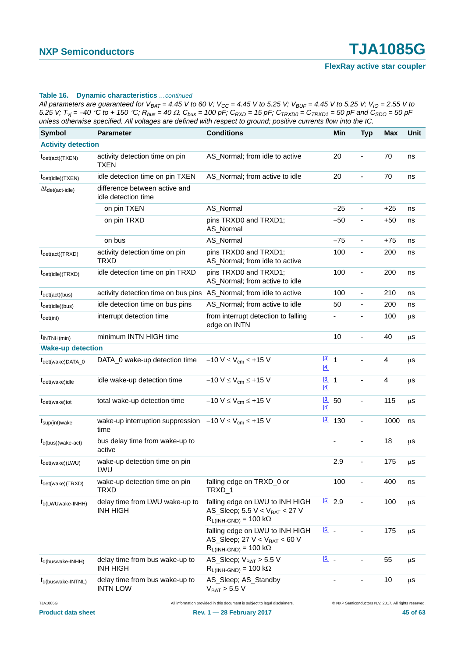*All parameters are guaranteed for V<sub>BAT</sub> = 4.45 V to 60 V; V<sub>CC</sub> = 4.45 V to 5.25 V; V<sub>BUF</sub> = 4.45 V to 5.25 V; V<sub>IO</sub> = 2.55 V to 5.25 V;*  $T_{vj}$  =  $-40$  °C to + 150 °C;  $R_{bus}$  = 40  $\Omega$ ,  $C_{bus}$  = 100 pF;  $C_{RXD}$  = 15 pF;  $C_{TRXD0}$  =  $C_{TRXD1}$  = 50 pF and  $C_{SDO}$  = 50 pF *unless otherwise specified. All voltages are defined with respect to ground; positive currents flow into the IC.*

| <b>Symbol</b>                              | <b>Parameter</b>                                                                        | <b>Conditions</b>                                                                                                      |                                | Min   | <b>Typ</b>                   | <b>Max</b>                                           | <b>Unit</b> |
|--------------------------------------------|-----------------------------------------------------------------------------------------|------------------------------------------------------------------------------------------------------------------------|--------------------------------|-------|------------------------------|------------------------------------------------------|-------------|
| <b>Activity detection</b>                  |                                                                                         |                                                                                                                        |                                |       |                              |                                                      |             |
| $t_{\text{det}(\text{act})(\text{TXEN})}$  | activity detection time on pin<br>TXEN                                                  | AS_Normal; from idle to active                                                                                         |                                | 20    | L,                           | 70                                                   | ns          |
| $t_{\text{det(idle)}}$ (TXEN)              | idle detection time on pin TXEN                                                         | AS_Normal; from active to idle                                                                                         |                                | 20    | ÷,                           | 70                                                   | ns          |
| $\Delta t_{\text{det}(\text{act-idle})}$   | difference between active and<br>idle detection time                                    |                                                                                                                        |                                |       |                              |                                                      |             |
|                                            | on pin TXEN                                                                             | AS_Normal                                                                                                              |                                | $-25$ | $\blacksquare$               | $+25$                                                | ns          |
|                                            | on pin TRXD                                                                             | pins TRXD0 and TRXD1;<br>AS_Normal                                                                                     |                                | $-50$ | $\blacksquare$               | $+50$                                                | ns          |
|                                            | on bus                                                                                  | AS_Normal                                                                                                              |                                | $-75$ | $\blacksquare$               | $+75$                                                | ns          |
| $t_{\text{det}(\text{act})(\text{TRXD})}$  | activity detection time on pin<br>TRXD                                                  | pins TRXD0 and TRXD1;<br>AS_Normal; from idle to active                                                                |                                | 100   | $\qquad \qquad \blacksquare$ | 200                                                  | ns          |
| $t_{\text{det(idle)}}$ (TRXD)              | idle detection time on pin TRXD                                                         | pins TRXD0 and TRXD1;<br>AS_Normal; from active to idle                                                                |                                | 100   | $\blacksquare$               | 200                                                  | ns          |
| $t_{\text{det}(\text{act})(\text{bus})}$   | activity detection time on bus pins AS_Normal; from idle to active                      |                                                                                                                        |                                | 100   | $\blacksquare$               | 210                                                  | ns          |
| $t_{\text{det}(idle)(bus)}$                | idle detection time on bus pins                                                         | AS_Normal; from active to idle                                                                                         |                                | 50    | $\blacksquare$               | 200                                                  | ns          |
| $t_{\text{det(int)}}$                      | interrupt detection time                                                                | from interrupt detection to falling<br>edge on INTN                                                                    |                                |       |                              | 100                                                  | μS          |
| $t_{\text{INTNH}(min)}$                    | minimum INTN HIGH time                                                                  |                                                                                                                        |                                | 10    | $\qquad \qquad \blacksquare$ | 40                                                   | $\mu$ s     |
| <b>Wake-up detection</b>                   |                                                                                         |                                                                                                                        |                                |       |                              |                                                      |             |
| t <sub>det(wake)DATA_0</sub>               | DATA_0 wake-up detection time                                                           | $-10 V \le V_{cm} \le +15 V$                                                                                           | $[3]$ 1<br>$[4]$               |       | $\qquad \qquad \blacksquare$ | 4                                                    | μS          |
| $t_{\text{det}(\text{wake})}$ idle         | idle wake-up detection time                                                             | $-10 V \le V_{cm} \le +15 V$                                                                                           | $[3]$<br>$\mathbf{1}$<br>$[4]$ |       | $\blacksquare$               | 4                                                    | $\mu$ s     |
| $t_{\text{det}(\text{wake})\text{tot}}$    | total wake-up detection time                                                            | $-10 V \le V_{cm} \le +15 V$                                                                                           | $\boxed{3}$<br>$[4]$           | 50    | $\overline{\phantom{a}}$     | 115                                                  | μS          |
| $t_{\text{sup(int)wake}}$                  | wake-up interruption suppression $-10 \text{ V} \leq V_{cm} \leq +15 \text{ V}$<br>time |                                                                                                                        | $\frac{[3]}{2}$ 130            |       | $\qquad \qquad \blacksquare$ | 1000                                                 | ns          |
| $t_{d(bus)(wake-act)}$                     | bus delay time from wake-up to<br>active                                                |                                                                                                                        | $\blacksquare$                 |       | $\blacksquare$               | 18                                                   | $\mu$ s     |
| $t_{\text{det}(\text{wake})(\text{LWU})}$  | wake-up detection time on pin<br>LWU                                                    |                                                                                                                        |                                | 2.9   |                              | 175                                                  | μS          |
| $t_{\text{det}(\text{wake})(\text{TRXD})}$ | wake-up detection time on pin<br>TRXD                                                   | falling edge on TRXD_0 or<br>TRXD 1                                                                                    |                                | 100   |                              | 400                                                  | ns          |
| $t_{d(LWU wake-INHH)}$                     | delay time from LWU wake-up to<br><b>INH HIGH</b>                                       | falling edge on LWU to INH HIGH<br>AS_Sleep; $5.5 V < V_{BAT} < 27 V$<br>$R_{L(INH\text{-}GND)} = 100 \text{ k}\Omega$ | $\frac{[5]}{2.9}$              |       |                              | 100                                                  | μS          |
|                                            |                                                                                         | falling edge on LWU to INH HIGH<br>AS_Sleep; 27 $V < V_{BAT} < 60 V$<br>$R_{L(INH\text{-}GND)} = 100 \text{ k}\Omega$  | $\boxed{5}$ .                  |       |                              | 175                                                  | μS          |
| $t_{d(buswake-IMHH)}$                      | delay time from bus wake-up to<br><b>INH HIGH</b>                                       | AS_Sleep; $V_{BAT} > 5.5 V$<br>$R_{L(INH\text{-}GND)} = 100 \text{ k}\Omega$                                           | $\boxed{5}$ .                  |       |                              | 55                                                   | μS          |
| $t_{d(buswake-INTNL)}$                     | delay time from bus wake-up to<br><b>INTN LOW</b>                                       | AS_Sleep; AS_Standby<br>$V_{BAT}$ > 5.5 V                                                                              |                                |       | -                            | 10                                                   | μS          |
| TJA1085G                                   |                                                                                         | All information provided in this document is subject to legal disclaimers.                                             |                                |       |                              | C NXP Semiconductors N.V. 2017. All rights reserved. |             |
| <b>Product data sheet</b>                  |                                                                                         | Rev. 1 – 28 February 2017                                                                                              |                                |       |                              |                                                      | 45 of 63    |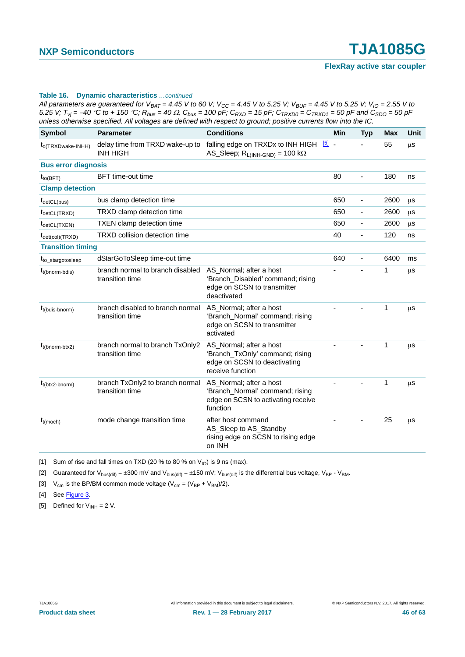All parameters are guaranteed for  $V_{BAT} = 4.45$  V to 60 V;  $V_{CC} = 4.45$  V to 5.25 V;  $V_{BUF} = 4.45$  V to 5.25 V;  $V_{IO} = 2.55$  V to 5.25 V;  $T_{vi}$  = -40 °C to + 150 °C;  $R_{bus}$  = 40  $\Omega$ ,  $C_{bus}$  = 100 pF;  $C_{RXD}$  = 15 pF;  $C_{TRXD0}$  =  $C_{TRXD1}$  = 50 pF and  $C_{SD0}$  = 50 pF *unless otherwise specified. All voltages are defined with respect to ground; positive currents flow into the IC.*

| <b>Symbol</b>                             | <b>Parameter</b>                                    | <b>Conditions</b>                                                                                              | Min | <b>Typ</b>                   | <b>Max</b> | Unit    |
|-------------------------------------------|-----------------------------------------------------|----------------------------------------------------------------------------------------------------------------|-----|------------------------------|------------|---------|
| t <sub>d</sub> (TRXDwake-INHH)            | delay time from TRXD wake-up to<br><b>INH HIGH</b>  | falling edge on TRXDx to INH HIGH [5] -<br>AS_Sleep; $R_{L(INH\text{-GND})} = 100 k\Omega$                     |     |                              | 55         | μS      |
| <b>Bus error diagnosis</b>                |                                                     |                                                                                                                |     |                              |            |         |
| $t_{to(BFT)}$                             | <b>BFT</b> time-out time                            |                                                                                                                | 80  | $\overline{\phantom{a}}$     | 180        | ns      |
| <b>Clamp detection</b>                    |                                                     |                                                                                                                |     |                              |            |         |
| $t_{\text{detCL(bus)}}$                   | bus clamp detection time                            |                                                                                                                | 650 | $\overline{\phantom{a}}$     | 2600       | $\mu$ S |
| $t_{\text{detCL}(\text{TRXD})}$           | TRXD clamp detection time                           |                                                                                                                | 650 | $\qquad \qquad \blacksquare$ | 2600       | $\mu$ S |
| $t_{\text{detCL(TXEN)}}$                  | <b>TXEN</b> clamp detection time                    |                                                                                                                | 650 | $\overline{\phantom{a}}$     | 2600       | $\mu$ s |
| $t_{\text{det}(\text{col})(\text{TRXD})}$ | <b>TRXD</b> collision detection time                |                                                                                                                | 40  | $\blacksquare$               | 120        | ns      |
| <b>Transition timing</b>                  |                                                     |                                                                                                                |     |                              |            |         |
| t <sub>to stargotosleep</sub>             | dStarGoToSleep time-out time                        |                                                                                                                | 640 | $\overline{\phantom{a}}$     | 6400       | ms      |
| $t_{t(bnorm-bdis)}$                       | branch normal to branch disabled<br>transition time | AS_Normal; after a host<br>'Branch_Disabled' command; rising<br>edge on SCSN to transmitter<br>deactivated     |     |                              | 1          | $\mu$ s |
| $t_{t(bdis-bnorm)}$                       | branch disabled to branch normal<br>transition time | AS Normal; after a host<br>'Branch_Normal' command; rising<br>edge on SCSN to transmitter<br>activated         |     |                              | 1          | μS      |
| $t_{t(bnorm-btx2)}$                       | branch normal to branch TxOnly2<br>transition time  | AS_Normal; after a host<br>'Branch_TxOnly' command; rising<br>edge on SCSN to deactivating<br>receive function |     |                              | 1          | μS      |
| $t_{t(btx2-bnorm)}$                       | branch TxOnly2 to branch normal<br>transition time  | AS_Normal; after a host<br>'Branch_Normal' command; rising<br>edge on SCSN to activating receive<br>function   |     |                              | 1          | μS      |
| $t_{t (moch)}$                            | mode change transition time                         | after host command<br>AS_Sleep to AS_Standby<br>rising edge on SCSN to rising edge<br>on INH                   |     |                              | 25         | $\mu$ s |

<span id="page-45-0"></span>[1] Sum of rise and fall times on TXD (20 % to 80 % on  $V_{10}$ ) is 9 ns (max).

<span id="page-45-1"></span>[2] Guaranteed for  $V_{bus(dif)} = \pm 300$  mV and  $V_{bus(dif)} = \pm 150$  mV;  $V_{bus(dif)}$  is the differential bus voltage,  $V_{BP}$  -  $V_{BM}$ .

<span id="page-45-2"></span>[3]  $V_{cm}$  is the BP/BM common mode voltage ( $V_{cm} = (V_{BP} + V_{BM})/2$ ).

<span id="page-45-3"></span>[4] See [Figure 3.](#page-8-0)

<span id="page-45-4"></span>[5] Defined for  $V_{INH} = 2 V$ .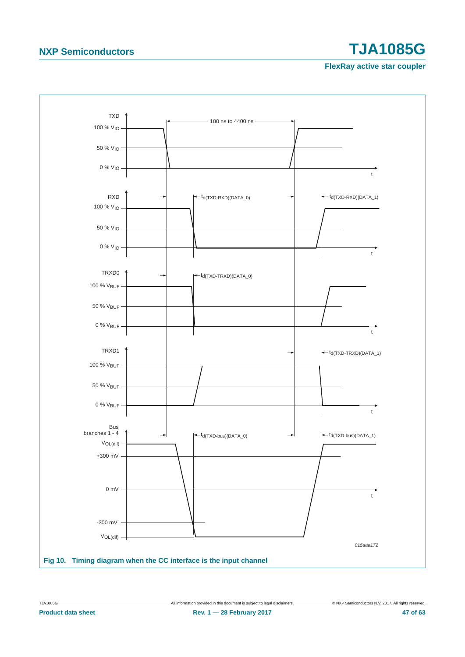<span id="page-46-0"></span>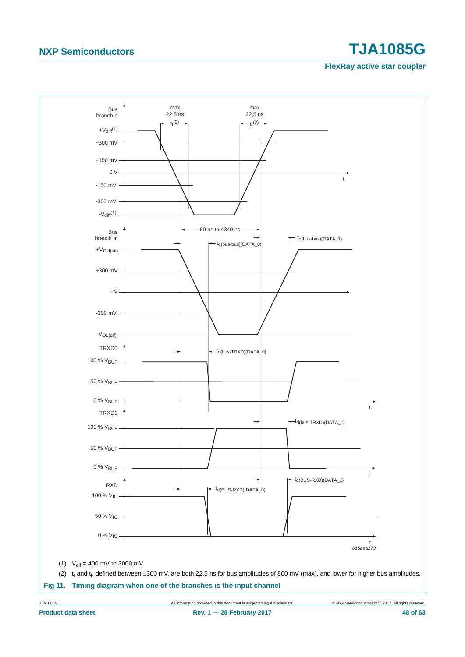<span id="page-47-0"></span>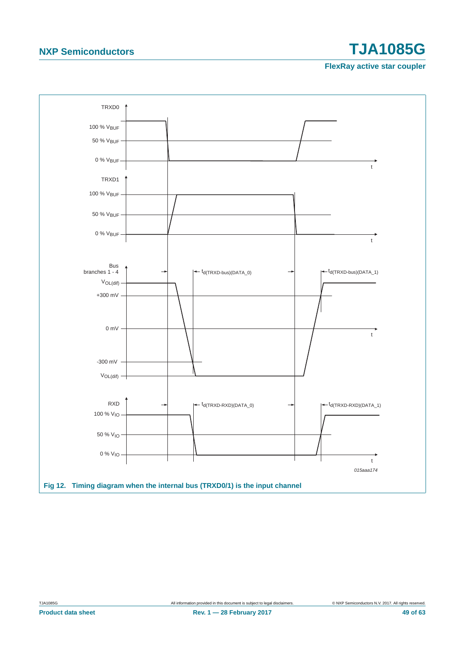<span id="page-48-0"></span>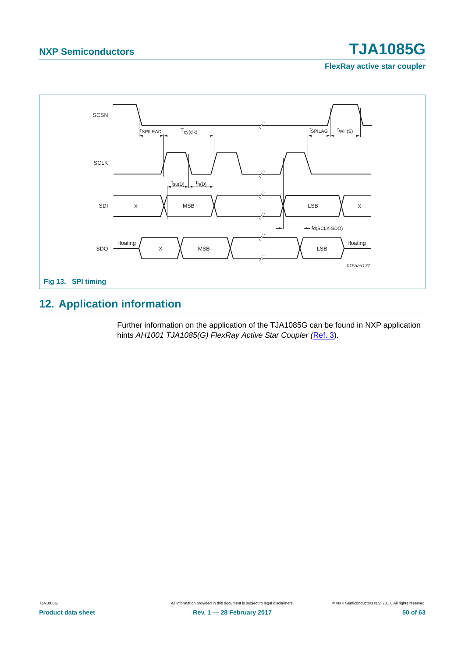**FlexRay active star coupler**



### <span id="page-49-0"></span>**12. Application information**

Further information on the application of the TJA1085G can be found in NXP application hints *AH1001 TJA1085(G) FlexRay Active Star Coupler (*[Ref. 3\)](#page-59-2).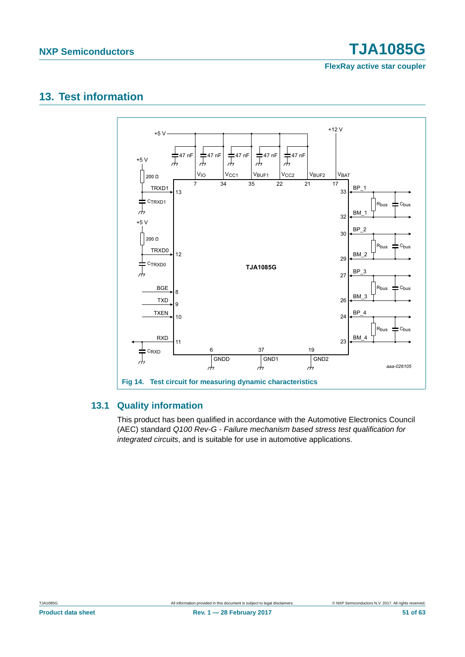**FlexRay active star coupler**

### <span id="page-50-0"></span>**13. Test information**



### <span id="page-50-1"></span>**13.1 Quality information**

This product has been qualified in accordance with the Automotive Electronics Council (AEC) standard *Q100 Rev-G - Failure mechanism based stress test qualification for integrated circuits*, and is suitable for use in automotive applications.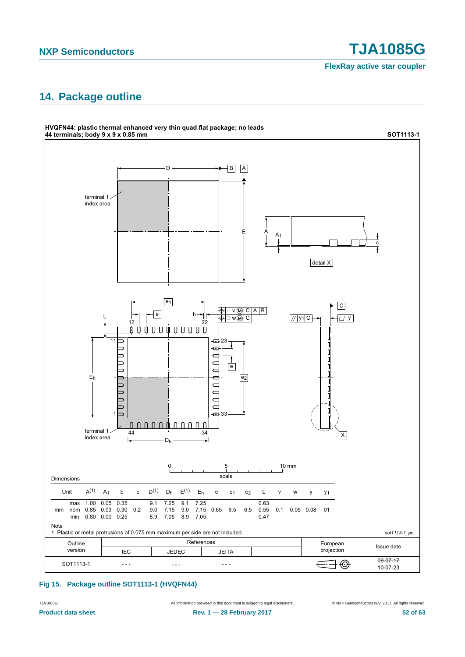**FlexRay active star coupler**

## <span id="page-51-0"></span>**14. Package outline**



#### **Fig 15. Package outline SOT1113-1 (HVQFN44)**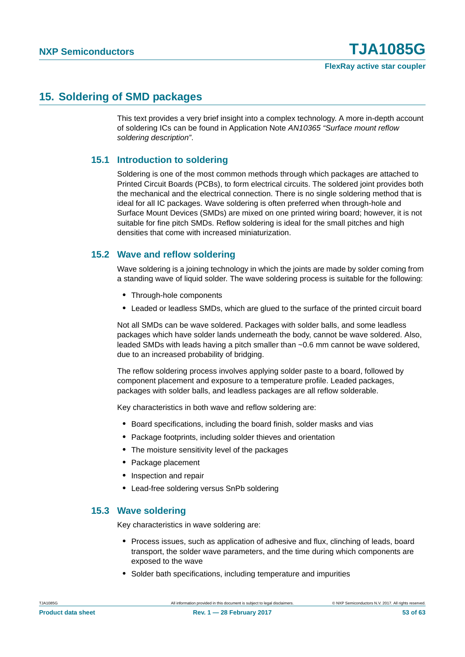### <span id="page-52-0"></span>**15. Soldering of SMD packages**

This text provides a very brief insight into a complex technology. A more in-depth account of soldering ICs can be found in Application Note *AN10365 "Surface mount reflow soldering description"*.

### <span id="page-52-1"></span>**15.1 Introduction to soldering**

Soldering is one of the most common methods through which packages are attached to Printed Circuit Boards (PCBs), to form electrical circuits. The soldered joint provides both the mechanical and the electrical connection. There is no single soldering method that is ideal for all IC packages. Wave soldering is often preferred when through-hole and Surface Mount Devices (SMDs) are mixed on one printed wiring board; however, it is not suitable for fine pitch SMDs. Reflow soldering is ideal for the small pitches and high densities that come with increased miniaturization.

### <span id="page-52-2"></span>**15.2 Wave and reflow soldering**

Wave soldering is a joining technology in which the joints are made by solder coming from a standing wave of liquid solder. The wave soldering process is suitable for the following:

- **•** Through-hole components
- **•** Leaded or leadless SMDs, which are glued to the surface of the printed circuit board

Not all SMDs can be wave soldered. Packages with solder balls, and some leadless packages which have solder lands underneath the body, cannot be wave soldered. Also, leaded SMDs with leads having a pitch smaller than ~0.6 mm cannot be wave soldered, due to an increased probability of bridging.

The reflow soldering process involves applying solder paste to a board, followed by component placement and exposure to a temperature profile. Leaded packages, packages with solder balls, and leadless packages are all reflow solderable.

Key characteristics in both wave and reflow soldering are:

- **•** Board specifications, including the board finish, solder masks and vias
- **•** Package footprints, including solder thieves and orientation
- **•** The moisture sensitivity level of the packages
- **•** Package placement
- **•** Inspection and repair
- **•** Lead-free soldering versus SnPb soldering

#### <span id="page-52-3"></span>**15.3 Wave soldering**

Key characteristics in wave soldering are:

- **•** Process issues, such as application of adhesive and flux, clinching of leads, board transport, the solder wave parameters, and the time during which components are exposed to the wave
- **•** Solder bath specifications, including temperature and impurities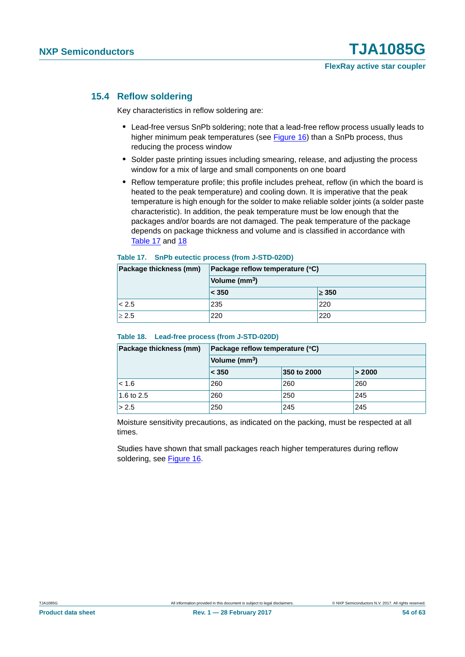#### <span id="page-53-2"></span>**15.4 Reflow soldering**

Key characteristics in reflow soldering are:

- **•** Lead-free versus SnPb soldering; note that a lead-free reflow process usually leads to higher minimum peak temperatures (see [Figure 16\)](#page-54-0) than a SnPb process, thus reducing the process window
- **•** Solder paste printing issues including smearing, release, and adjusting the process window for a mix of large and small components on one board
- **•** Reflow temperature profile; this profile includes preheat, reflow (in which the board is heated to the peak temperature) and cooling down. It is imperative that the peak temperature is high enough for the solder to make reliable solder joints (a solder paste characteristic). In addition, the peak temperature must be low enough that the packages and/or boards are not damaged. The peak temperature of the package depends on package thickness and volume and is classified in accordance with [Table 17](#page-53-0) and [18](#page-53-1)

#### <span id="page-53-0"></span>**Table 17. SnPb eutectic process (from J-STD-020D)**

| Package thickness (mm) | Package reflow temperature (°C) |                |  |  |  |  |
|------------------------|---------------------------------|----------------|--|--|--|--|
|                        | Volume (mm <sup>3</sup> )       |                |  |  |  |  |
|                        | < 350                           | $\geq 350$     |  |  |  |  |
| < 2.5                  | 235                             | $^{\prime}220$ |  |  |  |  |
| $\geq 2.5$             | 220                             | 220            |  |  |  |  |

#### <span id="page-53-1"></span>**Table 18. Lead-free process (from J-STD-020D)**

| Package thickness (mm) | Package reflow temperature (°C) |             |        |  |  |  |  |
|------------------------|---------------------------------|-------------|--------|--|--|--|--|
|                        | Volume (mm <sup>3</sup> )       |             |        |  |  |  |  |
|                        | < 350                           | 350 to 2000 | > 2000 |  |  |  |  |
| < 1.6                  | 260                             | 260         | 260    |  |  |  |  |
| 1.6 to 2.5             | 260                             | 250         | 245    |  |  |  |  |
| > 2.5                  | 250                             | 245         | 245    |  |  |  |  |

Moisture sensitivity precautions, as indicated on the packing, must be respected at all times.

Studies have shown that small packages reach higher temperatures during reflow soldering, see [Figure 16](#page-54-0).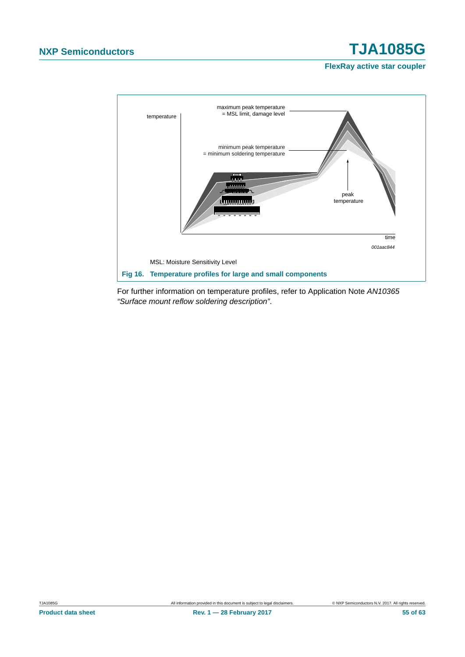**FlexRay active star coupler**



<span id="page-54-0"></span>For further information on temperature profiles, refer to Application Note *AN10365 "Surface mount reflow soldering description"*.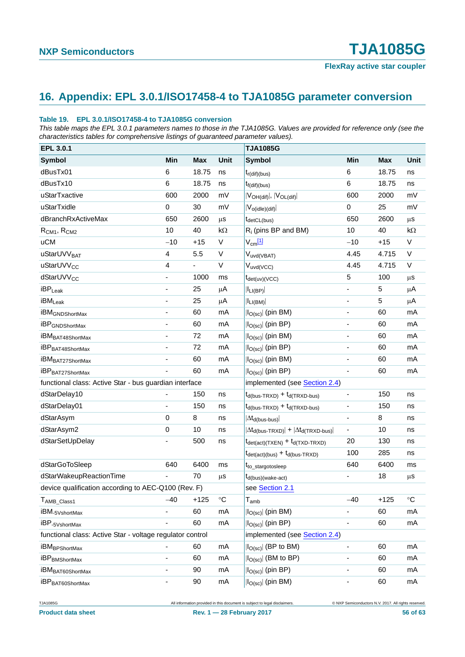## <span id="page-55-0"></span>**16. Appendix: EPL 3.0.1/ISO17458-4 to TJA1085G parameter conversion**

#### **Table 19. EPL 3.0.1/ISO17458-4 to TJA1085G conversion**

*This table maps the EPL 3.0.1 parameters names to those in the TJA1085G. Values are provided for reference only (see the characteristics tables for comprehensive listings of guaranteed parameter values).*

| EPL 3.0.1                                                 |                              |            |              | <b>TJA1085G</b>                                                           |                              |            |                 |
|-----------------------------------------------------------|------------------------------|------------|--------------|---------------------------------------------------------------------------|------------------------------|------------|-----------------|
| <b>Symbol</b>                                             | Min                          | <b>Max</b> | Unit         | <b>Symbol</b>                                                             | Min                          | <b>Max</b> | Unit            |
| dBusTx01                                                  | 6                            | 18.75      | ns           | $t_{r(\text{dif})(bus)}$                                                  | 6                            | 18.75      | ns              |
| dBusTx10                                                  | 6                            | 18.75      | ns           | $t_{f(di)(bus)}$                                                          | 6                            | 18.75      | ns              |
| uStarTxactive                                             | 600                          | 2000       | mV           | $ V_{OH(dif)} ,  V_{OL(dif)} $                                            | 600                          | 2000       | mV              |
| uStarTxidle                                               | 0                            | 30         | mV           | $ V_{o(idle)(dif)} $                                                      | 0                            | 25         | mV              |
| dBranchRxActiveMax                                        | 650                          | 2600       | $\mu$ s      | $t_{\text{detCL(bus)}}$                                                   | 650                          | 2600       | $\mu$ s         |
| $R_{CM1}$ , $R_{CM2}$                                     | 10                           | 40         | $k\Omega$    | $R_i$ (pins BP and BM)                                                    | 10                           | 40         | $k\Omega$       |
| <b>uCM</b>                                                | $-10$                        | $+15$      | V            | $V_{cm}$ [1]                                                              | $-10$                        | $+15$      | $\vee$          |
| uStarUVV <sub>BAT</sub>                                   | 4                            | 5.5        | $\mathsf{V}$ | V <sub>uvd(VBAT)</sub>                                                    | 4.45                         | 4.715      | V               |
| uStarUVV <sub>CC</sub>                                    | 4                            | L,         | $\mathsf{V}$ | $V_{uvd(VCC)}$                                                            | 4.45                         | 4.715      | V               |
| dStarUVV <sub>CC</sub>                                    |                              | 1000       | ms           | $t_{\text{det(uv)}(VCC)}$                                                 | 5                            | 100        | $\mu$ s         |
| $\mathsf{iBP}_{\mathsf{Leak}}$                            |                              | 25         | $\mu$ A      | $ I_{LI(BP)} $                                                            | ÷,                           | 5          | $\mu$ A         |
| <b>iBM</b> <sub>Leak</sub>                                | $\overline{\phantom{a}}$     | 25         | μA           | $ I_{LI(BM)} $                                                            | ÷,                           | 5          | μA              |
| <b>iBM</b> GNDShortMax                                    | $\overline{\phantom{a}}$     | 60         | mA           | $ I_{O(sc)} $ (pin BM)                                                    | ÷,                           | 60         | mA              |
| <b>iBP</b> GNDShortMax                                    |                              | 60         | mA           | $ I_{O(SC)} $ (pin BP)                                                    | ä,                           | 60         | mA              |
| iBM <sub>BAT48ShortMax</sub>                              |                              | 72         | mA           | $ I_{O(SC)} $ (pin BM)                                                    | ÷,                           | 60         | mA              |
| iBP <sub>BAT48ShortMax</sub>                              |                              | 72         | mA           | $ I_{O(sc)} $ (pin BP)                                                    | ÷,                           | 60         | mA              |
| iBM <sub>BAT27ShortMax</sub>                              |                              | 60         | mA           | $ I_{O(sc)} $ (pin BM)                                                    | ÷,                           | 60         | mA              |
| iBP <sub>BAT27ShortMax</sub>                              |                              | 60         | mA           | $ I_{O(sc)} $ (pin BP)                                                    |                              | 60         | mA              |
| functional class: Active Star - bus guardian interface    |                              |            |              | implemented (see Section 2.4)                                             |                              |            |                 |
| dStarDelay10                                              |                              | 150        | ns           | $t_{d(bus-TRXD)} + t_{d(TRXD-bus)}$                                       | $\overline{\phantom{0}}$     | 150        | ns              |
| dStarDelay01                                              |                              | 150        | ns           | $t_{d(bus-TRXD)} + t_{d(TRXD-bus)}$                                       |                              | 150        | ns              |
| dStarAsym                                                 | $\mathbf 0$                  | 8          | ns           | $ \Delta t_{\rm d(bus-bus)} $                                             | ä,                           | 8          | ns              |
| dStarAsym2                                                | $\mathbf 0$                  | 10         | ns           | $ \Delta t_{d(bus-TRXD)}  +  \Delta t_{d(TRXD-bus)} $                     | $\overline{\phantom{0}}$     | 10         | ns              |
| dStarSetUpDelay                                           |                              | 500        | ns           | $t_{\text{det}(\text{act})(\text{TXEN})} + t_{\text{d}(\text{TXD-TRXD})}$ | 20                           | 130        | ns              |
|                                                           |                              |            |              | $t_{\text{det}(\text{act})(\text{bus})} + t_{\text{d}(\text{bus-TRXD})}$  | 100                          | 285        | ns              |
| dStarGoToSleep                                            | 640                          | 6400       | ms           | t <sub>to_stargotosleep</sub>                                             | 640                          | 6400       | ms              |
| dStarWakeupReactionTime                                   |                              | 70         | μS           | t <sub>d</sub> (bus)(wake-act)                                            |                              | 18         | μS              |
| device qualification according to AEC-Q100 (Rev. F)       |                              |            |              | see Section 2.1                                                           |                              |            |                 |
| T <sub>AMB</sub> _Class1                                  | $-40$                        | $+125$     | $^{\circ}C$  | $\mathsf{T}_{\mathsf{amb}}$                                               | $-40$                        | $+125$     | $\rm ^{\circ}C$ |
| iBM <sub>-5VshortMax</sub>                                | $\blacksquare$               | 60         | mA           | $ I_{O(sc)} $ (pin BM)                                                    |                              | 60         | mA              |
| iBP <sub>-5VshortMax</sub>                                | $\qquad \qquad \blacksquare$ | 60         | mA           | $ I_{O(sc)} $ (pin BP)                                                    | $\overline{\phantom{0}}$     | 60         | mA              |
| functional class: Active Star - voltage regulator control |                              |            |              | implemented (see Section 2.4)                                             |                              |            |                 |
| <b>iBM</b> BPShortMax                                     |                              | 60         | mA           | $ I_{O(sc)} $ (BP to BM)                                                  |                              | 60         | mA              |
| <b>iBP</b> BMShortMax                                     | $\blacksquare$               | 60         | mA           | $ I_{O(sc)} $ (BM to BP)                                                  | $\qquad \qquad \blacksquare$ | 60         | mA              |
| iBM <sub>BAT60ShortMax</sub>                              | $\overline{\phantom{a}}$     | 90         | mA           | $ I_{O(sc)} $ (pin BP)                                                    |                              | 60         | mA              |
| iBP <sub>BAT60ShortMax</sub>                              | $\blacksquare$               | 90         | mA           | $ I_{O(sc)} $ (pin BM)                                                    | $\overline{\phantom{0}}$     | 60         | mA              |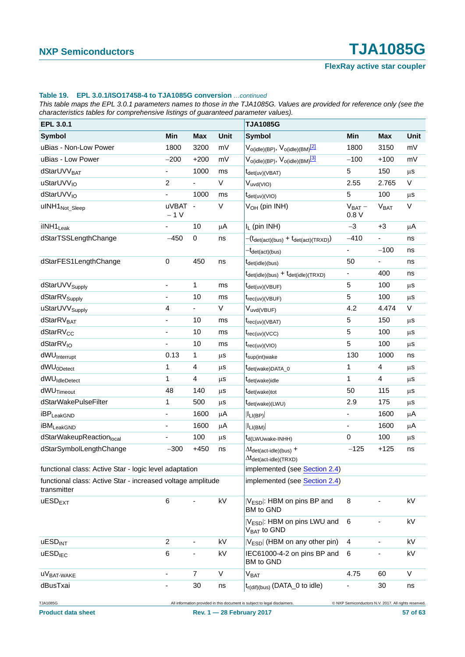#### **Table 19. EPL 3.0.1/ISO17458-4 to TJA1085G conversion** *…continued*

*This table maps the EPL 3.0.1 parameters names to those in the TJA1085G. Values are provided for reference only (see the characteristics tables for comprehensive listings of guaranteed parameter values).*

| EPL 3.0.1                                                                  |                          |                          |             | <b>TJA1085G</b>                                                                                                 |                                                      |                          |             |
|----------------------------------------------------------------------------|--------------------------|--------------------------|-------------|-----------------------------------------------------------------------------------------------------------------|------------------------------------------------------|--------------------------|-------------|
| <b>Symbol</b>                                                              | Min                      | <b>Max</b>               | <b>Unit</b> | <b>Symbol</b>                                                                                                   | Min                                                  | Max                      | <b>Unit</b> |
| uBias - Non-Low Power                                                      | 1800                     | 3200                     | mV          | V <sub>o(idle)</sub> (BP), V <sub>o(idle)</sub> (BM) <sup>[2]</sup>                                             | 1800                                                 | 3150                     | mV          |
| uBias - Low Power                                                          | $-200$                   | $+200$                   | mV          | $V_{o(idle)(BP)}, V_{o(idle)(BM)}$ <sup>[3]</sup>                                                               | $-100$                                               | $+100$                   | mV          |
| dStarUVV <sub>BAT</sub>                                                    | $\overline{\phantom{a}}$ | 1000                     | ms          | t <sub>det(uv)(VBAT)</sub>                                                                                      | 5                                                    | 150                      | $\mu s$     |
| uStarUVV <sub>IO</sub>                                                     | $\overline{\mathbf{c}}$  |                          | V           | $V_{uvd(VIO)}$                                                                                                  | 2.55                                                 | 2.765                    | $\vee$      |
| dStarUVV <sub>IO</sub>                                                     | ÷.                       | 1000                     | ms          | $t_{\text{det(uv)}(VIO)}$                                                                                       | 5                                                    | 100                      | $\mu$ S     |
| uINH1 <sub>Not_Sleep</sub>                                                 | uVBAT -<br>$-1V$         |                          | V           | V <sub>OH</sub> (pin INH)                                                                                       | $V_{BAT}$ –<br>0.8V                                  | V <sub>BAT</sub>         | $\vee$      |
| ilNH1 <sub>Leak</sub>                                                      |                          | 10                       | μA          | $I_L$ (pin INH)                                                                                                 | $-3$                                                 | $+3$                     | μA          |
| dStarTSSLengthChange                                                       | $-450$                   | $\pmb{0}$                | ns          | $-(t_{\text{det}(\text{act})(\text{bus})} + t_{\text{det}(\text{act})(\text{TRXD})})$                           | $-410$                                               |                          | ns          |
|                                                                            |                          |                          |             | <sup>—t</sup> det(act)(bus)                                                                                     | $\blacksquare$                                       | $-100$                   | ns          |
| dStarFES1LengthChange                                                      | $\pmb{0}$                | 450                      | ns          | $t_{\text{det}(idle)(bus)}$                                                                                     | 50                                                   | $\overline{\phantom{a}}$ | ns          |
|                                                                            |                          |                          |             | $t_{\text{det(idle)}(bus)} + t_{\text{det(idle)}(TRXD)}$                                                        | $\blacksquare$                                       | 400                      | ns          |
| dStarUVV <sub>Supply</sub>                                                 | ÷,                       | 1                        | ms          | $t_{\text{det(uv)(VBUF)}}$                                                                                      | 5                                                    | 100                      | $\mu$ s     |
| dStarRV <sub>Supply</sub>                                                  | $\frac{1}{2}$            | 10                       | ms          | $t_{rec(uv)(VBUF)}$                                                                                             | 5                                                    | 100                      | $\mu$ S     |
| uStarUVV <sub>Supply</sub>                                                 | 4                        | ÷,                       | V           | Vuvd(VBUF)                                                                                                      | 4.2                                                  | 4.474                    | V           |
| dStarRV <sub>BAT</sub>                                                     | $\overline{\phantom{a}}$ | 10                       | ms          | $t_{rec(uv)(VBAT)}$                                                                                             | 5                                                    | 150                      | $\mu$ S     |
| dStarRV <sub>CC</sub>                                                      |                          | 10                       | ms          | $t_{rec(uv)(VCC)}$                                                                                              | 5                                                    | 100                      | $\mu s$     |
| dStarRV <sub>IO</sub>                                                      |                          | 10                       | ms          | $t_{rec(uv)(VIO)}$                                                                                              | 5                                                    | 100                      | $\mu s$     |
| dWU <sub>Interrupt</sub>                                                   | 0.13                     | 1                        | $\mu$ S     | t <sub>sup</sub> (int)wake                                                                                      | 130                                                  | 1000                     | ns          |
| dWU <sub>0Detect</sub>                                                     | 1                        | 4                        | $\mu$ S     | t <sub>det(wake)DATA_0</sub>                                                                                    | 1                                                    | 4                        | μS          |
| dWU <sub>IdleDetect</sub>                                                  | 1                        | 4                        | $\mu$ s     | t <sub>det(wake)idle</sub>                                                                                      | $\mathbf{1}$                                         | $\overline{\mathbf{4}}$  | $\mu s$     |
| dWU <sub>Timeout</sub>                                                     | 48                       | 140                      | $\mu$ s     | t <sub>det(wake)tot</sub>                                                                                       | 50                                                   | 115                      | $\mu s$     |
| dStarWakePulseFilter                                                       | 1                        | 500                      | $\mu$ s     | t <sub>det(wake)</sub> (LWU)                                                                                    | 2.9                                                  | 175                      | $\mu s$     |
| <b>iBP</b> LeakGND                                                         | $\frac{1}{2}$            | 1600                     | μA          | $ I_{LI(BP)} $                                                                                                  |                                                      | 1600                     | μA          |
| <b>iBM</b> LeakGND                                                         |                          | 1600                     | $\mu$ A     | $ I_{LI(BM)} $                                                                                                  | ÷,                                                   | 1600                     | μA          |
| dStarWakeupReactionlocal                                                   |                          | 100                      | $\mu$ s     | t <sub>d</sub> (LWUwake-INHH)                                                                                   | $\pmb{0}$                                            | 100                      | $\mu s$     |
| dStarSymbolLengthChange                                                    | $-300$                   | $+450$                   | ns          | $\Delta t_{\text{det}(\text{act-idle})(\text{bus})}$ +<br>$\Delta t_{\text{det}(\text{act-idle})(\text{TRXD})}$ | $-125$                                               | $+125$                   | ns          |
| functional class: Active Star - logic level adaptation                     |                          |                          |             | implemented (see Section 2.4)                                                                                   |                                                      |                          |             |
| functional class: Active Star - increased voltage amplitude<br>transmitter |                          |                          |             | implemented (see Section 2.4)                                                                                   |                                                      |                          |             |
| $u$ ESD <sub>EXT</sub>                                                     | 6                        |                          | kV          | V <sub>ESD</sub>  : HBM on pins BP and<br>BM to GND                                                             | 8                                                    |                          | kV          |
|                                                                            |                          |                          |             | V <sub>ESD</sub> : HBM on pins LWU and<br>V <sub>BAT</sub> to GND                                               | 6                                                    |                          | kV          |
| <b>UESD<sub>INT</sub></b>                                                  | $\overline{c}$           | $\overline{\phantom{0}}$ | kV          | $ V_{ESD} $ (HBM on any other pin)                                                                              | 4                                                    | $\overline{\phantom{0}}$ | kV          |
| <b>uESD<sub>IEC</sub></b>                                                  | 6                        |                          | kV          | IEC61000-4-2 on pins BP and<br>BM to GND                                                                        | 6                                                    |                          | kV          |
| UVBAT-WAKE                                                                 |                          | 7                        | V           | <b>VBAT</b>                                                                                                     | 4.75                                                 | 60                       | V           |
| dBusTxai                                                                   |                          | 30                       | ns          | t <sub>r(dif)(bus)</sub> (DATA_0 to idle)                                                                       |                                                      | 30                       | ns          |
| TJA1085G                                                                   |                          |                          |             | All information provided in this document is subject to legal disclaimers.                                      | C NXP Semiconductors N.V. 2017. All rights reserved. |                          |             |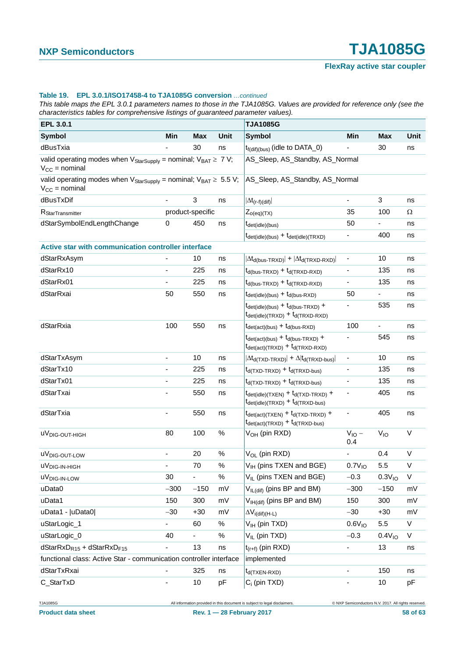#### **Table 19. EPL 3.0.1/ISO17458-4 to TJA1085G conversion** *…continued*

*This table maps the EPL 3.0.1 parameters names to those in the TJA1085G. Values are provided for reference only (see the characteristics tables for comprehensive listings of guaranteed parameter values).*

| EPL 3.0.1                                                                                                         |                          |                  |      | <b>TJA1085G</b>                                                                                                                                          |                              |                          | Unit<br>ns<br>ns<br>Ω<br>ns<br>ns<br>ns<br>ns<br>ns<br>ns<br>ns<br>ns |  |  |
|-------------------------------------------------------------------------------------------------------------------|--------------------------|------------------|------|----------------------------------------------------------------------------------------------------------------------------------------------------------|------------------------------|--------------------------|-----------------------------------------------------------------------|--|--|
| <b>Symbol</b>                                                                                                     | Min                      | <b>Max</b>       | Unit | <b>Symbol</b>                                                                                                                                            | Min                          | <b>Max</b>               |                                                                       |  |  |
| dBusTxia                                                                                                          |                          | 30               | ns   | $t_{f(df)(bus)}$ (idle to DATA_0)                                                                                                                        |                              | 30                       |                                                                       |  |  |
| valid operating modes when $V_{\text{StarSupply}} =$ nominal; $V_{\text{BAT}} \geq 7 V$ ;<br>$V_{CC}$ = nominal   |                          |                  |      | AS_Sleep, AS_Standby, AS_Normal                                                                                                                          |                              |                          |                                                                       |  |  |
| valid operating modes when $V_{\text{StarSupply}} =$ nominal; $V_{\text{BAT}} \geq 5.5 V$ ;<br>$V_{CC}$ = nominal |                          |                  |      | AS_Sleep, AS_Standby, AS_Normal                                                                                                                          |                              |                          |                                                                       |  |  |
| dBusTxDif                                                                                                         | $\blacksquare$           | 3                | ns   | $ \Delta t_{(r-f)(dif)} $                                                                                                                                | $\blacksquare$               | 3                        |                                                                       |  |  |
| R <sub>StarTransmitter</sub>                                                                                      |                          | product-specific |      | $Z_{o(eq)(TX)}$                                                                                                                                          | 35                           | 100                      |                                                                       |  |  |
| dStarSymbolEndLengthChange                                                                                        | $\pmb{0}$                | 450              | ns   | $t_{\text{det(idle)}(bus)}$                                                                                                                              | 50                           |                          |                                                                       |  |  |
|                                                                                                                   |                          |                  |      | $t_{\text{det(idle)}(bus)} + t_{\text{det(idle)}(TRXD)}$                                                                                                 |                              | 400                      |                                                                       |  |  |
| Active star with communication controller interface                                                               |                          |                  |      |                                                                                                                                                          |                              |                          |                                                                       |  |  |
| dStarRxAsym                                                                                                       |                          | 10               | ns   | $ \Delta t_{d(bus-TRXD)}  +  \Delta t_{d(TRXD-RXD)} $                                                                                                    | -                            | 10                       |                                                                       |  |  |
| dStarRx10                                                                                                         | -                        | 225              | ns   | $t_{d(bus-TRXD)} + t_{d(TRXD-RXD)}$                                                                                                                      |                              | 135                      |                                                                       |  |  |
| dStarRx01                                                                                                         |                          | 225              | ns   | $t_{d(bus-TRXD)} + t_{d(TRXD-RXD)}$                                                                                                                      |                              | 135                      |                                                                       |  |  |
| dStarRxai                                                                                                         | 50                       | 550              | ns   | $t_{\text{det(idle)}(bus)} + t_{\text{d(bus-RXD)}}$                                                                                                      | 50                           | $\overline{\phantom{a}}$ |                                                                       |  |  |
|                                                                                                                   |                          |                  |      | $t_{\text{det(idle)}(bus)} + t_{\text{d(bus-TRXD)}} +$<br>$t_{\text{det(idle)}(TRXD)} + t_{\text{d}(TRXD-RXD)}$                                          |                              | 535                      |                                                                       |  |  |
| dStarRxia                                                                                                         | 100                      | 550              | ns   | $t_{\text{det}(\text{act})(\text{bus})} + t_{\text{d}(\text{bus-RXD})}$                                                                                  | 100                          | $\blacksquare$           |                                                                       |  |  |
|                                                                                                                   |                          |                  |      | $t_{\text{det}(\text{act})(bus)} + t_{\text{d}(bus-TRXD)} +$<br>$t_{\text{det}(\text{act})(\text{TRXD})} + t_{\text{d}(\text{TRXD-RXD})}$                |                              | 545                      | ns                                                                    |  |  |
| dStarTxAsym                                                                                                       | $\sim$                   | 10               | ns   | $ \Delta t_{d(TXD-TRXD)} $ + $\Delta  t_{d(TRXD-bus)} $                                                                                                  | $\overline{\phantom{a}}$     | 10                       | ns                                                                    |  |  |
| dStarTx10                                                                                                         |                          | 225              | ns   | $t_{d(TXD-TRXD)} + t_{d(TRXD-bus)}$                                                                                                                      |                              | 135                      | ns                                                                    |  |  |
| dStarTx01                                                                                                         | $\overline{\phantom{a}}$ | 225              | ns   | $t_{d(TXD-TRXD)} + t_{d(TRXD-bus)}$                                                                                                                      | $\blacksquare$               | 135                      | ns                                                                    |  |  |
| dStarTxai                                                                                                         |                          | 550              | ns   | $t_{\text{det(idle)}(TXEN)} + t_{\text{d}(TXD-TRXD)} +$<br>$t_{\text{det(idle)}(TRXD)} + t_{\text{d}(TRXD-bus)}$                                         | $\overline{\phantom{a}}$     | 405                      | ns                                                                    |  |  |
| dStarTxia                                                                                                         |                          | 550              | ns   | $t_{\text{det}(\text{act})(\text{TXEN})} + t_{\text{d}(\text{TXD-TRXD})} +$<br>$t_{\text{det}(\text{act})(\text{TRXD})} + t_{\text{d}(\text{TRXD-bus})}$ |                              | 405                      | ns                                                                    |  |  |
| uV <sub>DIG-OUT-HIGH</sub>                                                                                        | 80                       | 100              | $\%$ | $V_{OH}$ (pin RXD)                                                                                                                                       | $V_{IO}$ –<br>0.4            | $V_{10}$                 | $\vee$                                                                |  |  |
| uV <sub>DIG-OUT-LOW</sub>                                                                                         | $\overline{\phantom{a}}$ | 20               | $\%$ | V <sub>OL</sub> (pin RXD)                                                                                                                                | ÷,                           | 0.4                      | $\vee$                                                                |  |  |
| $uv_{DIG-IN-HIGH}$                                                                                                |                          | 70               | $\%$ | V <sub>IH</sub> (pins TXEN and BGE)                                                                                                                      | $0.7V_{10}$                  | 5.5                      | $\vee$                                                                |  |  |
| uV <sub>DIG-IN-LOW</sub>                                                                                          | 30                       | ÷,               | $\%$ | $V_{IL}$ (pins TXEN and BGE)                                                                                                                             | $-0.3$                       | 0.3V <sub>10</sub>       | $\vee$                                                                |  |  |
| uData0                                                                                                            | $-300$                   | $-150$           | mV   | V <sub>IL(dif)</sub> (pins BP and BM)                                                                                                                    | $-300$                       | $-150$                   | mV                                                                    |  |  |
| uData1                                                                                                            | 150                      | 300              | mV   | V <sub>IH(dif)</sub> (pins BP and BM)                                                                                                                    | 150                          | 300                      | mV                                                                    |  |  |
| uData1 -  uData0                                                                                                  | $-30$                    | $+30$            | mV   | $\Delta V_{i(dif)(H-L)}$                                                                                                                                 | $-30$                        | $+30$                    | mV                                                                    |  |  |
| uStarLogic_1                                                                                                      |                          | 60               | $\%$ | V <sub>IH</sub> (pin TXD)                                                                                                                                | 0.6V <sub>10</sub>           | 5.5                      | $\mathsf{V}$                                                          |  |  |
| uStarLogic_0                                                                                                      | 40                       |                  | $\%$ | V <sub>IL</sub> (pin TXD)                                                                                                                                | $-0.3$                       | 0.4V <sub>10</sub>       | V                                                                     |  |  |
| dStarRxD <sub>R15</sub> + dStarRxD <sub>F15</sub>                                                                 |                          | 13               | ns   | $t_{(r+f)}$ (pin RXD)                                                                                                                                    |                              | 13                       | ns                                                                    |  |  |
| functional class: Active Star - communication controller interface                                                |                          |                  |      | implemented                                                                                                                                              |                              |                          |                                                                       |  |  |
| dStarTxRxai                                                                                                       |                          | 325              | ns   | $t_{d(TXEN-RXD)}$                                                                                                                                        |                              | 150                      | ns                                                                    |  |  |
| C_StarTxD                                                                                                         | $\overline{\phantom{a}}$ | 10               | pF   | $C_i$ (pin TXD)                                                                                                                                          | $\qquad \qquad \blacksquare$ | 10                       | pF                                                                    |  |  |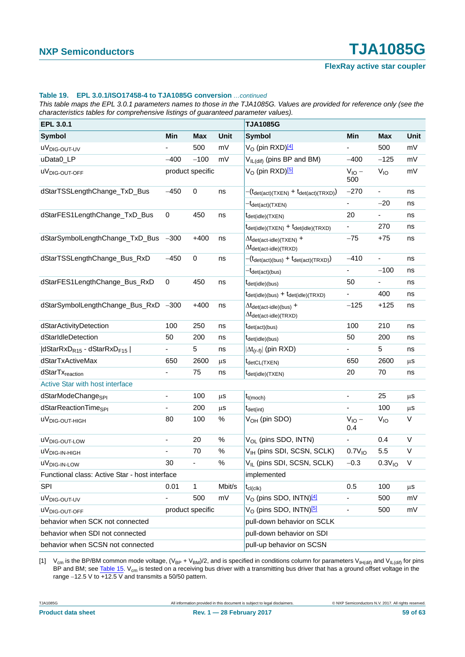#### **Table 19. EPL 3.0.1/ISO17458-4 to TJA1085G conversion** *…continued*

*This table maps the EPL 3.0.1 parameters names to those in the TJA1085G. Values are provided for reference only (see the characteristics tables for comprehensive listings of guaranteed parameter values).*

| EPL 3.0.1                                      |                          |             |                                                | <b>TJA1085G</b>                                                                                                  |                              |                          |         |
|------------------------------------------------|--------------------------|-------------|------------------------------------------------|------------------------------------------------------------------------------------------------------------------|------------------------------|--------------------------|---------|
| <b>Symbol</b>                                  | Min                      | <b>Max</b>  | Unit                                           | <b>Symbol</b>                                                                                                    | Min                          | <b>Max</b>               | Unit    |
| uV <sub>DIG-OUT-UV</sub>                       |                          | 500         | mV                                             | V <sub>O</sub> (pin RXD) <sup>[4]</sup>                                                                          |                              | 500                      | mV      |
| uData0_LP                                      | $-400$                   | $-100$      | mV                                             | V <sub>IL(dif)</sub> (pins BP and BM)                                                                            | $-400$                       | $-125$                   | mV      |
| uV <sub>DIG-OUT-OFF</sub>                      | product specific         |             |                                                | V <sub>O</sub> (pin RXD) <sup>[5]</sup>                                                                          | $V_{IO}$ –<br>500            | $V_{IO}$                 | mV      |
| dStarTSSLengthChange_TxD_Bus                   | $-450$                   | $\mathbf 0$ | ns                                             | $-(t_{\text{det}(\text{act})(\text{TXEN})} + t_{\text{det}(\text{act})(\text{TRXD})})$                           | $-270$                       | $\blacksquare$           | ns      |
|                                                |                          |             |                                                | <sup>-t</sup> det(act)(TXEN)                                                                                     |                              | $-20$                    | ns      |
| dStarFES1LengthChange_TxD_Bus                  | $\pmb{0}$                | 450         | ns                                             | $t_{\text{det(idle)}}$ (TXEN)                                                                                    | 20                           |                          | ns      |
|                                                |                          |             |                                                | $t_{\text{det(idle)}(TXEN)} + t_{\text{det(idle)}(TRXD)}$                                                        |                              | 270                      | ns      |
| dStarSymbolLengthChange_TxD_Bus -300           |                          | $+400$      | ns                                             | $\Delta t_{\text{det}(\text{act-idle})(\text{TXEN})}$ +<br>$\Delta t_{\text{det}(\text{act-idle})(\text{TRXD})}$ | $-75$                        | $+75$                    | ns      |
| dStarTSSLengthChange_Bus_RxD                   | $-450$                   | $\pmb{0}$   | ns                                             | $-(t_{\text{det}(\text{act})(\text{bus})} + t_{\text{det}(\text{act})(\text{TRXD})})$                            | $-410$                       | $\overline{\phantom{a}}$ | ns      |
|                                                |                          |             |                                                | $-t_{\text{det}(\text{act})(\text{bus})}$                                                                        | $\blacksquare$               | $-100$                   | ns      |
| dStarFES1LengthChange_Bus_RxD                  | $\pmb{0}$                | 450         | ns                                             | $t_{\text{det(idle)}(bus)}$                                                                                      | 50                           | $\frac{1}{2}$            | ns      |
|                                                |                          |             |                                                | $t_{\text{det(idle)}(bus)} + t_{\text{det(idle)}(TRXD)}$                                                         | $\blacksquare$               | 400                      | ns      |
| dStarSymbolLengthChange_Bus_RxD -300           |                          | $+400$      | ns                                             | $\Delta t_{\text{det}(\text{act-idle})(\text{bus})}$ +<br>$\Delta t_{\text{det}(\text{act-idle})(\text{TRXD})}$  | $-125$                       | $+125$                   | ns      |
| dStarActivityDetection                         | 100                      | 250         | ns                                             | $t_{\text{det}(\text{act})(\text{bus})}$                                                                         | 100                          | 210                      | ns      |
| dStarIdleDetection                             | 50                       | 200         | ns                                             | $t_{\text{det(idle)}(bus)}$                                                                                      | 50                           | 200                      | ns      |
| $ dStarRxD_{R15} - dStarRxD_{F15} $            |                          | 5           | ns                                             | $ \Delta t_{(r-f)} $ (pin RXD)                                                                                   |                              | 5                        | ns      |
| dStarTxActiveMax                               | 650                      | 2600        | μS                                             | t <sub>detCL(TXEN)</sub>                                                                                         | 650                          | 2600                     | μS      |
| dStarTx <sub>reaction</sub>                    |                          | 75          | ns                                             | $t_{\text{det(idle)}(\text{TXEN})}$                                                                              | 20                           | 70                       | ns      |
| Active Star with host interface                |                          |             |                                                |                                                                                                                  |                              |                          |         |
| dStarModeChange <sub>SPI</sub>                 | $\overline{\phantom{a}}$ | 100         | $\mu$ S                                        | $t_{t(moch)}$                                                                                                    | $\blacksquare$               | 25                       | μS      |
| dStarReactionTime <sub>SPI</sub>               | $\overline{\phantom{a}}$ | 200         | $\mu$ s                                        | $t_{\text{det(int)}}$                                                                                            | $\blacksquare$               | 100                      | $\mu$ s |
| uV <sub>DIG-OUT-HIGH</sub>                     | 80                       | 100         | $\%$                                           | V <sub>OH</sub> (pin SDO)                                                                                        | $V_{IO}$ –<br>0.4            | V <sub>IO</sub>          | $\vee$  |
| uV <sub>DIG-OUT-LOW</sub>                      | $\blacksquare$           | 20          | $\%$                                           | V <sub>OL</sub> (pins SDO, INTN)                                                                                 | $\qquad \qquad \blacksquare$ | 0.4                      | $\vee$  |
| $uv_{DIG-IN-HIGH}$                             |                          | 70          | $\%$                                           | V <sub>IH</sub> (pins SDI, SCSN, SCLK)                                                                           | 0.7V <sub>10</sub>           | 5.5                      | $\vee$  |
| uV <sub>DIG-IN-LOW</sub>                       | 30                       | ÷,          | $\%$                                           | V <sub>II</sub> (pins SDI, SCSN, SCLK)                                                                           | $-0.3$                       | 0.3V <sub>10</sub>       | $\vee$  |
| Functional class: Active Star - host interface |                          |             |                                                | implemented                                                                                                      |                              |                          |         |
| <b>SPI</b>                                     | 0.01                     | 1           | Mbit/s                                         | $t_{\text{cl}(\text{clk})}$                                                                                      | 0.5                          | 100                      | $\mu$ s |
| uV <sub>DIG-OUT-UV</sub>                       |                          | 500         | mV                                             | V <sub>O</sub> (pins SDO, INTN) <sup>[4]</sup>                                                                   |                              | 500                      | mV      |
| product specific<br>uV <sub>DIG-OUT-OFF</sub>  |                          |             | V <sub>O</sub> (pins SDO, INTN) <sup>[5]</sup> |                                                                                                                  | 500                          | mV                       |         |
| behavior when SCK not connected                |                          |             | pull-down behavior on SCLK                     |                                                                                                                  |                              |                          |         |
| behavior when SDI not connected                |                          |             |                                                | pull-down behavior on SDI                                                                                        |                              |                          |         |
| behavior when SCSN not connected               |                          |             |                                                | pull-up behavior on SCSN                                                                                         |                              |                          |         |

<span id="page-58-0"></span>[1]  $V_{cm}$  is the BP/BM common mode voltage,  $(V_{BP} + V_{BM})/2$ , and is specified in conditions column for parameters  $V_{HH(dif)}$  and  $V_{H_L(dif)}$  for pins BP and BM; see [Table 15](#page-35-0). V<sub>cm</sub> is tested on a receiving bus driver with a transmitting bus driver that has a ground offset voltage in the range  $-12.5$  V to  $\overline{+12.5}$  V and transmits a 50/50 pattern.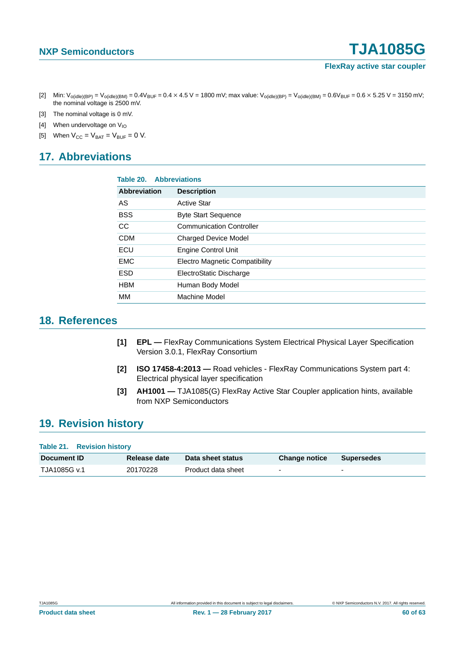- <span id="page-59-3"></span>[2] Min:  $V_{o(idle)(BP)} = V_{o(idle)(BM)} = 0.4V_{BUF} = 0.4 \times 4.5 V = 1800$  mV; max value:  $V_{o(idle)(BP)} = V_{o(idle)(BM)} = 0.6V_{BUF} = 0.6 \times 5.25 V = 3150$  mV; the nominal voltage is 2500 mV.
- <span id="page-59-4"></span>[3] The nominal voltage is 0 mV.
- <span id="page-59-5"></span>[4] When undervoltage on  $V_{10}$
- <span id="page-59-6"></span>[5] When  $V_{CC} = V_{BAT} = V_{BUF} = 0 V$ .

## <span id="page-59-7"></span>**17. Abbreviations**

| <b>Abbreviations</b><br>Table 20. |                                       |  |  |
|-----------------------------------|---------------------------------------|--|--|
| <b>Abbreviation</b>               | <b>Description</b>                    |  |  |
| AS                                | <b>Active Star</b>                    |  |  |
| <b>BSS</b>                        | <b>Byte Start Sequence</b>            |  |  |
| CC                                | <b>Communication Controller</b>       |  |  |
| <b>CDM</b>                        | <b>Charged Device Model</b>           |  |  |
| ECU                               | <b>Engine Control Unit</b>            |  |  |
| <b>EMC</b>                        | <b>Electro Magnetic Compatibility</b> |  |  |
| <b>ESD</b>                        | ElectroStatic Discharge               |  |  |
| <b>HBM</b>                        | Human Body Model                      |  |  |
| MМ                                | Machine Model                         |  |  |

### <span id="page-59-8"></span>**18. References**

- <span id="page-59-0"></span>**[1] EPL —** FlexRay Communications System Electrical Physical Layer Specification Version 3.0.1, FlexRay Consortium
- <span id="page-59-1"></span>**[2] ISO 17458-4:2013 —** Road vehicles - FlexRay Communications System part 4: Electrical physical layer specification
- <span id="page-59-2"></span>**[3] AH1001 —** TJA1085(G) FlexRay Active Star Coupler application hints, available from NXP Semiconductors

## <span id="page-59-9"></span>**19. Revision history**

| Table 21. Revision history |              |                    |                          |                   |
|----------------------------|--------------|--------------------|--------------------------|-------------------|
| <b>Document ID</b>         | Release date | Data sheet status  | <b>Change notice</b>     | <b>Supersedes</b> |
| TJA1085G v.1               | 20170228     | Product data sheet | $\overline{\phantom{0}}$ |                   |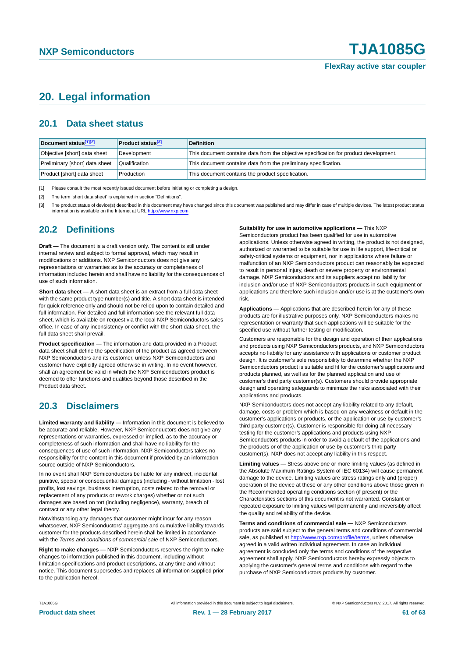### <span id="page-60-3"></span>**20. Legal information**

#### <span id="page-60-4"></span>**20.1 Data sheet status**

| Document status <sup>[1][2]</sup> | <b>Product status</b> <sup>[3]</sup> | <b>Definition</b>                                                                     |
|-----------------------------------|--------------------------------------|---------------------------------------------------------------------------------------|
| Objective [short] data sheet      | Development                          | This document contains data from the objective specification for product development. |
| Preliminary [short] data sheet    | Qualification                        | This document contains data from the preliminary specification.                       |
| Product [short] data sheet        | Production                           | This document contains the product specification.                                     |

<span id="page-60-0"></span>[1] Please consult the most recently issued document before initiating or completing a design.

<span id="page-60-1"></span>[2] The term 'short data sheet' is explained in section "Definitions".

<span id="page-60-2"></span>[3] The product status of device(s) described in this document may have changed since this document was published and may differ in case of multiple devices. The latest product status<br>information is available on the Intern

#### <span id="page-60-5"></span>**20.2 Definitions**

**Draft —** The document is a draft version only. The content is still under internal review and subject to formal approval, which may result in modifications or additions. NXP Semiconductors does not give any representations or warranties as to the accuracy or completeness of information included herein and shall have no liability for the consequences of use of such information.

**Short data sheet —** A short data sheet is an extract from a full data sheet with the same product type number(s) and title. A short data sheet is intended for quick reference only and should not be relied upon to contain detailed and full information. For detailed and full information see the relevant full data sheet, which is available on request via the local NXP Semiconductors sales office. In case of any inconsistency or conflict with the short data sheet, the full data sheet shall prevail.

**Product specification —** The information and data provided in a Product data sheet shall define the specification of the product as agreed between NXP Semiconductors and its customer, unless NXP Semiconductors and customer have explicitly agreed otherwise in writing. In no event however, shall an agreement be valid in which the NXP Semiconductors product is deemed to offer functions and qualities beyond those described in the Product data sheet.

### <span id="page-60-6"></span>**20.3 Disclaimers**

**Limited warranty and liability —** Information in this document is believed to be accurate and reliable. However, NXP Semiconductors does not give any representations or warranties, expressed or implied, as to the accuracy or completeness of such information and shall have no liability for the consequences of use of such information. NXP Semiconductors takes no responsibility for the content in this document if provided by an information source outside of NXP Semiconductors.

In no event shall NXP Semiconductors be liable for any indirect, incidental, punitive, special or consequential damages (including - without limitation - lost profits, lost savings, business interruption, costs related to the removal or replacement of any products or rework charges) whether or not such damages are based on tort (including negligence), warranty, breach of contract or any other legal theory.

Notwithstanding any damages that customer might incur for any reason whatsoever, NXP Semiconductors' aggregate and cumulative liability towards customer for the products described herein shall be limited in accordance with the *Terms and conditions of commercial sale* of NXP Semiconductors.

**Right to make changes —** NXP Semiconductors reserves the right to make changes to information published in this document, including without limitation specifications and product descriptions, at any time and without notice. This document supersedes and replaces all information supplied prior to the publication hereof.

**Suitability for use in automotive applications —** This NXP

Semiconductors product has been qualified for use in automotive applications. Unless otherwise agreed in writing, the product is not designed, authorized or warranted to be suitable for use in life support, life-critical or safety-critical systems or equipment, nor in applications where failure or malfunction of an NXP Semiconductors product can reasonably be expected to result in personal injury, death or severe property or environmental damage. NXP Semiconductors and its suppliers accept no liability for inclusion and/or use of NXP Semiconductors products in such equipment or applications and therefore such inclusion and/or use is at the customer's own risk.

**Applications —** Applications that are described herein for any of these products are for illustrative purposes only. NXP Semiconductors makes no representation or warranty that such applications will be suitable for the specified use without further testing or modification.

Customers are responsible for the design and operation of their applications and products using NXP Semiconductors products, and NXP Semiconductors accepts no liability for any assistance with applications or customer product design. It is customer's sole responsibility to determine whether the NXP Semiconductors product is suitable and fit for the customer's applications and products planned, as well as for the planned application and use of customer's third party customer(s). Customers should provide appropriate design and operating safeguards to minimize the risks associated with their applications and products.

NXP Semiconductors does not accept any liability related to any default, damage, costs or problem which is based on any weakness or default in the customer's applications or products, or the application or use by customer's third party customer(s). Customer is responsible for doing all necessary testing for the customer's applications and products using NXP Semiconductors products in order to avoid a default of the applications and the products or of the application or use by customer's third party customer(s). NXP does not accept any liability in this respect.

**Limiting values —** Stress above one or more limiting values (as defined in the Absolute Maximum Ratings System of IEC 60134) will cause permanent damage to the device. Limiting values are stress ratings only and (proper) operation of the device at these or any other conditions above those given in the Recommended operating conditions section (if present) or the Characteristics sections of this document is not warranted. Constant or repeated exposure to limiting values will permanently and irreversibly affect the quality and reliability of the device.

**Terms and conditions of commercial sale —** NXP Semiconductors products are sold subject to the general terms and conditions of commercial sale, as published at<http://www.nxp.com/profile/terms>, unless otherwise agreed in a valid written individual agreement. In case an individual agreement is concluded only the terms and conditions of the respective agreement shall apply. NXP Semiconductors hereby expressly objects to applying the customer's general terms and conditions with regard to the purchase of NXP Semiconductors products by customer.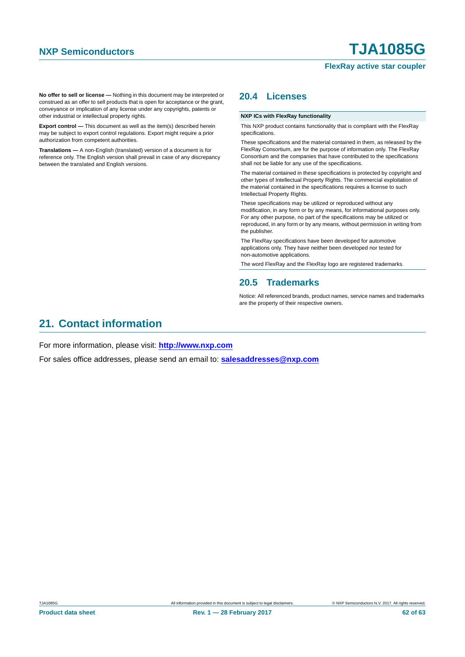#### **FlexRay active star coupler**

**No offer to sell or license —** Nothing in this document may be interpreted or construed as an offer to sell products that is open for acceptance or the grant, conveyance or implication of any license under any copyrights, patents or other industrial or intellectual property rights.

**Export control —** This document as well as the item(s) described herein may be subject to export control regulations. Export might require a prior authorization from competent authorities.

**Translations —** A non-English (translated) version of a document is for reference only. The English version shall prevail in case of any discrepancy between the translated and English versions.

### <span id="page-61-0"></span>**20.4 Licenses**

#### **NXP ICs with FlexRay functionality**

This NXP product contains functionality that is compliant with the FlexRay specifications.

These specifications and the material contained in them, as released by the FlexRay Consortium, are for the purpose of information only. The FlexRay Consortium and the companies that have contributed to the specifications shall not be liable for any use of the specifications.

The material contained in these specifications is protected by copyright and other types of Intellectual Property Rights. The commercial exploitation of the material contained in the specifications requires a license to such Intellectual Property Rights.

These specifications may be utilized or reproduced without any modification, in any form or by any means, for informational purposes only. For any other purpose, no part of the specifications may be utilized or reproduced, in any form or by any means, without permission in writing from the publisher.

The FlexRay specifications have been developed for automotive applications only. They have neither been developed nor tested for non-automotive applications.

The word FlexRay and the FlexRay logo are registered trademarks.

#### <span id="page-61-1"></span>**20.5 Trademarks**

Notice: All referenced brands, product names, service names and trademarks are the property of their respective owners.

### <span id="page-61-2"></span>**21. Contact information**

For more information, please visit: **http://www.nxp.com**

For sales office addresses, please send an email to: **salesaddresses@nxp.com**

**Product data sheet** 62 of 63 and Rev. 1 — 28 February 2017 62 of 63